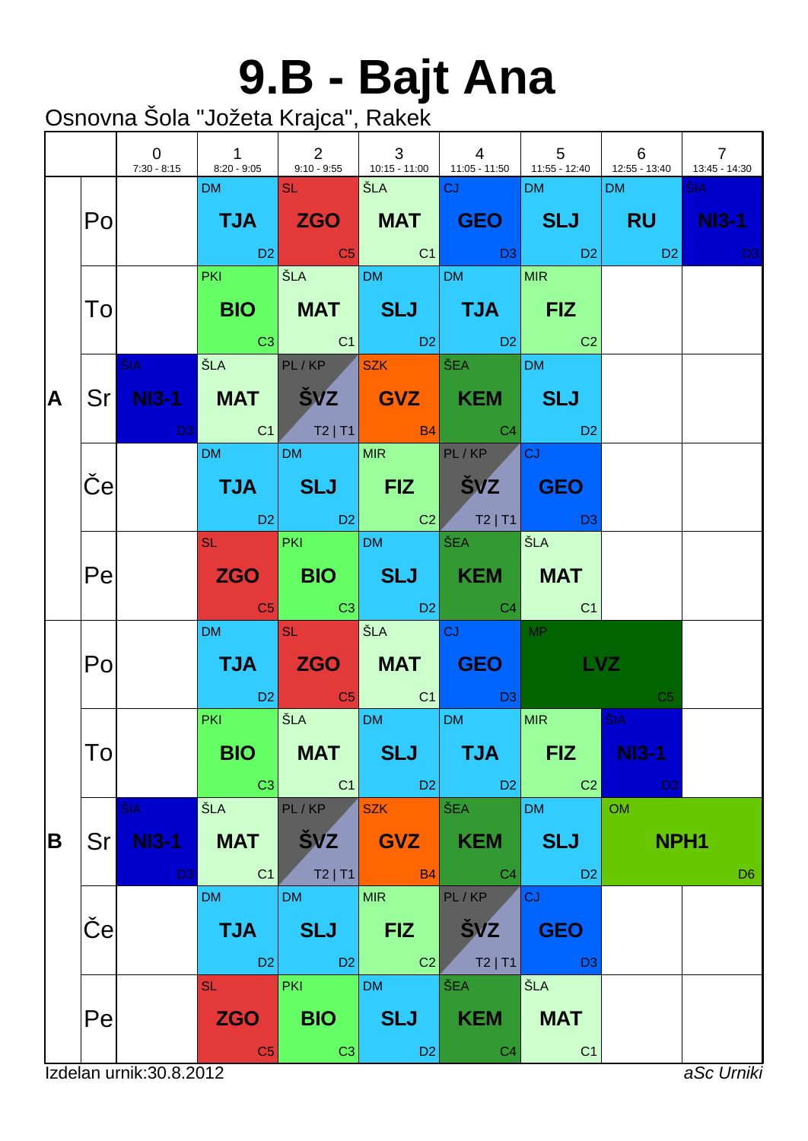# **9.B - Bajt Ana**

|   |             | $\mathbf 0$                           | $\mathbf{1}$                              | 2                                          | $\mathbf{3}$                               | $\overline{4}$<br>7:30 - 8:15   8:20 - 9:05   9:10 - 9:55   10:15 - 11:00   11:05 - 11:50   11:55 - 12:40   12:55 - 13:40                                                                                                                                      | $5\overline{)}$                            | 6                                                         | $\overline{7}$<br>$13:45 - 14:30$ |
|---|-------------|---------------------------------------|-------------------------------------------|--------------------------------------------|--------------------------------------------|----------------------------------------------------------------------------------------------------------------------------------------------------------------------------------------------------------------------------------------------------------------|--------------------------------------------|-----------------------------------------------------------|-----------------------------------|
|   | Po          |                                       | DM SL SL                                  |                                            | │ŠLA │CJ                                   | TJA ZGO MAT GEO SLJ RU NI3-1<br>in the set of the set of the set of the set of the set of the set of the set of the set of the set of the set<br>In the set of the set of the set of the set of the set of the set of the set of the set of the set of the set | <b>DM</b>                                  | DM                                                        | ŠIA -<br><b>Contract D3</b>       |
|   | To          |                                       |                                           | PKI SLA DM                                 |                                            | DM MIR<br>BIO   MAT   SLJ   TJA   FIZ<br><b>Example 1</b> C1 D2 D2 C2                                                                                                                                                                                          |                                            |                                                           |                                   |
| A |             | $\tilde{\mathsf{S}}$ IA $\sim$        |                                           |                                            |                                            | SLA PL/KP SZK ŠEA DM<br>Sr NI3-1 MAT ŠVZ GVZ KEM SLJ<br>D3 C1 T2   T1 B4 C4 D2                                                                                                                                                                                 |                                            |                                                           |                                   |
|   | $\mathbf e$ |                                       | <b>DM</b>                                 | DM MIR PL/KP                               |                                            | TJA SLJ FIZ ŠVZ GEO<br>02 D2 D2 C2 T2 T1 D3                                                                                                                                                                                                                    | <b>CJ</b>                                  |                                                           |                                   |
|   | Pe          |                                       |                                           | SL PKI DM ŠEA                              |                                            | ZGO BIO SLJ KEM MAT<br>$\begin{array}{ c c c c c c }\hline \text{C5} & \text{C3} & \text{D2} & \text{C4} & \text{C1} \\\hline \end{array}$                                                                                                                     | │ŠLA                                       |                                                           |                                   |
|   | Po          |                                       | DM and the                                | <b>SL SL</b>                               | SEA CJ                                     | TJA ZGO MAT GEO <b>Latin</b><br><b>Example 2</b> C <sub>5</sub> C <sub>5</sub> C <sub>1</sub> C <sub>1</sub> C <sub>1</sub>                                                                                                                                    | MP<br><b>LVZ</b>                           | C <sub>5</sub>                                            |                                   |
|   | To          |                                       | PKI SLA<br>BIO  <br>C3                    | <b>MAT</b><br>C1                           | DM <sub>2</sub><br><b>SLJ</b><br>$ $ D2    | <b>DM</b><br><b>TJA</b><br>D2                                                                                                                                                                                                                                  | MIR<br><b>FIZ</b><br>C <sub>2</sub>        | $\overline{\text{SIA}}$<br><b>NI3-1</b><br>D <sub>3</sub> |                                   |
| B | Srl         | ŠIA<br><b>NI3-1</b><br>D <sub>3</sub> | ŠLA<br><b>MAT</b><br>C <sub>1</sub>       | PL/KP<br><b>SVZ</b><br>$T2$   T1           | <b>SZK</b><br><b>GVZ</b><br><b>B4</b>      | ŠEA<br><b>KEM</b><br>C <sub>4</sub>                                                                                                                                                                                                                            | <b>DM</b><br><b>SLJ</b><br>D <sub>2</sub>  | OM<br>NPH <sub>1</sub>                                    | D <sub>6</sub>                    |
|   | $\mathbf e$ |                                       | <b>DM</b><br><b>TJA</b><br>D <sub>2</sub> | <b>DM</b><br><b>SLJ</b><br>D <sub>2</sub>  | <b>MIR</b><br><b>FIZ</b><br>C <sub>2</sub> | PL/KP<br><b>SVZ</b><br>$T2$   T1                                                                                                                                                                                                                               | CJ<br><b>GEO</b><br>D <sub>3</sub>         |                                                           |                                   |
|   | Pe          |                                       | <b>SL</b><br><b>ZGO</b><br>C <sub>5</sub> | <b>PKI</b><br><b>BIO</b><br>C <sub>3</sub> | <b>DM</b><br><b>SLJ</b><br>D <sub>2</sub>  | ŠEA<br><b>KEM</b><br>C <sub>4</sub>                                                                                                                                                                                                                            | <b>ŠLA</b><br><b>MAT</b><br>C <sub>1</sub> |                                                           |                                   |
|   |             | Izdelan urnik: 30.8.2012              |                                           |                                            |                                            |                                                                                                                                                                                                                                                                |                                            |                                                           | aSc Urniki                        |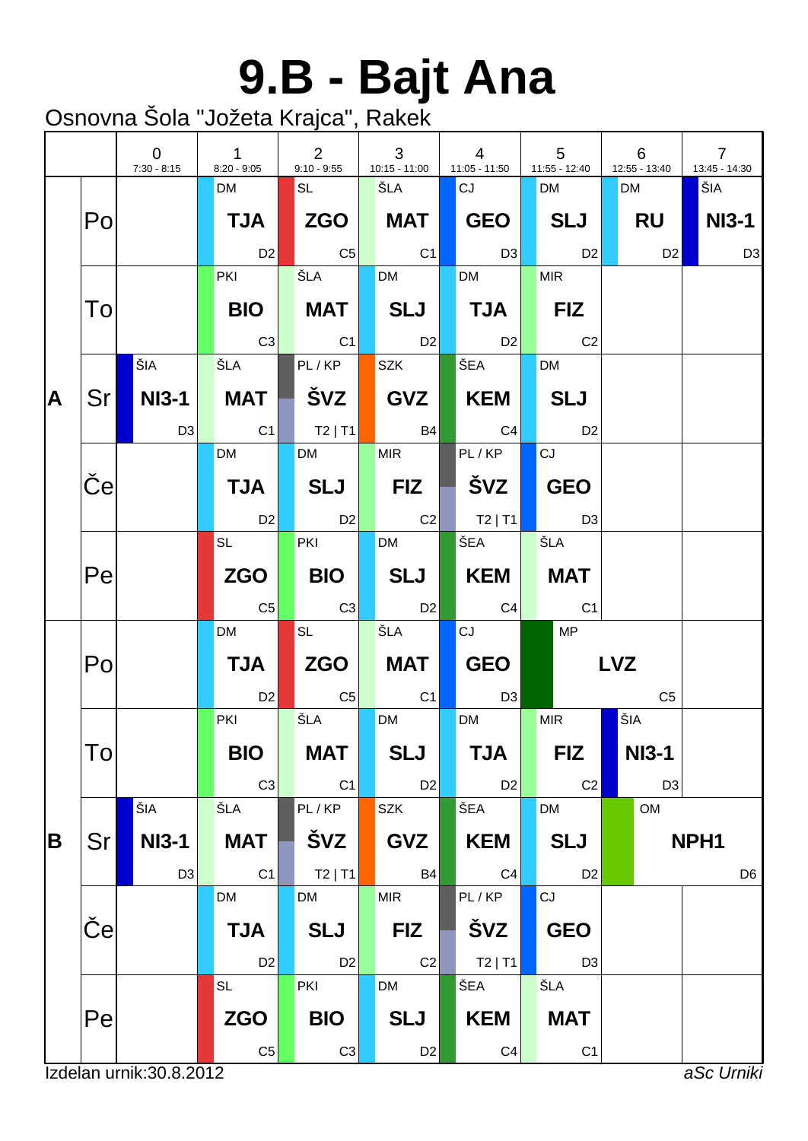# **9.B - Bajt Ana**

|   |                 | $\overline{0}$<br>$7:30 - 8:15$ | $\mathbf{1}$<br>$8:20 - 9:05$ | $\overline{2}$<br>$9:10 - 9:55$ | 3<br>$10:15 - 11:00$ | $\overline{4}$<br>11:05 - 11:50   | $5\phantom{.0}$<br>$11:55 - 12:40$ | 6<br>12:55 - 13:40 | $\overline{7}$<br>13:45 - 14:30 |
|---|-----------------|---------------------------------|-------------------------------|---------------------------------|----------------------|-----------------------------------|------------------------------------|--------------------|---------------------------------|
|   |                 |                                 | <b>DM</b>                     | <b>SL</b>                       | ŠLA                  | <b>CJ</b>                         | <b>DM</b>                          | <b>DM</b>          | ŠIA                             |
|   | Po              |                                 | <b>TJA</b>                    |                                 | MAT                  | <b>GEO</b>                        | SLJ                                | RU                 | NI3-1                           |
|   |                 |                                 | D <sub>2</sub>                | C <sub>5</sub>                  | C1                   | $\Box$ D3                         | D2                                 | D2                 | D <sub>3</sub>                  |
|   |                 |                                 | <b>PKI</b>                    | ŠLA                             | <b>DM</b>            | <b>DM</b>                         | <b>MIR</b>                         |                    |                                 |
|   | To              |                                 | <b>BIO</b>                    | MAT                             | SLJ                  | $\blacksquare$ TJA $\blacksquare$ | $ $ FIZ                            |                    |                                 |
|   |                 |                                 | C3                            | C1                              | D2                   | $\overline{D2}$                   | C <sub>2</sub>                     |                    |                                 |
|   |                 | ŠIA                             | ŠLA                           | PL/KP                           | <b>SZK</b>           | ∣ŠEA l                            | <b>DM</b>                          |                    |                                 |
| A | Sr              | $NIS-1$                         | MAT                           | │ ŠVZ                           | GVZ                  | KEM                               | <b>SLJ</b>                         |                    |                                 |
|   |                 | D <sub>3</sub>                  | C1                            | $\vert$ T2   T1 $\vert$         | <b>B4</b>            | C4                                | D <sub>2</sub>                     |                    |                                 |
|   |                 |                                 | <b>DM</b>                     | <b>DM</b>                       | <b>MIR</b>           | PL/KP                             | CJ                                 |                    |                                 |
|   | $\mathbf e$     |                                 | <b>TJA</b>                    | SLJ                             | <b>FIZ</b>           |                                   | <b>GEO</b>                         |                    |                                 |
|   |                 |                                 | D <sub>2</sub>                | D2                              | C2                   | $T2$  T1                          | D3                                 |                    |                                 |
|   |                 |                                 | <b>SL</b>                     | <b>PKI</b>                      | <b>DM</b>            | ŠEA                               | ŠLA                                |                    |                                 |
|   | Pe              |                                 | <b>ZGO</b>                    | <b>BIO</b>                      | SLJ                  | KEM                               | <b>MAT</b>                         |                    |                                 |
|   |                 |                                 | C <sub>5</sub>                | C3                              | <b>D2</b>            | C4                                | C1                                 |                    |                                 |
|   |                 |                                 | <b>DM</b>                     | <b>SL</b>                       | ŠLA                  | CJ                                | <b>MP</b>                          |                    |                                 |
|   | Po              |                                 | <b>TJA</b>                    | ZGO                             | MAT                  | GEO                               |                                    | <b>LVZ</b>         |                                 |
|   |                 |                                 | D <sub>2</sub>                | $\overline{C5}$                 | C <sub>1</sub>       | D <sub>3</sub>                    |                                    | C <sub>5</sub>     |                                 |
|   |                 |                                 | PKI                           | ŠLA                             | <b>DM</b>            | <b>DM</b>                         | <b>MIR</b>                         | ŠIA                |                                 |
|   | Tol             |                                 | <b>BIO</b>                    | <b>MAT</b>                      | <b>SLJ</b>           | <b>TJA</b>                        | <b>FIZ</b>                         | <b>NI3-1</b>       |                                 |
|   |                 |                                 | C <sub>3</sub>                | C1                              | D2                   | D <sub>2</sub>                    | C <sub>2</sub>                     | D <sub>3</sub>     |                                 |
|   |                 | ŠIA                             | ŠLA                           | PL/KP                           | <b>SZK</b>           | ŠEA                               | <b>DM</b>                          | OM                 |                                 |
| B | Sr              | <b>NI3-1</b>                    | <b>MAT</b>                    | ŠVZ                             | <b>GVZ</b>           | <b>KEM</b>                        | <b>SLJ</b>                         |                    | NPH <sub>1</sub>                |
|   |                 | D <sub>3</sub>                  | C1                            | $T2$   T1                       | <b>B4</b>            | C <sub>4</sub>                    | D <sub>2</sub>                     |                    | D <sub>6</sub>                  |
|   |                 |                                 | DM                            | <b>DM</b>                       | <b>MIR</b>           | PL/KP                             | CJ                                 |                    |                                 |
|   | $\vert e \vert$ |                                 | <b>TJA</b>                    | <b>SLJ</b>                      | <b>FIZ</b>           | ŠVZ                               | <b>GEO</b>                         |                    |                                 |
|   |                 |                                 | D <sub>2</sub>                | D <sub>2</sub>                  | C2                   | $T2$   T1                         | D <sub>3</sub>                     |                    |                                 |
|   |                 |                                 | <b>SL</b>                     | PKI                             | ${\sf DM}$           | ŠEA                               | ŠLA                                |                    |                                 |
|   | Pe              |                                 | <b>ZGO</b>                    | <b>BIO</b>                      | <b>SLJ</b>           | <b>KEM</b>                        | <b>MAT</b>                         |                    |                                 |
|   |                 |                                 | C <sub>5</sub>                | C <sub>3</sub>                  | D <sub>2</sub>       | C <sub>4</sub>                    | C <sub>1</sub>                     |                    |                                 |
|   |                 | Izdelan urnik: 30.8.2012        |                               |                                 |                      |                                   |                                    |                    | aSc Urniki                      |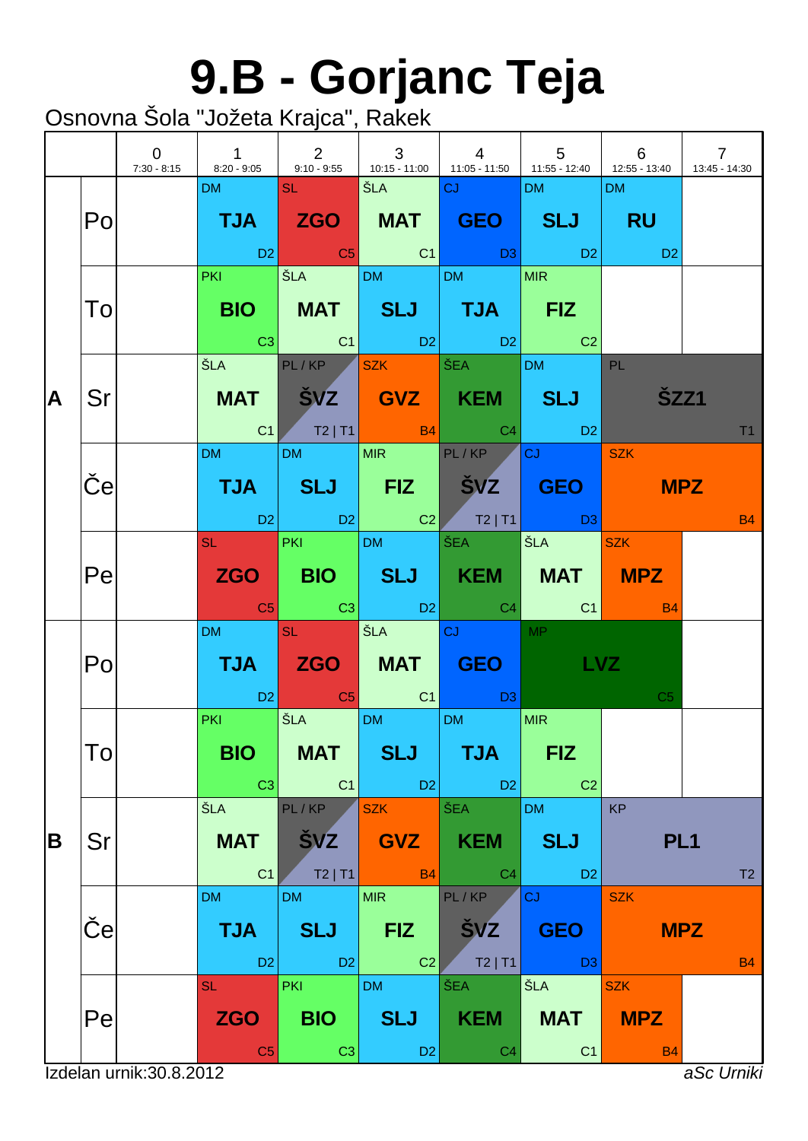### **9.B - Gorjanc Teja**

|    |             | $\overline{0}$           | $\overline{1}$<br>7:30 - 8:15 8:20 - 9:05 9:10 - 9:55 41:015 - 11:00 11:05 - 11:50 11:55 - 12:40 12:55 - 13:40 | $\begin{array}{ccc} \end{array}$ 2         | $\mathbf{3}$<br><b>Contract Contract</b>   | $\begin{array}{ccc} \end{array}$                                                                                                                                                                                                    |                                                                                                                                                                                                                                | 6                                     | $\overline{7}$<br>13:45 - 14:30 |
|----|-------------|--------------------------|----------------------------------------------------------------------------------------------------------------|--------------------------------------------|--------------------------------------------|-------------------------------------------------------------------------------------------------------------------------------------------------------------------------------------------------------------------------------------|--------------------------------------------------------------------------------------------------------------------------------------------------------------------------------------------------------------------------------|---------------------------------------|---------------------------------|
|    | Po          |                          | DM and the state                                                                                               |                                            | <u>SL ŠLA CJ SLA SLA SLA SLOVEN</u>        | TJA ZGO MAT GEO SLJ RU                                                                                                                                                                                                              | DM and the state of the state of the state of the state of the state of the state of the state of the state of the state of the state of the state of the state of the state of the state of the state of the state of the sta | DM                                    |                                 |
|    |             |                          |                                                                                                                |                                            |                                            | in the set of the set of the set of the set of the set of the set of the set of the set of the set of the set<br>Each set of the set of the set of the set of the set of the set of the set of the set of the set of the set of<br> |                                                                                                                                                                                                                                | <b>CONTRACTOR</b><br>D <sub>2</sub>   |                                 |
|    | To          |                          |                                                                                                                |                                            | PKI ŠLA DM DM                              | BIO   MAT   SLJ   TJA   FIZ<br>$\begin{array}{ c c c c c c }\hline \text{C3} & \text{C1} & \text{D2} & \text{D2} & \text{C2} \\\hline \end{array}$                                                                                  | MIR                                                                                                                                                                                                                            |                                       |                                 |
| ΙA | Sr          |                          |                                                                                                                |                                            |                                            | ŠLA PL/KP SZK ŠEA DM PL<br>MAT ŠVZ GVZ KEM SLJ<br>C1 T2   T1 B4 C4 D2                                                                                                                                                               |                                                                                                                                                                                                                                | <b>ŠZZ1</b>                           | T1                              |
|    | $\mathbf e$ |                          | DM and the state                                                                                               |                                            | DM MIR PL/KP                               | TJA SLJ FIZ ŠVZ GEO<br>D2 D2 C2 T2 T1 D3                                                                                                                                                                                            | $ {\rm cJ} $ and $ {\rm cJ} $                                                                                                                                                                                                  | <b>SZK</b><br><b>MPZ</b>              | <b>B4</b>                       |
|    | Pe          |                          |                                                                                                                |                                            | SL PKI DM ŠEA                              | ZGO BIO SLJ KEM MAT MPZ                                                                                                                                                                                                             | SLA SZK                                                                                                                                                                                                                        |                                       |                                 |
|    | Po          |                          | DM and the                                                                                                     | <b>SL</b>                                  | SEA <mark>CJ DO NA</mark>                  | TJA ZGO MAT GEO LVZ<br>in the D2 of the C5 of C1 of D3 <mark>C1</mark> of D3                                                                                                                                                        | <b>MP</b>                                                                                                                                                                                                                      | C <sub>5</sub>                        |                                 |
|    | To          |                          | <b>PKI</b><br><b>BIO</b><br>C <sub>3</sub>                                                                     | <b>ŠLA</b><br><b>MAT</b><br>C1             | $ DM $ $ M$ $ DM$<br><b>SLJ</b><br>D2      | <b>TJA</b><br>D <sub>2</sub>                                                                                                                                                                                                        | <b>MIR</b><br><b>FIZ</b><br>C <sub>2</sub>                                                                                                                                                                                     |                                       |                                 |
| B  | Sr          |                          | ŠLA<br><b>MAT</b><br>C <sub>1</sub>                                                                            | PL/KP<br><b>ŠVZ</b><br>$T2$   T1           | <b>SZK</b><br><b>GVZ</b><br><b>B4</b>      | ŠEA<br><b>KEM</b><br>C <sub>4</sub>                                                                                                                                                                                                 | <b>DM</b><br><b>SLJ</b><br>D <sub>2</sub>                                                                                                                                                                                      | <b>KP</b><br>PL <sub>1</sub>          | T2                              |
|    | e           |                          | <b>DM</b><br><b>TJA</b><br>D <sub>2</sub>                                                                      | <b>DM</b><br><b>SLJ</b><br>D2              | <b>MIR</b><br><b>FIZ</b><br>C <sub>2</sub> | PL/KP<br><b>SVZ</b><br>$T2$   T1                                                                                                                                                                                                    | CJ<br><b>GEO</b><br>D <sub>3</sub>                                                                                                                                                                                             | <b>SZK</b>                            | <b>MPZ</b><br><b>B4</b>         |
|    | Pe          |                          | <b>SL</b><br><b>ZGO</b><br>C <sub>5</sub>                                                                      | <b>PKI</b><br><b>BIO</b><br>C <sub>3</sub> | <b>DM</b><br><b>SLJ</b><br>D <sub>2</sub>  | ŠEA<br><b>KEM</b><br>C <sub>4</sub>                                                                                                                                                                                                 | ŠLA<br><b>MAT</b><br>C <sub>1</sub>                                                                                                                                                                                            | <b>SZK</b><br><b>MPZ</b><br><b>B4</b> |                                 |
|    |             | Izdelan urnik: 30.8.2012 |                                                                                                                |                                            |                                            |                                                                                                                                                                                                                                     |                                                                                                                                                                                                                                |                                       | aSc Urniki                      |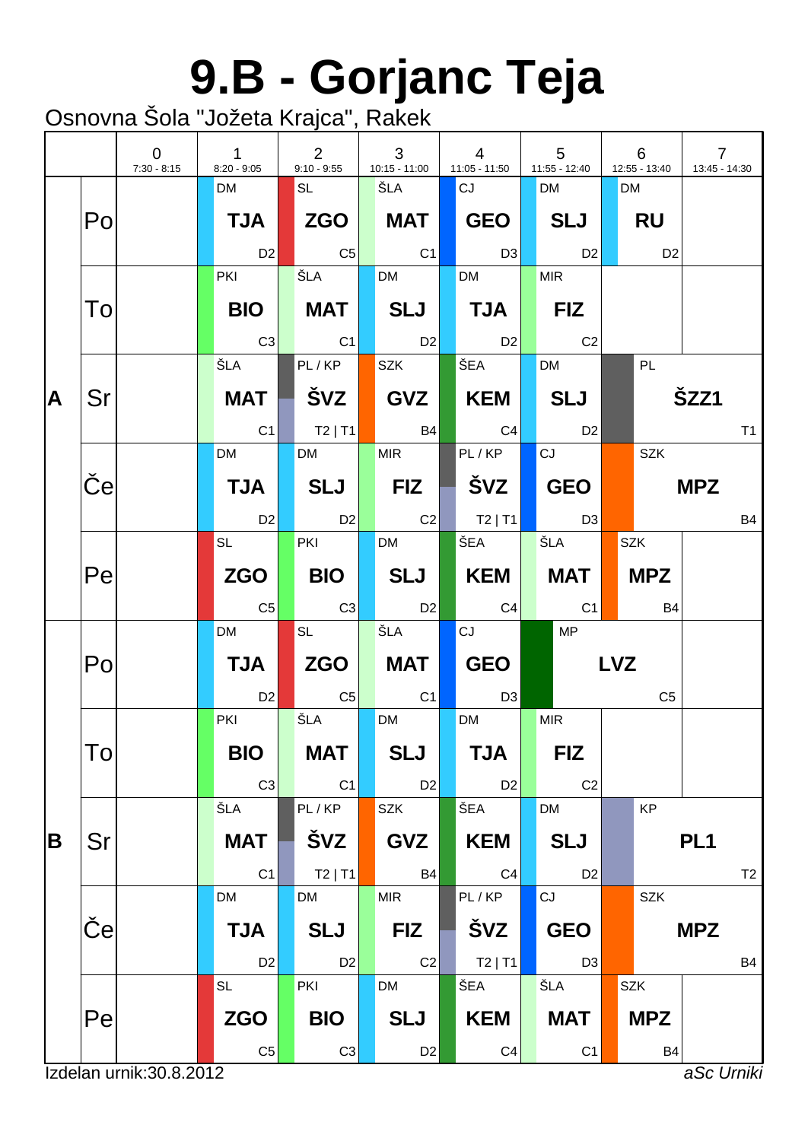## **9.B - Gorjanc Teja**

|   |                           | $\overline{0}$<br>$7:30 - 8:15$ | $\mathbf{1}$<br>$8:20 - 9:05$ | $\overline{2}$<br>$9:10 - 9:55$ | 3<br>10:15 - 11:00 | $\overline{4}$<br>$11:05 - 11:50$ |                | $5\phantom{.0}$<br>$11:55 - 12:40$ |            | 6<br>12:55 - 13:40 | $\overline{7}$<br>13:45 - 14:30 |
|---|---------------------------|---------------------------------|-------------------------------|---------------------------------|--------------------|-----------------------------------|----------------|------------------------------------|------------|--------------------|---------------------------------|
|   |                           |                                 | <b>DM</b>                     | SL                              | ŠLA                | CJ                                |                | <b>DM</b>                          | <b>DM</b>  |                    |                                 |
|   | Po                        |                                 | <b>TJA</b>                    |                                 | <b>MAT</b>         | GEO                               |                | <b>SLJ</b>                         |            | <b>RU</b>          |                                 |
|   |                           |                                 | D <sub>2</sub>                | C <sub>5</sub>                  | C <sub>1</sub>     |                                   | D3             | D <sub>2</sub>                     |            | D <sub>2</sub>     |                                 |
|   |                           |                                 | <b>PKI</b>                    | ŠLA                             | <b>DM</b>          | <b>DM</b>                         |                | <b>MIR</b>                         |            |                    |                                 |
|   | To                        |                                 | <b>BIO</b>                    | <b>MAT</b>                      | SLJ                | $\blacksquare$ TJA $\blacksquare$ |                | $ $ FIZ                            |            |                    |                                 |
|   |                           |                                 | C3                            | C1                              | D2                 |                                   | D <sub>2</sub> | C <sub>2</sub>                     |            |                    |                                 |
|   |                           |                                 | ŠLA                           | PL/KP                           | <b>SZK</b>         | ŠEA                               |                | <b>DM</b>                          |            | PL                 |                                 |
| A | Sr                        |                                 | <b>MAT</b>                    | ŠVZ                             | GVZ                | KEM                               |                | <b>SLJ</b>                         |            |                    | ŠZZ1                            |
|   |                           |                                 | C <sub>1</sub>                | $ $ T2   T1                     | <b>B4</b>          | C4                                |                | D <sub>2</sub>                     |            |                    | T1                              |
|   |                           |                                 | <b>DM</b>                     | <b>DM</b>                       | <b>MIR</b>         | PL/KP                             |                | CJ                                 |            | <b>SZK</b>         |                                 |
|   | $\boldsymbol{\mathsf{e}}$ |                                 | <b>TJA</b>                    | <b>SLJ</b>                      | <b>FIZ</b>         | ŠVZ l                             |                | <b>GEO</b>                         |            |                    | <b>MPZ</b>                      |
|   |                           |                                 | D <sub>2</sub>                | D2                              | C2                 | $ $ T2   T1                       |                | D3                                 |            |                    | <b>B4</b>                       |
|   |                           |                                 | <b>SL</b>                     | <b>PKI</b>                      | <b>DM</b>          | ŠEA                               |                | ŠLA                                | <b>SZK</b> |                    |                                 |
|   | Pe                        |                                 | <b>ZGO</b>                    | <b>BIO</b>                      | <b>SLJ</b>         | KEM                               |                | MAT                                |            | <b>MPZ</b>         |                                 |
|   |                           |                                 | C <sub>5</sub>                | C3                              | <b>D2</b>          |                                   | C4             | C1                                 |            | <b>B4</b>          |                                 |
|   |                           |                                 | <b>DM</b>                     | <b>SL</b>                       | ŠLA                | CJ                                |                | <b>MP</b>                          |            |                    |                                 |
|   | Po                        |                                 | <b>TJA</b>                    | ZGO                             | <b>MAT</b>         | <b>GEO</b>                        |                |                                    | <b>LVZ</b> |                    |                                 |
|   |                           |                                 | D <sub>2</sub>                | $  \mathbb{C}5 $                | C1                 |                                   | D <sub>3</sub> |                                    |            | C <sub>5</sub>     |                                 |
|   |                           |                                 | PKI                           | ŠLA                             | <b>DM</b>          | <b>DM</b>                         |                | <b>MIR</b>                         |            |                    |                                 |
|   | To                        |                                 | <b>BIO</b>                    | <b>MAT</b>                      | <b>SLJ</b>         | <b>TJA</b>                        |                | <b>FIZ</b>                         |            |                    |                                 |
|   |                           |                                 | C <sub>3</sub>                | C1                              | D <sub>2</sub>     |                                   | D <sub>2</sub> | C <sub>2</sub>                     |            |                    |                                 |
|   |                           |                                 | ŠLA                           | PL/KP                           | <b>SZK</b>         | ŠEA                               |                | <b>DM</b>                          |            | KP                 |                                 |
| B | Sr                        |                                 | <b>MAT</b>                    | ŠVZ                             | <b>GVZ</b>         | <b>KEM</b>                        |                | <b>SLJ</b>                         |            |                    | PL <sub>1</sub>                 |
|   |                           |                                 | C1                            | $T2$   T1                       | <b>B4</b>          |                                   | C <sub>4</sub> | D <sub>2</sub>                     |            |                    | T <sub>2</sub>                  |
|   |                           |                                 | <b>DM</b>                     | <b>DM</b>                       | <b>MIR</b>         | PL/KP                             |                | CJ                                 |            | <b>SZK</b>         |                                 |
|   | $\vert e \vert$           |                                 | <b>TJA</b>                    | <b>SLJ</b>                      | <b>FIZ</b>         | ŠVZ                               |                | <b>GEO</b>                         |            |                    | <b>MPZ</b>                      |
|   |                           |                                 | D <sub>2</sub>                | D <sub>2</sub>                  | C2                 | $T2$   T1                         |                | D <sub>3</sub>                     |            |                    | <b>B4</b>                       |
|   |                           |                                 | <b>SL</b>                     | PKI                             | DM                 | ŠEA                               |                | ŠLA                                | <b>SZK</b> |                    |                                 |
|   | Pe                        |                                 | <b>ZGO</b>                    | <b>BIO</b>                      | <b>SLJ</b>         | <b>KEM</b>                        |                | <b>MAT</b>                         |            | <b>MPZ</b>         |                                 |
|   |                           |                                 | C <sub>5</sub>                | C <sub>3</sub>                  | D <sub>2</sub>     |                                   | C <sub>4</sub> | C <sub>1</sub>                     |            | B <sub>4</sub>     |                                 |
|   |                           | Izdelan urnik: 30.8.2012        |                               |                                 |                    |                                   |                |                                    |            |                    | aSc Urniki                      |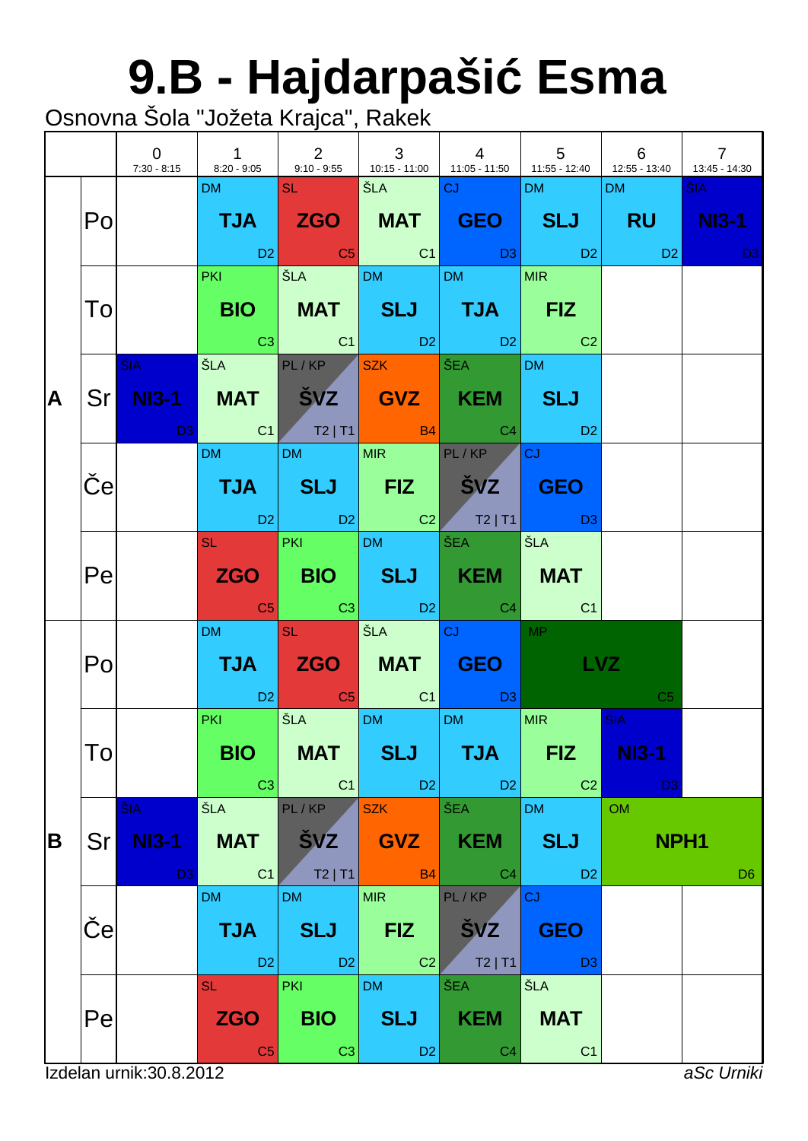# **9.B - Hajdarpaši Esma**

|   |                       | $\overline{0}$                        | 7:30 - 8:15 8:20 - 9:05 9:10 - 9:55 43:30 1:05 - 11:00 1:05 - 11:50 1:55 - 12:40 1:55 - 13:40 1:345 - 14:30                                                                                                                    | $1 \quad \vert \quad 2 \vert$                 | $\mathbf{3}$<br>and the control                                                                                       | $\begin{array}{ccc} \end{array}$                                                                                                                                                                                                                                                                                                                                                                                                      | $\begin{array}{ccc} \end{array}$ 5         | 6                                                                  | $\overline{7}$ |
|---|-----------------------|---------------------------------------|--------------------------------------------------------------------------------------------------------------------------------------------------------------------------------------------------------------------------------|-----------------------------------------------|-----------------------------------------------------------------------------------------------------------------------|---------------------------------------------------------------------------------------------------------------------------------------------------------------------------------------------------------------------------------------------------------------------------------------------------------------------------------------------------------------------------------------------------------------------------------------|--------------------------------------------|--------------------------------------------------------------------|----------------|
|   | Po                    |                                       | DM SL SL                                                                                                                                                                                                                       |                                               | <b>SEA CJ DE LA CHANGE DE LA CHANGE DE LA CHANGE DE LA CHANGE DE LA CHANGE DE LA CHANGE DE LA CHANGE DE LA CHANGE</b> | TJA ZGO MAT GEO SLJ RU NI3-1<br>$\begin{array}{ c c c c c c }\hline \text{D2} & \text{C5} & \text{C1} & \text{D3} & \text{D2} \hline \end{array}$                                                                                                                                                                                                                                                                                     | DM and the                                 | DM <sub>2</sub><br><b>Example 12</b> D <sub>2</sub> D <sub>2</sub> | ŠIA -          |
|   | To                    |                                       |                                                                                                                                                                                                                                |                                               |                                                                                                                       | PKI ŠLA DM DM MIR<br>BIO   MAT   SLJ   TJA   FIZ<br>$\begin{array}{ c c c c c c }\hline \rule{0mm}{1.2mm} & \rule{0mm}{2.2mm} & \rule{0mm}{2.2mm} & \rule{0mm}{2.2mm} & \rule{0mm}{2.2mm} & \rule{0mm}{2.2mm} & \rule{0mm}{2.2mm} & \rule{0mm}{2.2mm} & \rule{0mm}{2.2mm} & \rule{0mm}{2.2mm} & \rule{0mm}{2.2mm} & \rule{0mm}{2.2mm} & \rule{0mm}{2.2mm} & \rule{0mm}{2.2mm} & \rule{0mm}{2.2mm} & \rule{0mm}{2.2mm} & \rule{0mm}{2$ |                                            |                                                                    |                |
| A |                       | <b>ŠIA</b>                            | Sr NI3-1 MAT ŠVZ GVZ KEM SLJ<br><b>D3</b> C1 T2   T1 B4 C4 D2                                                                                                                                                                  |                                               |                                                                                                                       | ŠLA PL/KP SZK ŠEA                                                                                                                                                                                                                                                                                                                                                                                                                     | <b>DM</b>                                  |                                                                    |                |
|   | $\boldsymbol{\Theta}$ |                                       | DM and the state of the state of the state of the state of the state of the state of the state of the state of the state of the state of the state of the state of the state of the state of the state of the state of the sta | DM MIR PL/KP                                  |                                                                                                                       | TJA SLJ FIZ ŠVZ GEO<br>D2 D2 C2 T2 T1 D3                                                                                                                                                                                                                                                                                                                                                                                              | ∣c」 ∴                                      |                                                                    |                |
|   | Pe                    |                                       |                                                                                                                                                                                                                                | SL PKI DM ŠEA                                 |                                                                                                                       | ZGO BIO SLJ KEM MAT<br><b>Example 1</b> C3 C3 D2 C4 C4                                                                                                                                                                                                                                                                                                                                                                                | SLA                                        |                                                                    |                |
|   | Po                    |                                       | DM <b>Contract</b>                                                                                                                                                                                                             | $\overline{\mathsf{SL}^+ \cup \mathsf{SL}^+}$ | SEA CJ                                                                                                                | TJA ZGO MAT GEO LVZ<br>in the D2 of the C1 of the D3 <mark>.</mark>                                                                                                                                                                                                                                                                                                                                                                   | MP                                         | C <sub>5</sub>                                                     |                |
|   | Tо                    |                                       | <b>PKI CONTINUES</b><br><b>BIO</b><br>C3                                                                                                                                                                                       | SLA DM DM<br><b>MAT</b><br>C1                 | <b>SLJ</b><br>$\Box$ D2                                                                                               | <b>TJA</b><br>D2                                                                                                                                                                                                                                                                                                                                                                                                                      | <b>MIR</b><br><b>FIZ</b><br>C <sub>2</sub> | ŠIA<br><b>NI3-1</b><br>D <sub>3</sub>                              |                |
| B | Srl                   | ŠIA<br><b>NI3-1</b><br>D <sub>3</sub> | ŠLA<br><b>MAT</b><br>C <sub>1</sub>                                                                                                                                                                                            | PL/KP<br><b>ŠVZ</b><br>T2 T1                  | <b>SZK</b><br><b>GVZ</b><br>B4                                                                                        | ŠEA<br>KEM<br>C <sub>4</sub>                                                                                                                                                                                                                                                                                                                                                                                                          | <b>DM</b><br><b>SLJ</b><br>D <sub>2</sub>  | <b>OM</b><br>NPH <sub>1</sub>                                      | D <sub>6</sub> |
|   | е                     |                                       | <b>DM</b><br><b>TJA</b><br>D <sub>2</sub>                                                                                                                                                                                      | <b>DM</b><br><b>SLJ</b><br>$ $ D <sub>2</sub> | <b>MIR</b><br><b>FIZ</b><br>C <sub>2</sub>                                                                            | PL/KP<br><b>SVZ</b><br>$T2$   T1                                                                                                                                                                                                                                                                                                                                                                                                      | CJ<br><b>GEO</b><br>D <sub>3</sub>         |                                                                    |                |
|   | Pe                    |                                       | <b>SL</b><br><b>ZGO</b><br>C <sub>5</sub>                                                                                                                                                                                      | <b>PKI</b><br><b>BIO</b><br>C <sub>3</sub>    | <b>DM</b><br><b>SLJ</b><br>D <sub>2</sub>                                                                             | ŠEA<br><b>KEM</b><br>C <sub>4</sub>                                                                                                                                                                                                                                                                                                                                                                                                   | ŠLA<br><b>MAT</b><br>C <sub>1</sub>        |                                                                    |                |
|   |                       | Izdelan urnik: 30.8.2012              |                                                                                                                                                                                                                                |                                               |                                                                                                                       |                                                                                                                                                                                                                                                                                                                                                                                                                                       |                                            |                                                                    | aSc Urniki     |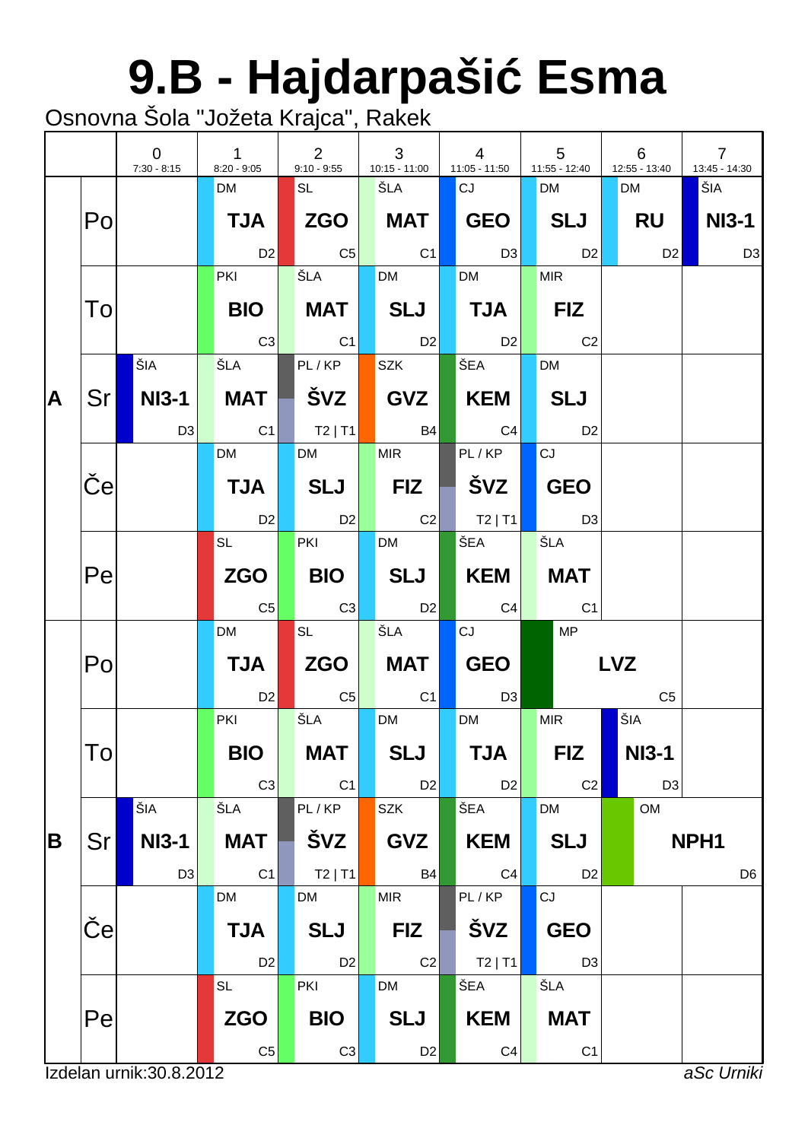# **9.B - Hajdarpaši Esma**

|   |                 | $\overline{0}$<br>$7:30 - 8:15$ | $\mathbf{1}$<br>$8:20 - 9:05$ | $\overline{2}$<br>$9:10 - 9:55$ | 3<br>10:15 - 11:00 | $\overline{4}$<br>$11:05 - 11:50$ | $5\phantom{.0}$<br>11:55 - 12:40 | 6<br>12:55 - 13:40 | $\overline{7}$<br>13:45 - 14:30 |
|---|-----------------|---------------------------------|-------------------------------|---------------------------------|--------------------|-----------------------------------|----------------------------------|--------------------|---------------------------------|
|   |                 |                                 | <b>DM</b>                     | <b>SL</b>                       | ŠLA                | CJ                                | <b>DM</b>                        | <b>DM</b>          | ŠIA                             |
|   | Po              |                                 | <b>TJA</b>                    |                                 | <b>MAT</b>         | GEO                               | SLJ                              | RU                 | <b>NI3-1</b>                    |
|   |                 |                                 | D <sub>2</sub>                | $\overline{C5}$                 | C1                 | $\Box$ D3                         | D2                               | D2                 | D <sub>3</sub>                  |
|   |                 |                                 | <b>PKI</b>                    | ŠLA                             | <b>DM</b>          | <b>DM</b>                         | <b>MIR</b>                       |                    |                                 |
|   | To              |                                 | <b>BIO</b>                    | MAT                             | SLJ                | $\blacksquare$ TJA $\blacksquare$ | $ $ FIZ                          |                    |                                 |
|   |                 |                                 | C3                            | C1                              | D2                 | D2                                | C <sub>2</sub>                   |                    |                                 |
|   |                 | ŠIA                             | ŠLA I                         | PL/KP                           | <b>SZK</b>         | ŠEA                               | <b>DM</b>                        |                    |                                 |
| A | Sr              | NI3-1                           | <b>MAT</b>                    | ∣ švz ∣                         | GVZ                | KEM                               | <b>SLJ</b>                       |                    |                                 |
|   |                 | D3                              | $\overline{C}$ C1             | $ $ T2   T1                     | <b>B4</b>          | C4                                | <b>D2</b>                        |                    |                                 |
|   |                 |                                 | <b>DM</b>                     | <b>DM</b>                       | <b>MIR</b>         | PL/KP                             | CJ                               |                    |                                 |
|   | $\vert e \vert$ |                                 | <b>TJA</b>                    | SLJ                             | <b>FIZ</b>         |                                   | <b>GEO</b>                       |                    |                                 |
|   |                 |                                 | D2                            | D2                              | $\overline{C2}$    | $\vert$ T2   T1                   | D3                               |                    |                                 |
|   |                 |                                 | <b>SL</b> the set             | <b>PKI</b>                      | <b>DM</b>          | ∫ŠEA ∣                            | ŠLA                              |                    |                                 |
|   | Pe              |                                 | <b>ZGO</b>                    | <b>BIO</b>                      | SLJ                | KEM                               | <b>MAT</b>                       |                    |                                 |
|   |                 |                                 | C <sub>5</sub>                | C3                              | <b>D2</b>          | C4                                | C <sub>1</sub>                   |                    |                                 |
|   |                 |                                 | <b>DM</b>                     | <b>SL</b>                       | ŠLA                | CJ                                | MP                               |                    |                                 |
|   | Po              |                                 | <b>TJA</b>                    | ZGO                             | MAT                | GEO                               |                                  | <b>LVZ</b>         |                                 |
|   |                 |                                 | D <sub>2</sub>                | C5                              | C <sub>1</sub>     | D3                                |                                  | C <sub>5</sub>     |                                 |
|   |                 |                                 | <b>PKI</b>                    | ŠLA                             | <b>DM</b>          | <b>DM</b>                         | <b>MIR</b>                       | ŠIA                |                                 |
|   | Tо              |                                 | <b>BIO</b>                    | <b>MAT</b>                      | <b>SLJ</b>         | <b>TJA</b>                        | <b>FIZ</b>                       | <b>NI3-1</b>       |                                 |
|   |                 |                                 | C <sub>3</sub>                | C1                              | D <sub>2</sub>     | D <sub>2</sub>                    | C <sub>2</sub>                   | D <sub>3</sub>     |                                 |
|   |                 | ŠIA                             | ŠLA                           | PL/KP                           | <b>SZK</b>         | ŠEA                               | <b>DM</b>                        | <b>OM</b>          |                                 |
| B | Sr              | <b>NI3-1</b>                    | <b>MAT</b>                    | ŠVZ                             | <b>GVZ</b>         | <b>KEM</b>                        | <b>SLJ</b>                       |                    | NPH <sub>1</sub>                |
|   |                 | D <sub>3</sub>                  | C <sub>1</sub>                | $T2$   T1                       | <b>B4</b>          | C <sub>4</sub>                    | D <sub>2</sub>                   |                    | D <sub>6</sub>                  |
|   |                 |                                 | DM                            | <b>DM</b>                       | <b>MIR</b>         | PL/KP                             | CJ                               |                    |                                 |
|   | e               |                                 | <b>TJA</b>                    | <b>SLJ</b>                      | <b>FIZ</b>         | ŠVZ                               | <b>GEO</b>                       |                    |                                 |
|   |                 |                                 | D <sub>2</sub>                | D <sub>2</sub>                  | C <sub>2</sub>     | $T2$   T1                         | D <sub>3</sub>                   |                    |                                 |
|   |                 |                                 | <b>SL</b>                     | PKI                             | DM                 | ŠEA                               | ŠLA                              |                    |                                 |
|   | Pe              |                                 | <b>ZGO</b>                    | <b>BIO</b>                      | <b>SLJ</b>         | <b>KEM</b>                        | <b>MAT</b>                       |                    |                                 |
|   |                 |                                 | C <sub>5</sub>                | C <sub>3</sub>                  | D <sub>2</sub>     | C <sub>4</sub>                    | C <sub>1</sub>                   |                    |                                 |
|   |                 | Izdelan urnik: 30.8.2012        |                               |                                 |                    |                                   |                                  |                    | aSc Urniki                      |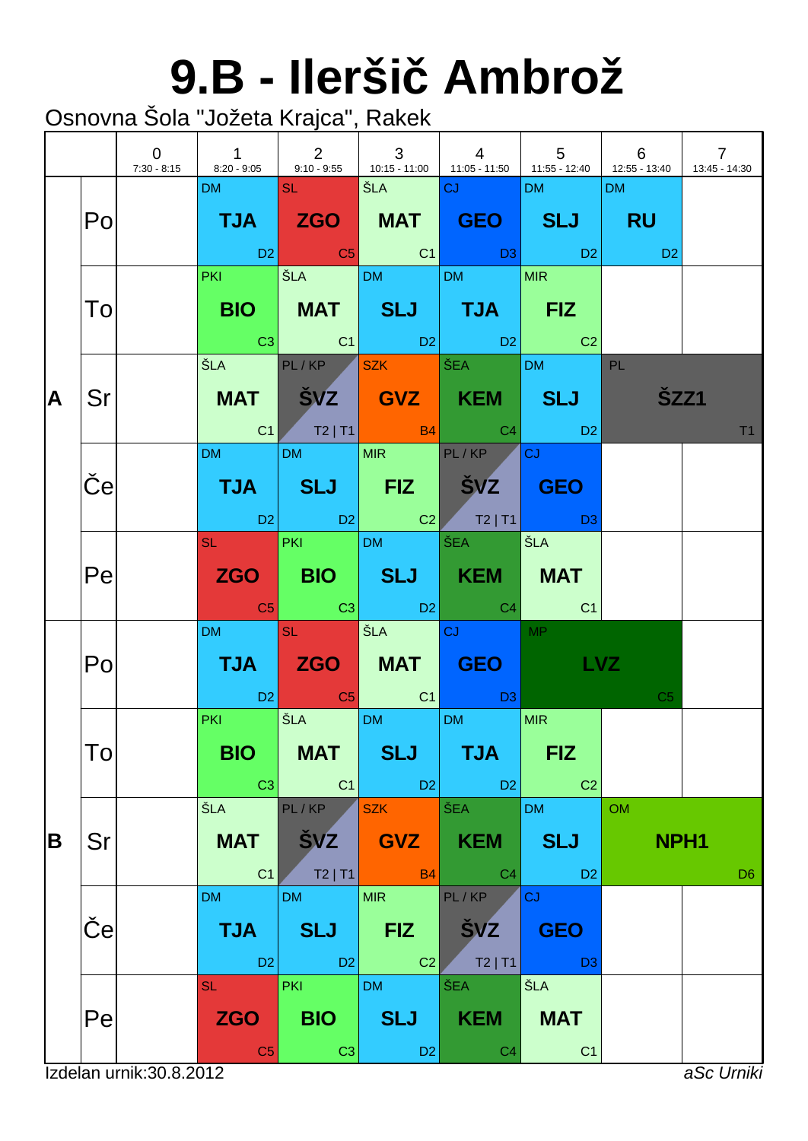## **9.B - Ilerši Ambrož**

|   |    | $\overline{0}$           | $\begin{array}{ccc} \end{array}$ 1<br>7:30 - 8:15   8:20 - 9:05   9:10 - 9:55   10:15 - 11:00   11:05 - 11:50   11:55 - 12:40   12:55 - 13:40 | $\begin{array}{ccc} & 2 \end{array}$       | $\begin{array}{ c c c c c }\n\hline\n& & & 3\n\end{array}$ |                                                                                                                                                                                                                                                              |                                           | 6                             | $\overline{7}$<br>13:45 - 14:30 |
|---|----|--------------------------|-----------------------------------------------------------------------------------------------------------------------------------------------|--------------------------------------------|------------------------------------------------------------|--------------------------------------------------------------------------------------------------------------------------------------------------------------------------------------------------------------------------------------------------------------|-------------------------------------------|-------------------------------|---------------------------------|
|   | Po |                          | DM <b>DM</b>                                                                                                                                  | <b>SL SL</b>                               | SEA CJ                                                     | TJA ZGO MAT GEO SLJ RU<br>in the set of the set of the set of the set of the set of the set of the set of the set of the set of the set<br>In the set of the set of the set of the set of the set of the set of the set of the set of the set of the set<br> | <b>DM</b>                                 | DM                            |                                 |
|   | To |                          |                                                                                                                                               |                                            |                                                            | PKI SLA DM DM MIR<br>BIO   MAT   SLJ   TJA   FIZ<br>$\begin{array}{ c c c c c c }\hline \text{C3} & \text{C1} & \text{D2} & \text{D2} & \text{C2} \\\hline \end{array}$                                                                                      |                                           |                               |                                 |
| A | Sr |                          |                                                                                                                                               |                                            |                                                            | ŠLA PL/KP SZK ŠEA DM PL<br>MAT ŠVZ GVZ KEM SLJ<br>$\begin{array}{ c c c c c c }\hline \text{C1} & \text{T2}\mid \text{T1} & \text{B4} & \text{C4} & \text{D2} \\\hline \end{array}$                                                                          |                                           | <b>ŠZZ1</b>                   | T1                              |
|   | e  |                          | DM and the state                                                                                                                              |                                            | DM MIR PL/KP                                               | TJA SLJ FIZ ŠVZ GEO                                                                                                                                                                                                                                          | $ {\rm C} \rangle$                        |                               |                                 |
|   | Pe |                          |                                                                                                                                               |                                            | SL PKI DM ŠEA                                              | ZGO BIO SLJ KEM MAT<br><b>Example 1</b> C3 C3 D2 C4 C1                                                                                                                                                                                                       | ŠLA                                       |                               |                                 |
|   | Po |                          | DM and the state                                                                                                                              | <b>SL SL</b>                               |                                                            | TJA ZGO MAT GEO LVZ<br>D2 C5 C1 D3                                                                                                                                                                                                                           | <b>MP</b>                                 | C <sub>5</sub>                |                                 |
|   | Tо |                          | <b>PKI</b> POINT<br><b>BIO</b><br>C3                                                                                                          | <b>MAT</b><br>C1                           | SLA DM DM<br><b>SLJ</b><br>D2                              | <b>TJA</b><br>D <sub>2</sub>                                                                                                                                                                                                                                 | MIR<br><b>FIZ</b><br>C <sub>2</sub>       |                               |                                 |
| B | Sr |                          | ŠLA<br><b>MAT</b><br>C <sub>1</sub>                                                                                                           | PL/KP<br><b>ŠVZ</b><br>$T2$   T1           | <b>SZK</b><br><b>GVZ</b><br><b>B4</b>                      | ŠEA<br><b>KEM</b><br>C <sub>4</sub>                                                                                                                                                                                                                          | <b>DM</b><br><b>SLJ</b><br>D <sub>2</sub> | <b>OM</b><br>NPH <sub>1</sub> | D <sub>6</sub>                  |
|   | e  |                          | <b>DM</b><br><b>TJA</b><br>D <sub>2</sub>                                                                                                     | <b>DM</b><br><b>SLJ</b><br>D2              | <b>MIR</b><br><b>FIZ</b><br>C <sub>2</sub>                 | PL/KP<br><b>SVZ</b><br>$T2$   T1                                                                                                                                                                                                                             | CJ<br><b>GEO</b><br>D <sub>3</sub>        |                               |                                 |
|   | Pe |                          | <b>SL</b><br><b>ZGO</b><br>C <sub>5</sub>                                                                                                     | <b>PKI</b><br><b>BIO</b><br>C <sub>3</sub> | <b>DM</b><br><b>SLJ</b><br>D <sub>2</sub>                  | ŠEA<br><b>KEM</b><br>C <sub>4</sub>                                                                                                                                                                                                                          | ŠLA<br><b>MAT</b><br>C <sub>1</sub>       |                               |                                 |
|   |    | Izdelan urnik: 30.8.2012 |                                                                                                                                               |                                            |                                                            |                                                                                                                                                                                                                                                              |                                           |                               | aSc Urniki                      |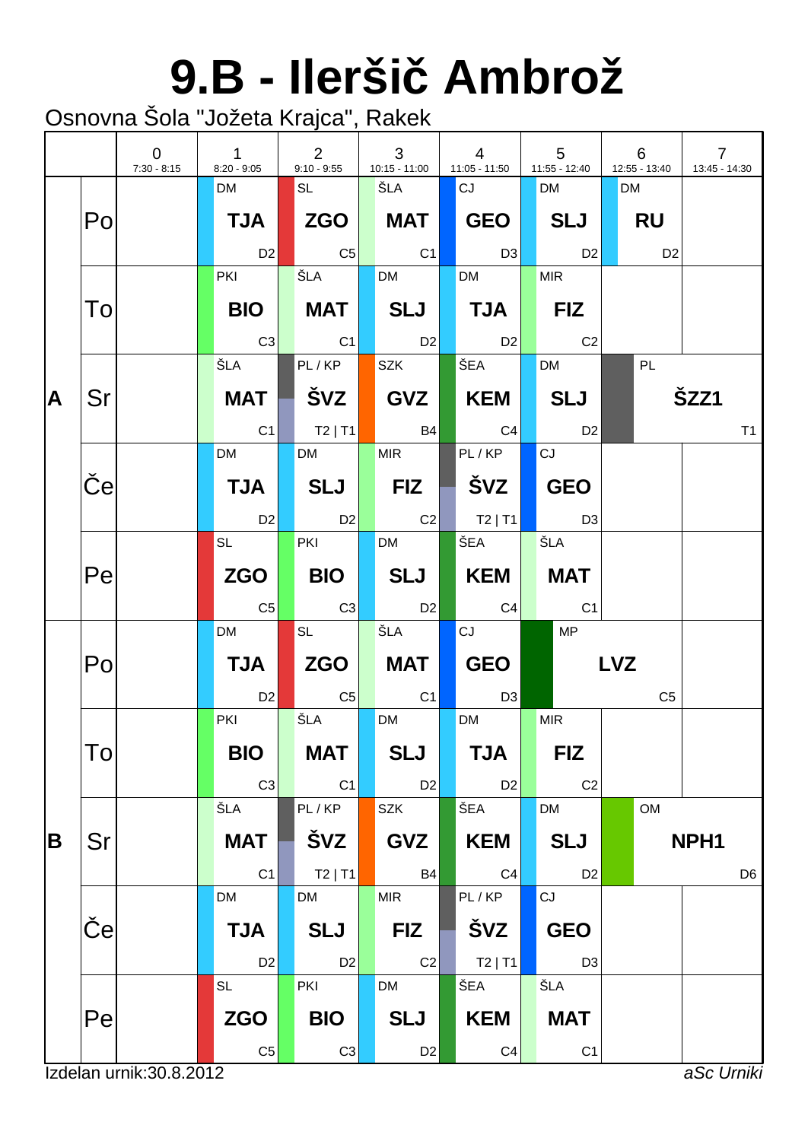# **9.B - Ilerši Ambrož**

|   |    | $\overline{0}$<br>$7:30 - 8:15$ | $\mathbf{1}$<br>$8:20 - 9:05$ | $2^{\circ}$<br>$9:10 - 9:55$ | 3<br>10:15 - 11:00             | $\overline{4}$<br>11:05 - 11:50                | $5\phantom{.0}$<br>11:55 - 12:40 | 6<br>12:55 - 13:40 | $\overline{7}$<br>13:45 - 14:30 |
|---|----|---------------------------------|-------------------------------|------------------------------|--------------------------------|------------------------------------------------|----------------------------------|--------------------|---------------------------------|
|   |    |                                 | <b>DM</b>                     | SL                           | ŠLA                            | CJ                                             | <b>DM</b>                        | <b>DM</b>          |                                 |
|   | Po |                                 | <b>TJA</b>                    | <b>ZGO</b>                   | <b>MAT</b>                     | $\mid$ GEO $\mid$                              | SLJ                              | RU                 |                                 |
|   |    |                                 | D <sub>2</sub>                | $  \text{C5}  $              | C1                             | $\Box$ D3                                      | D2                               | D <sub>2</sub>     |                                 |
|   |    |                                 | <b>PKI</b>                    | ŠLA                          | <b>DM</b>                      | <b>DM</b>                                      | <b>MIR</b>                       |                    |                                 |
|   | To |                                 | <b>BIO</b>                    | MAT                          | SLJ                            | $\blacksquare$ TJA $\blacksquare$              | FIZ                              |                    |                                 |
|   |    |                                 | C3                            | C1                           | D2                             | D2                                             | C <sub>2</sub>                   |                    |                                 |
|   |    |                                 | ŠLA I                         | PL/KP                        | <b>SZK</b>                     | ŠEA                                            | <b>DM</b>                        | PL                 |                                 |
| A | Sr |                                 | <b>MAT</b>                    | │ ŠVZ │                      | GVZ                            | KEM                                            | SLJ                              |                    | ŠZZ1                            |
|   |    |                                 | C <sub>1</sub>                | $ $ T2   T1                  | <b>B4</b>                      | C4                                             | D <sub>2</sub>                   |                    | T <sub>1</sub>                  |
|   |    |                                 | <b>DM</b>                     | <b>DM</b>                    | <b>MIR</b>                     | PL/KP                                          | CJ                               |                    |                                 |
|   | e  |                                 | <b>TJA</b>                    | SLJ                          | $\blacksquare$ FIZ $\parallel$ |                                                | <b>GEO</b>                       |                    |                                 |
|   |    |                                 | D2                            | D2                           | $\overline{C2}$                | $\begin{bmatrix} 1 & 1 \\ 1 & 1 \end{bmatrix}$ | D3                               |                    |                                 |
|   |    |                                 | <b>SL</b> to the set          | <b>PKI</b>                   | <b>DM</b>                      | ∫ŠEA ∣                                         | ŠLA                              |                    |                                 |
|   | Pe |                                 | <b>ZGO</b>                    | <b>BIO</b>                   | SLJ                            | <b>KEM</b>                                     | MAT                              |                    |                                 |
|   |    |                                 | C <sub>5</sub>                | C3                           | <b>D2</b>                      | C4                                             | C <sub>1</sub>                   |                    |                                 |
|   |    |                                 | <b>DM</b>                     | <b>SL</b>                    | ŠLA                            | CJ                                             | MP                               |                    |                                 |
|   | Po |                                 | <b>TJA</b>                    | ZGO                          | MAT                            | GEO                                            |                                  | <b>LVZ</b>         |                                 |
|   |    |                                 | D <sub>2</sub>                | $\overline{C5}$              | C <sub>1</sub>                 | D3                                             |                                  | C <sub>5</sub>     |                                 |
|   |    |                                 | <b>PKI</b>                    | ŠLA                          | <b>DM</b>                      | <b>DM</b>                                      | <b>MIR</b>                       |                    |                                 |
|   | Tо |                                 | <b>BIO</b>                    | <b>MAT</b>                   | <b>SLJ</b>                     | <b>TJA</b>                                     | <b>FIZ</b>                       |                    |                                 |
|   |    |                                 | C <sub>3</sub>                | C1                           | D2                             | D <sub>2</sub>                                 | C <sub>2</sub>                   |                    |                                 |
|   |    |                                 | ŠLA                           | PL/KP                        | <b>SZK</b>                     | ŠEA                                            | <b>DM</b>                        | OM                 |                                 |
| B | Sr |                                 | <b>MAT</b>                    | ŠVZ                          | <b>GVZ</b>                     | <b>KEM</b>                                     | <b>SLJ</b>                       |                    | NPH <sub>1</sub>                |
|   |    |                                 | C <sub>1</sub>                | $T2$   T1                    | <b>B4</b>                      | C <sub>4</sub>                                 | D <sub>2</sub>                   |                    | D <sub>6</sub>                  |
|   |    |                                 | <b>DM</b>                     | <b>DM</b>                    | <b>MIR</b>                     | PL/KP                                          | CJ                               |                    |                                 |
|   | e  |                                 | <b>TJA</b>                    | <b>SLJ</b>                   | <b>FIZ</b>                     | ŠVZ                                            | <b>GEO</b>                       |                    |                                 |
|   |    |                                 | D <sub>2</sub>                | D <sub>2</sub>               | C <sub>2</sub>                 | $T2$   T1                                      | D <sub>3</sub>                   |                    |                                 |
|   |    |                                 | SL                            | PKI                          | DM                             | ŠEA                                            | ŠLA                              |                    |                                 |
|   | Pe |                                 | <b>ZGO</b>                    | <b>BIO</b>                   | <b>SLJ</b>                     | <b>KEM</b>                                     | <b>MAT</b>                       |                    |                                 |
|   |    |                                 | C <sub>5</sub>                | C <sub>3</sub>               | D <sub>2</sub>                 | C <sub>4</sub>                                 | C <sub>1</sub>                   |                    |                                 |
|   |    | Izdelan urnik: 30.8.2012        |                               |                              |                                |                                                |                                  |                    | aSc Urniki                      |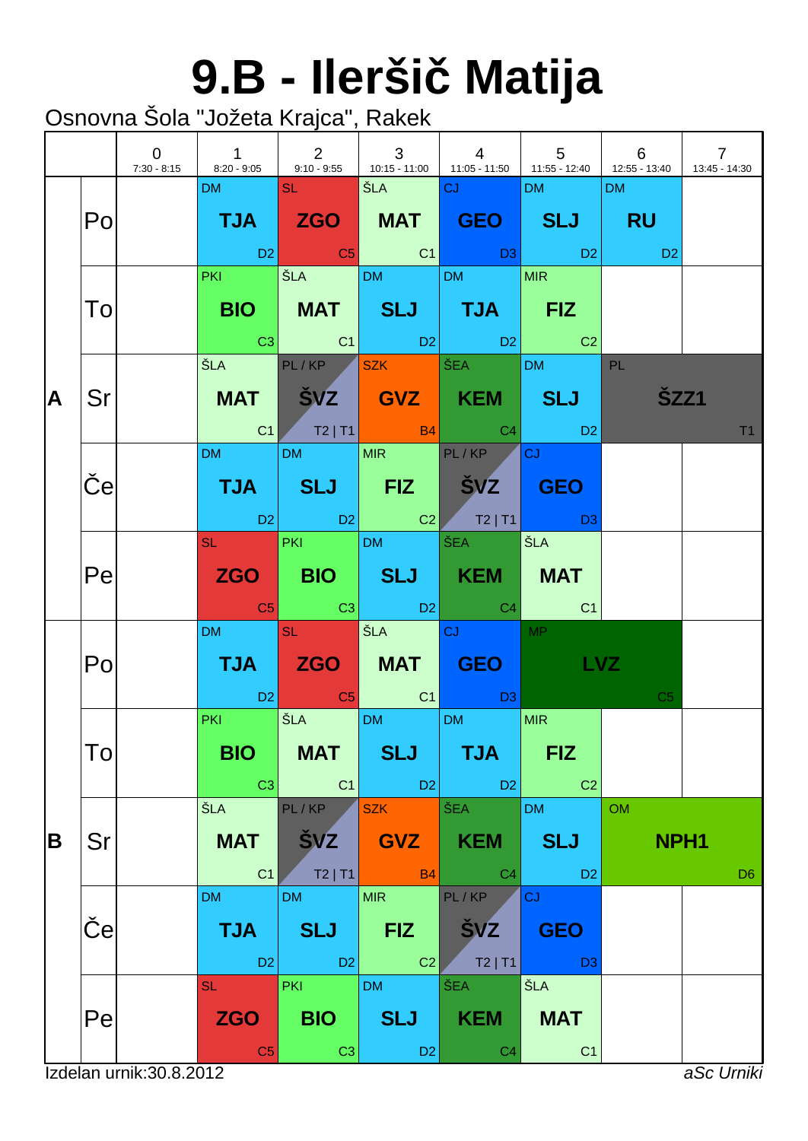# **9.B - Ilerši Matija**

|   |                 | $\overline{0}$           | $\sim$ 1<br>7:30 - 8:15 8:20 - 9:05 9:10 - 9:55 10:15 - 11:00 11:05 - 11:50 1:55 - 12:40 1:55 - 13:40 | $\begin{array}{ccc} & & 2 \end{array}$     | $\begin{array}{ c c c c c }\n\hline\n& & & 3\n\end{array}$ | $\begin{array}{ccc} & 4 \end{array}$                                                                                                               | $\begin{array}{cccc} \begin{array}{cccc} \end{array} & 5 & \end{array}$ 6                                                                                                                                                                                                                                                                                                                                       |                               | $\overline{7}$<br>13:45 - 14:30 |
|---|-----------------|--------------------------|-------------------------------------------------------------------------------------------------------|--------------------------------------------|------------------------------------------------------------|----------------------------------------------------------------------------------------------------------------------------------------------------|-----------------------------------------------------------------------------------------------------------------------------------------------------------------------------------------------------------------------------------------------------------------------------------------------------------------------------------------------------------------------------------------------------------------|-------------------------------|---------------------------------|
|   | Po              |                          | DM and the                                                                                            | <b>SL SL</b>                               | SEA CJ                                                     | TJA ZGO MAT GEO SLJ RU                                                                                                                             | DM and the                                                                                                                                                                                                                                                                                                                                                                                                      | DM                            |                                 |
|   | To              |                          | <b>PKI</b>                                                                                            |                                            | SLA DM DM                                                  | BIO   MAT   SLJ   TJA   FIZ<br>$\begin{array}{ c c c c c c }\hline \text{C3} & \text{C1} & \text{D2} & \text{D2} & \text{C2} \\\hline \end{array}$ | MIR                                                                                                                                                                                                                                                                                                                                                                                                             |                               |                                 |
| A | Sr              |                          |                                                                                                       |                                            | ŠLA PL/KP SZK ŠEA                                          | MAT SVZ GVZ KEM SLJ<br>C1 T2   T1 B4 C4 D2                                                                                                         | DM PL                                                                                                                                                                                                                                                                                                                                                                                                           | <b>SZZ1</b>                   | T <sub>1</sub>                  |
|   | $\vert e \vert$ |                          | DM and the state                                                                                      |                                            | DM MIR PL/KP                                               | TJA SLJ FIZ ŠVZ GEO<br>D2 D2 C2 T2 T1 D3                                                                                                           | lcJ -                                                                                                                                                                                                                                                                                                                                                                                                           |                               |                                 |
|   | Pe              |                          |                                                                                                       |                                            | SL PKI DM ŠEA                                              | ZGO   BIO   SLJ   KEM   MAT<br><b>Example 1</b> C3 C3 D2 C4 C4                                                                                     | ŠLA                                                                                                                                                                                                                                                                                                                                                                                                             |                               |                                 |
|   | Po              |                          | DM and the state                                                                                      | $SL = \Box$                                | <b>SEA CJ CJ</b>                                           | TJA ZGO MAT GEO<br>D2 C5 C1 D3                                                                                                                     | <b>MP</b><br><b>LVZ</b>                                                                                                                                                                                                                                                                                                                                                                                         | C <sub>5</sub>                |                                 |
|   | To              |                          | <b>PKI Contract</b><br><b>BIO</b><br>C3                                                               | <b>MAT</b><br> C1                          | SLA DM DM<br><b>SLJ</b><br>$\Box$ D2                       | <b>TJA</b><br>D <sub>2</sub>                                                                                                                       | <b>MIR</b><br><b>FIZ</b><br>C <sub>2</sub>                                                                                                                                                                                                                                                                                                                                                                      |                               |                                 |
| B | Sr              |                          | ŠLA<br><b>MAT</b><br>C <sub>1</sub>                                                                   | PL/KP<br>ŠVZ<br>$T2$   T1                  | <b>SZK</b><br><b>GVZ</b><br>B4                             | ŠEA<br><b>KEM</b><br>C <sub>4</sub>                                                                                                                | <b>DM</b><br><b>SLJ</b><br>D <sub>2</sub>                                                                                                                                                                                                                                                                                                                                                                       | <b>OM</b><br>NPH <sub>1</sub> | D <sub>6</sub>                  |
|   | e               |                          | <b>DM</b><br><b>TJA</b><br>D <sub>2</sub>                                                             | <b>DM</b><br><b>SLJ</b><br>D2              | <b>MIR</b><br><b>FIZ</b><br>C <sub>2</sub>                 | PL/KP<br><b>SVZ</b><br>$T2$   T1                                                                                                                   | <b>CJ</b><br><b>GEO</b><br>$\overline{D}$ $\overline{D}$ $\overline{D}$ $\overline{D}$ $\overline{D}$ $\overline{D}$ $\overline{D}$ $\overline{D}$ $\overline{D}$ $\overline{D}$ $\overline{D}$ $\overline{D}$ $\overline{D}$ $\overline{D}$ $\overline{D}$ $\overline{D}$ $\overline{D}$ $\overline{D}$ $\overline{D}$ $\overline{D}$ $\overline{D}$ $\overline{D}$ $\overline{D}$ $\overline{D}$ $\overline{$ |                               |                                 |
|   | Pe              |                          | <b>SL</b><br><b>ZGO</b><br>C <sub>5</sub>                                                             | <b>PKI</b><br><b>BIO</b><br>C <sub>3</sub> | <b>DM</b><br><b>SLJ</b><br>D <sub>2</sub>                  | ŠEA<br><b>KEM</b><br>C <sub>4</sub>                                                                                                                | <b>ŠLA</b><br><b>MAT</b><br>C <sub>1</sub>                                                                                                                                                                                                                                                                                                                                                                      |                               |                                 |
|   |                 | Izdelan urnik: 30.8.2012 |                                                                                                       |                                            |                                                            |                                                                                                                                                    |                                                                                                                                                                                                                                                                                                                                                                                                                 |                               | aSc Urniki                      |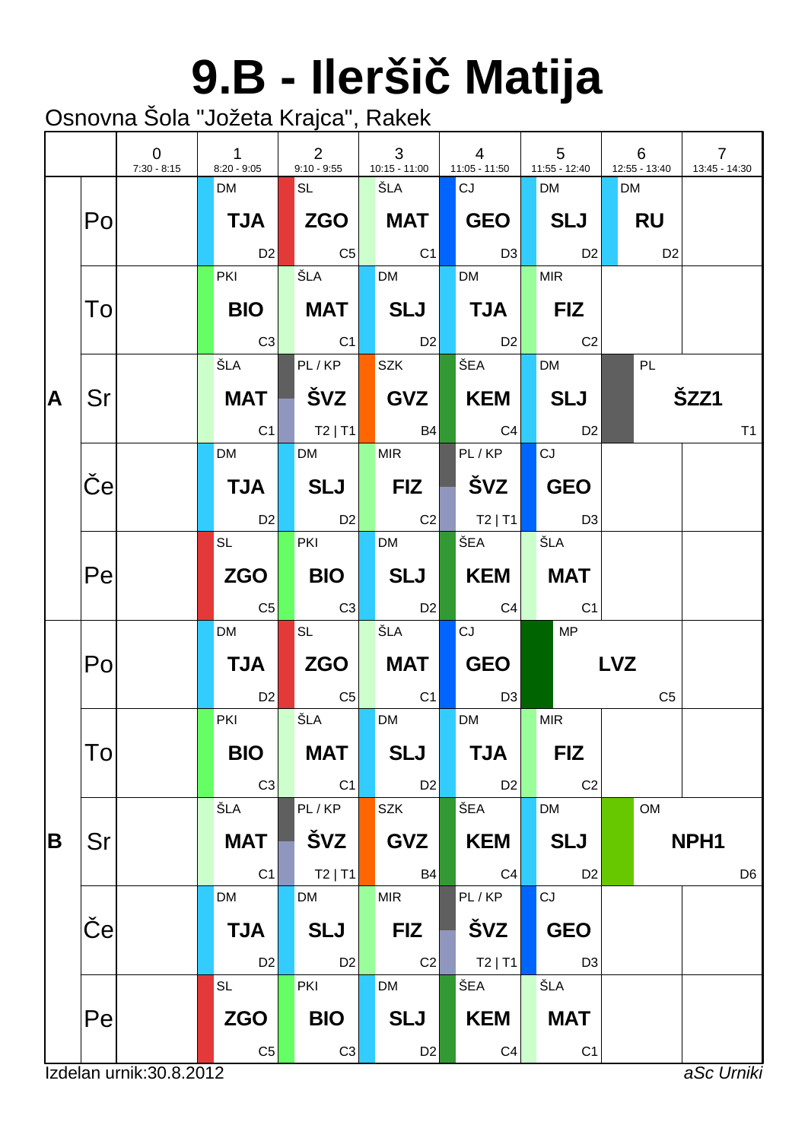# **9.B - Ilerši Matija**

|          |              | $\overline{0}$<br>$7:30 - 8:15$ | $\mathbf{1}$<br>$8:20 - 9:05$ | $\overline{2}$<br>$9:10 - 9:55$ | $\mathbf{3}$<br>$10:15 - 11:00$ | $\overline{4}$<br>11:05 - 11:50   | $5\overline{5}$<br>11:55 - 12:40 |            | 6<br>12:55 - 13:40 | $\overline{7}$<br>13:45 - 14:30 |                |
|----------|--------------|---------------------------------|-------------------------------|---------------------------------|---------------------------------|-----------------------------------|----------------------------------|------------|--------------------|---------------------------------|----------------|
|          |              |                                 | <b>DM</b>                     | SL                              | ŠLA                             | CJ                                | <b>DM</b>                        |            | <b>DM</b>          |                                 |                |
|          | Po           |                                 | <b>TJA</b>                    | <b>ZGO</b>                      | <b>MAT</b>                      | GEO                               | SLJ                              |            | RU                 |                                 |                |
|          |              |                                 | D <sub>2</sub>                | C5                              | $\overline{C1}$                 | $\Box$ D3                         | D2                               |            | D <sub>2</sub>     |                                 |                |
|          |              |                                 | <b>PKI</b>                    | ŠLA                             | <b>DM</b>                       | <b>DM</b>                         | <b>MIR</b>                       |            |                    |                                 |                |
|          | To           |                                 | BIO                           | <b>MAT</b>                      | $\vert$ SLJ $\vert$             | $\blacksquare$ TJA $\blacksquare$ | FIZ                              |            |                    |                                 |                |
|          |              |                                 | C3                            | C1                              | D2                              | D2                                | C <sub>2</sub>                   |            |                    |                                 |                |
|          |              |                                 | ŠLA                           | PL/KP                           | <b>SZK</b>                      | ŠEA                               | <b>DM</b>                        |            | PL                 |                                 |                |
| <b>A</b> | Sr           |                                 | MAT                           | │ ŠVZ │                         | GVZ                             | $\blacksquare$ KEM $\blacksquare$ | <b>SLJ</b>                       |            |                    | ŠZZ1                            |                |
|          |              |                                 | C1                            | $\vert$ T2   T1 $\vert$         | <b>B4</b>                       | C4                                | D <sub>2</sub>                   |            |                    |                                 | T <sub>1</sub> |
|          |              |                                 | <b>DM</b>                     | <b>DM</b>                       | <b>MIR</b>                      | PL/KP                             | CJ                               |            |                    |                                 |                |
|          | $\mathbf{e}$ |                                 | <b>TJA</b>                    | SLJ                             | $ $ FIZ $ $                     | ▌ŠVZ丨                             | <b>GEO</b>                       |            |                    |                                 |                |
|          |              |                                 | <b>D2</b>                     | D2                              | $\sim$ C2                       | $\blacksquare$ T2   T1            | D3                               |            |                    |                                 |                |
|          |              |                                 | $SL \qquad \qquad$            | PKI                             | <b>DM</b>                       | $\overline{\text{SEA}}$           | ŠLA                              |            |                    |                                 |                |
|          | Pe           |                                 | <b>ZGO</b>                    | <b>BIO</b>                      | SLJ                             | KEM                               | <b>MAT</b>                       |            |                    |                                 |                |
|          |              |                                 | C <sub>5</sub>                | C3                              | D <sub>2</sub>                  | C4                                | C1                               |            |                    |                                 |                |
|          |              |                                 | <b>DM</b>                     | <b>SL</b>                       | ŠLA                             | CJ                                | MP                               |            |                    |                                 |                |
|          | Po           |                                 | <b>TJA</b>                    | <b>ZGO</b>                      | <b>MAT</b>                      | GEO                               |                                  | <b>LVZ</b> |                    |                                 |                |
|          |              |                                 | D <sub>2</sub>                | $  \mathsf{C5}  $               | C <sub>1</sub>                  | <b>D3</b>                         |                                  |            | C <sub>5</sub>     |                                 |                |
|          |              |                                 | PKI                           | ŠLA                             | <b>DM</b>                       | <b>DM</b>                         | <b>MIR</b>                       |            |                    |                                 |                |
|          | To           |                                 | <b>BIO</b>                    | <b>MAT</b>                      | <b>SLJ</b>                      | <b>TJA</b>                        | <b>FIZ</b>                       |            |                    |                                 |                |
|          |              |                                 | C <sub>3</sub>                | C <sub>1</sub>                  | D2                              | D <sub>2</sub>                    | C <sub>2</sub>                   |            |                    |                                 |                |
|          |              |                                 | ŠLA                           | PL/KP                           | <b>SZK</b>                      | ŠEA                               | <b>DM</b>                        |            | OM                 |                                 |                |
| B        | Sr           |                                 | <b>MAT</b>                    | ŠVZ                             | <b>GVZ</b>                      | <b>KEM</b>                        | <b>SLJ</b>                       |            |                    | NPH <sub>1</sub>                |                |
|          |              |                                 | C <sub>1</sub>                | $T2$   T1                       | <b>B4</b>                       | C <sub>4</sub>                    | D <sub>2</sub>                   |            |                    |                                 | D <sub>6</sub> |
|          |              |                                 | DM                            | <b>DM</b>                       | <b>MIR</b>                      | PL/KP                             | CJ                               |            |                    |                                 |                |
|          | e            |                                 | <b>TJA</b>                    | <b>SLJ</b>                      | <b>FIZ</b>                      | ŠVZ                               | <b>GEO</b>                       |            |                    |                                 |                |
|          |              |                                 | D <sub>2</sub>                | D <sub>2</sub>                  | C2                              | $T2$   T1                         | D <sub>3</sub>                   |            |                    |                                 |                |
|          |              |                                 | <b>SL</b>                     | PKI                             | <b>DM</b>                       | ŠEA                               | ŠLA                              |            |                    |                                 |                |
|          | Pe           |                                 | <b>ZGO</b>                    | <b>BIO</b>                      | <b>SLJ</b>                      | <b>KEM</b>                        | <b>MAT</b>                       |            |                    |                                 |                |
|          |              |                                 | $\mathbb{C}5$                 | C <sub>3</sub>                  | D <sub>2</sub>                  | C <sub>4</sub>                    | C <sub>1</sub>                   |            |                    |                                 |                |
|          |              | Izdelan urnik: 30.8.2012        |                               |                                 |                                 |                                   |                                  |            |                    | aSc Urniki                      |                |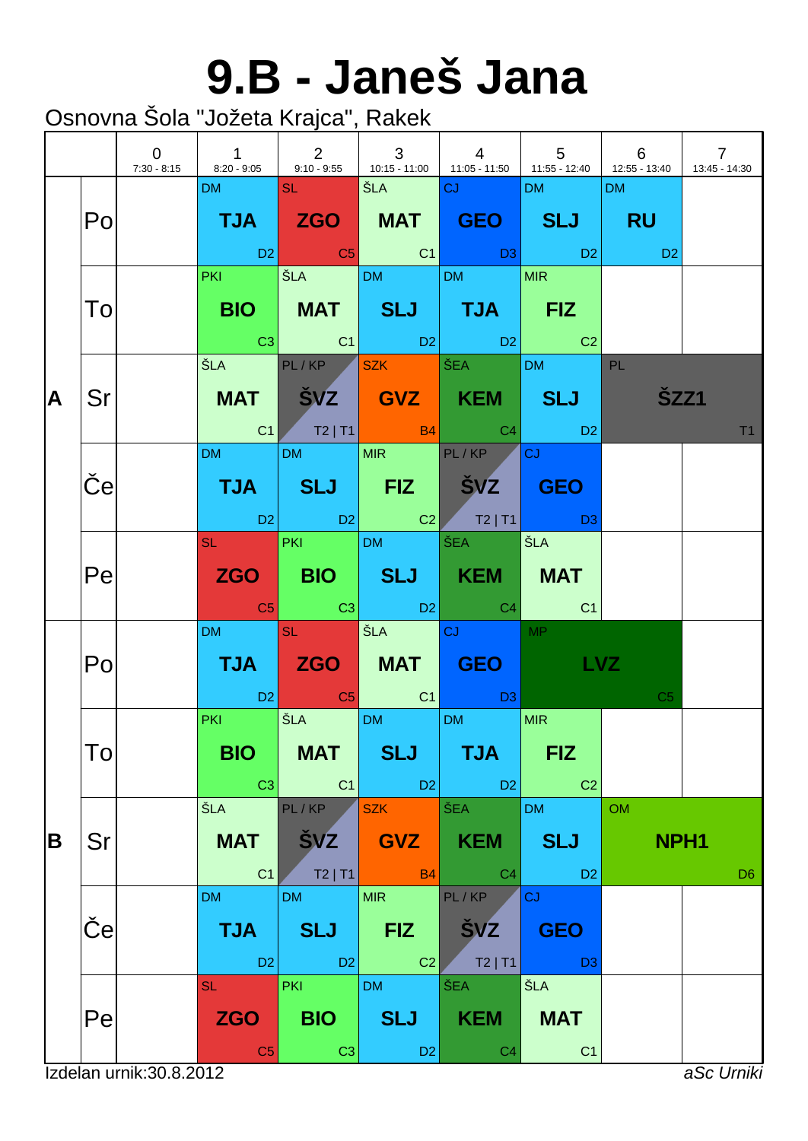#### **9.B - Janeš Jana**

|   |    | $\overline{0}$           | 7:30 - 8:15 8:20 - 9:05 9:10 - 9:55 10:15 - 11:00 11:05 - 11:50 11:55 - 12:40 12:55 - 13:40 |                                            |                                            | $\begin{array}{ccc} \end{array}$                                                                                                                                                                                                                             | $\begin{array}{ccc} & 5 & \end{array}$    | 6                                                                                                                | $\overline{7}$<br>13:45 - 14:30 |
|---|----|--------------------------|---------------------------------------------------------------------------------------------|--------------------------------------------|--------------------------------------------|--------------------------------------------------------------------------------------------------------------------------------------------------------------------------------------------------------------------------------------------------------------|-------------------------------------------|------------------------------------------------------------------------------------------------------------------|---------------------------------|
|   | Po |                          | DM                                                                                          | <b>SL</b> Production                       | │ŠLA │ <mark>CJ</mark>                     | TJA ZGO MAT GEO SLJ RU<br>in the set of the set of the set of the set of the set of the set of the set of the set of the set of the set<br>In the set of the set of the set of the set of the set of the set of the set of the set of the set of the set<br> | <b>DM</b>                                 | DM<br><b>Daniel Daniel Daniel Daniel Daniel Daniel Daniel Daniel Daniel Daniel Daniel Daniel Daniel Daniel D</b> |                                 |
|   | To |                          |                                                                                             |                                            |                                            | PKI SLA DM DM MIR<br>BIO   MAT   SLJ   TJA   FIZ<br>$\begin{array}{ c c c c c c c c c } \hline \quad & \text{C3} & \text{C1} & \text{D2} & \text{D2} & \text{C2} \ \hline \end{array}$                                                                       |                                           |                                                                                                                  |                                 |
| A | Sr |                          |                                                                                             |                                            |                                            | ŠLA PL/KP <mark>SZK ŠEA DM PL</mark><br>MAT ŠVZ GVZ KEM SLJ<br>$C1$ $T2$   $T1$ $B4$ $C4$ $D2$                                                                                                                                                               |                                           | <b>ŠZZ1</b>                                                                                                      | T1                              |
|   | e  |                          | DM and the state                                                                            | DM MIR PL/KP                               |                                            | TJA SLJ FIZ ŠVZ GEO                                                                                                                                                                                                                                          | <b>CJ</b>                                 |                                                                                                                  |                                 |
|   | Pe |                          |                                                                                             |                                            |                                            | ZGO BIO SLJ KEM MAT<br><b>Example 1</b> C3 C3 D2 C4 C4                                                                                                                                                                                                       |                                           |                                                                                                                  |                                 |
|   | Po |                          | DM and the state                                                                            | <b>SL SL</b>                               | STA CJ                                     | TJA ZGO MAT GEO LVZ<br>in the D2 in the C5 in the C1 in the D3 is the D3 in the D3 is the D3 is the D3 is the C1 in the D3 is the D3 i                                                                                                                       | MP                                        | C <sub>5</sub>                                                                                                   |                                 |
|   | Tо |                          | <b>PKI CONTINUES</b><br><b>BIO</b><br>C3                                                    | SLA DM DM<br><b>MAT</b><br>C <sub>1</sub>  | <b>SLJ</b><br>DB                           | <b>TJA</b><br>D <sub>2</sub>                                                                                                                                                                                                                                 | MIR<br><b>FIZ</b><br>C <sub>2</sub>       |                                                                                                                  |                                 |
| B | Sr |                          | ŠLA<br><b>MAT</b><br>C <sub>1</sub>                                                         | PL/KP<br><b>ŠVZ</b><br>$T2$   T1           | <b>SZK</b><br><b>GVZ</b><br><b>B4</b>      | <b>ŠEA</b><br><b>KEM</b><br>C <sub>4</sub>                                                                                                                                                                                                                   | <b>DM</b><br><b>SLJ</b><br>D <sub>2</sub> | <b>OM</b><br>NPH <sub>1</sub>                                                                                    | D <sub>6</sub>                  |
|   | е  |                          | <b>DM</b><br><b>TJA</b><br>D <sub>2</sub>                                                   | <b>DM</b><br><b>SLJ</b><br>D2              | <b>MIR</b><br><b>FIZ</b><br>C <sub>2</sub> | PL/KP<br><b>SVZ</b><br>$T2$   T1                                                                                                                                                                                                                             | CJ<br><b>GEO</b><br>D <sub>3</sub>        |                                                                                                                  |                                 |
|   | Pe |                          | <b>SL</b><br><b>ZGO</b><br>C <sub>5</sub>                                                   | <b>PKI</b><br><b>BIO</b><br>C <sub>3</sub> | <b>DM</b><br><b>SLJ</b><br>D <sub>2</sub>  | ŠEA<br><b>KEM</b><br>C <sub>4</sub>                                                                                                                                                                                                                          | ŠLA<br><b>MAT</b><br>C <sub>1</sub>       |                                                                                                                  |                                 |
|   |    | Izdelan urnik: 30.8.2012 |                                                                                             |                                            |                                            |                                                                                                                                                                                                                                                              |                                           |                                                                                                                  | aSc Urniki                      |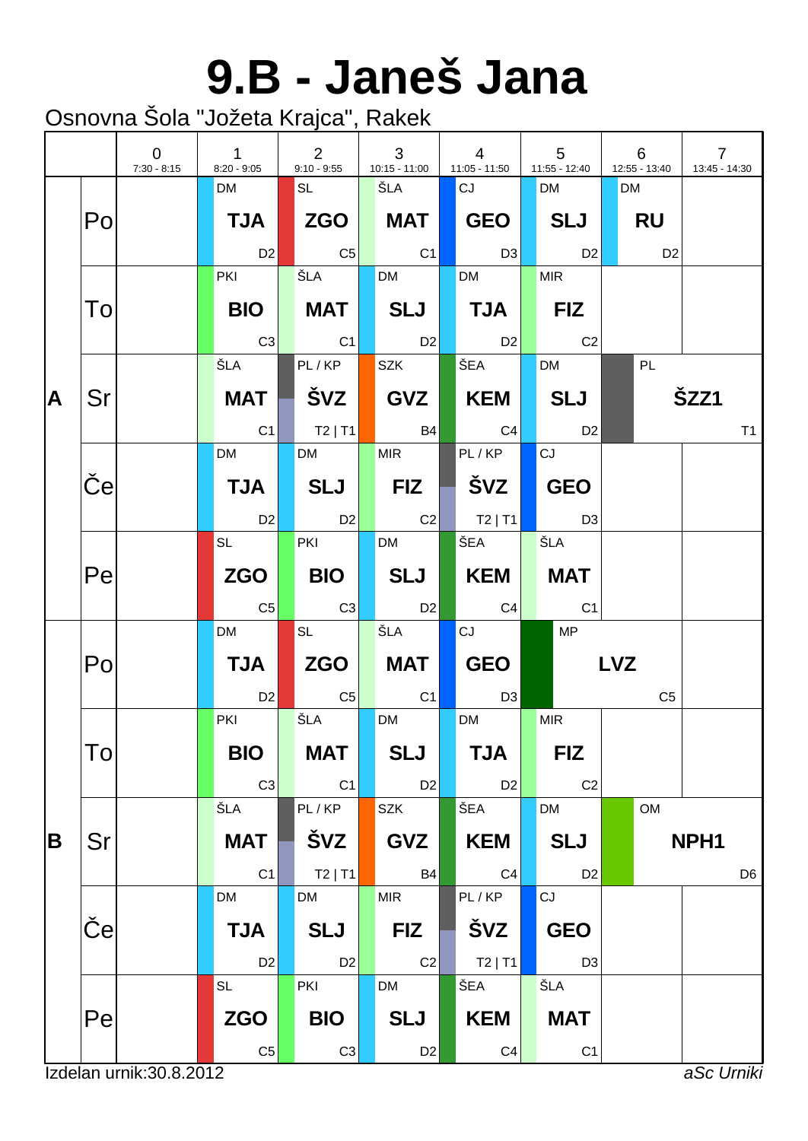#### **9.B - Janeš Jana**

|   |                           | $\overline{0}$<br>$7:30 - 8:15$ | $\mathbf{1}$<br>$8:20 - 9:05$ | $\overline{2}$<br>$9:10 - 9:55$ | 3<br>10:15 - 11:00 | $\overline{4}$<br>$11:05 - 11:50$ | $5\phantom{.0}$<br>$11:55 - 12:40$ | 6<br>12:55 - 13:40 | $\overline{7}$<br>13:45 - 14:30 |
|---|---------------------------|---------------------------------|-------------------------------|---------------------------------|--------------------|-----------------------------------|------------------------------------|--------------------|---------------------------------|
|   |                           |                                 | <b>DM</b>                     | SL                              | ŠLA                | CJ                                | <b>DM</b>                          | <b>DM</b>          |                                 |
|   | Po                        |                                 | <b>TJA</b>                    |                                 | MAT                | GEO                               | SLJ                                | <b>RU</b>          |                                 |
|   |                           |                                 | D <sub>2</sub>                | $\overline{C5}$                 | C1                 | D3                                | D <sub>2</sub>                     | D <sub>2</sub>     |                                 |
|   |                           |                                 | <b>PKI</b>                    | ŠLA                             | <b>DM</b>          | <b>DM</b>                         | <b>MIR</b>                         |                    |                                 |
|   | To                        |                                 | <b>BIO</b>                    | MAT                             | SLJ                | $\blacksquare$ TJA $\blacksquare$ | $ $ FIZ                            |                    |                                 |
|   |                           |                                 | C3                            | C1                              | D2                 | D2                                | C <sub>2</sub>                     |                    |                                 |
|   |                           |                                 | ŠLA                           | PL/KP                           | <b>SZK</b>         | ŠEA                               | <b>DM</b>                          | PL                 |                                 |
| A | Sr                        |                                 | <b>MAT</b>                    | │ ŠVZ │                         | GVZ                | KEM                               | <b>SLJ</b>                         |                    | ŠZZ1                            |
|   |                           |                                 | C <sub>1</sub>                | $ $ T2   T1                     | <b>B4</b>          | C4                                | D <sub>2</sub>                     |                    | T1                              |
|   |                           |                                 | <b>DM</b>                     | <b>DM</b>                       | <b>MIR</b>         | PL/KP                             | CJ                                 |                    |                                 |
|   | $\boldsymbol{\mathsf{e}}$ |                                 | <b>TJA</b>                    | <b>SLJ</b>                      | <b>FIZ</b>         | ŠVZ                               | <b>GEO</b>                         |                    |                                 |
|   |                           |                                 | D <sub>2</sub>                | D2                              | C2                 | $ $ T2   T1                       | D3                                 |                    |                                 |
|   |                           |                                 | <b>SL</b>                     | <b>PKI</b>                      | <b>DM</b>          | ŠEA                               | ŠLA                                |                    |                                 |
|   | Pe                        |                                 | <b>ZGO</b>                    | <b>BIO</b>                      | SLJ                | KEM                               | <b>MAT</b>                         |                    |                                 |
|   |                           |                                 | C <sub>5</sub>                | C3                              | <b>D2</b>          | C4                                | C <sub>1</sub>                     |                    |                                 |
|   |                           |                                 | <b>DM</b>                     | <b>SL</b>                       | ŠLA                | CJ                                | <b>MP</b>                          |                    |                                 |
|   | Po                        |                                 | <b>TJA</b>                    | ZGO                             | <b>MAT</b>         | GEO                               |                                    | <b>LVZ</b>         |                                 |
|   |                           |                                 | D <sub>2</sub>                | $  \mathbb{C}5 $                | C1                 | D <sub>3</sub>                    |                                    | C <sub>5</sub>     |                                 |
|   |                           |                                 | PKI                           | ŠLA                             | <b>DM</b>          | <b>DM</b>                         | <b>MIR</b>                         |                    |                                 |
|   | To                        |                                 | <b>BIO</b>                    | <b>MAT</b>                      | <b>SLJ</b>         | <b>TJA</b>                        | <b>FIZ</b>                         |                    |                                 |
|   |                           |                                 | C <sub>3</sub>                | C1                              | D <sub>2</sub>     | D <sub>2</sub>                    | C <sub>2</sub>                     |                    |                                 |
|   |                           |                                 | ŠLA                           | PL/KP                           | <b>SZK</b>         | ŠEA                               | <b>DM</b>                          | OM                 |                                 |
| B | Sr                        |                                 | <b>MAT</b>                    | ŠVZ                             | <b>GVZ</b>         | <b>KEM</b>                        | <b>SLJ</b>                         |                    | NPH <sub>1</sub>                |
|   |                           |                                 | C1                            | $T2$   T1                       | <b>B4</b>          | C <sub>4</sub>                    | D <sub>2</sub>                     |                    | D <sub>6</sub>                  |
|   |                           |                                 | <b>DM</b>                     | <b>DM</b>                       | <b>MIR</b>         | PL/KP                             | CJ                                 |                    |                                 |
|   | e                         |                                 | <b>TJA</b>                    | <b>SLJ</b>                      | <b>FIZ</b>         | ŠVZ                               | <b>GEO</b>                         |                    |                                 |
|   |                           |                                 | D <sub>2</sub>                | D <sub>2</sub>                  | C2                 | $T2$   T1                         | D <sub>3</sub>                     |                    |                                 |
|   |                           |                                 | <b>SL</b>                     | PKI                             | DM                 | ŠEA                               | ŠLA                                |                    |                                 |
|   | Pe                        |                                 | <b>ZGO</b>                    | <b>BIO</b>                      | <b>SLJ</b>         | <b>KEM</b>                        | <b>MAT</b>                         |                    |                                 |
|   |                           |                                 | C <sub>5</sub>                | C <sub>3</sub>                  | D <sub>2</sub>     | C <sub>4</sub>                    | C <sub>1</sub>                     |                    |                                 |
|   |                           | Izdelan urnik: 30.8.2012        |                               |                                 |                    |                                   |                                    |                    | aSc Urniki                      |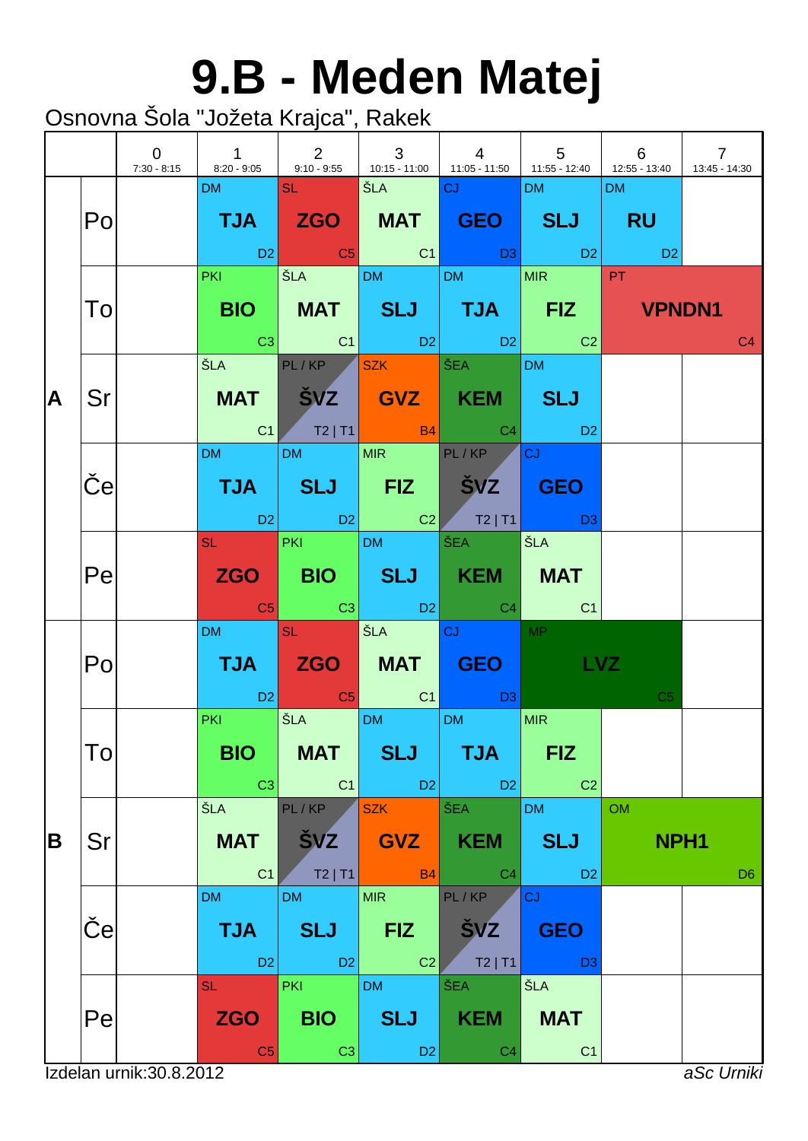### **9.B - Meden Matej**

|   |    | $\overline{0}$<br>7:30 - 8:15 | $\mathbf{1}$                              | $\begin{array}{ccc} \end{array}$ 2         | $\mathbf{3}$<br>$\mathbb{R}^n$             | $\overline{4}$<br>8:20 - 9:05 9:10 - 9:55 410:15 - 11:00 11:05 - 11:50 11:55 - 12:40 41:55 - 13:40                                                                               | $5\overline{)}$                           | 6                             | $\overline{7}$<br>13:45 - 14:30 |
|---|----|-------------------------------|-------------------------------------------|--------------------------------------------|--------------------------------------------|----------------------------------------------------------------------------------------------------------------------------------------------------------------------------------|-------------------------------------------|-------------------------------|---------------------------------|
|   | Po |                               | DM SL SL                                  |                                            | │ŠLA │ <mark>CJ</mark>                     | TJA ZGO MAT GEO SLJ RU                                                                                                                                                           | <b>DM</b>                                 | DM                            |                                 |
|   | To |                               |                                           |                                            |                                            | PKI ŠLA DM DM MIR PT<br>BIO MAT SLJ TJA FIZ VPNDN1<br>$\begin{array}{ c c c c c c c c c } \hline \text{C3} & \text{C1} & \text{D2} & \text{D2} & \text{C2} \ \hline \end{array}$ |                                           |                               | C <sub>4</sub>                  |
| A | Sr |                               |                                           |                                            |                                            | ŠLA PL/KP SZK ŠEA DM<br>MAT   ŠVZ   GVZ   KEM   SLJ<br>$C1$ $T2$   $T1$ $B4$ $C4$ $D2$                                                                                           |                                           |                               |                                 |
|   | e  |                               | DM and the state                          | DM MIR PL/KP                               |                                            | TJA SLJ FIZ ŠVZ GEO<br>02 D2 D2 C2 T2 T1 D3                                                                                                                                      | <b>CJ C</b>                               |                               |                                 |
|   | Pe |                               |                                           | SL PKI DM ŠEA                              |                                            | ZGO BIO SLJ KEM MAT<br>$\begin{array}{ c c c c c }\hline \texttt{C5} & \texttt{C3} & \texttt{D2} & \texttt{C4} & \texttt{C1} \\\hline \end{array}$                               | │ŠLA                                      |                               |                                 |
|   | Po |                               | DM and the                                | <b>SL SL</b>                               | <b>SEA CJ</b>                              | TJA ZGO MAT GEO LVZ<br>in the D2 in the C5 in the C1 in the D3 in the C1 in the D3 in the D3 in the D3 in the C1 in the C1 in the C1 i                                           | $\sqrt{MP}$                               | C <sub>5</sub>                |                                 |
|   | To |                               | <b>PKI CONTINUES</b><br>BIO  <br>C3       | SLA DM<br>MAT  <br>C1                      | <b>SLJ</b><br>$ $ D2                       | DM<br><b>TJA</b><br>D <sub>2</sub>                                                                                                                                               | MIR<br><b>FIZ</b><br>C <sub>2</sub>       |                               |                                 |
| B | Sr |                               | ŠLA<br><b>MAT</b><br>C <sub>1</sub>       | PL/KP<br><b>SVZ</b><br>$T2$   T1           | <b>SZK</b><br><b>GVZ</b><br><b>B4</b>      | ŠEA<br><b>KEM</b><br>C <sub>4</sub>                                                                                                                                              | <b>DM</b><br><b>SLJ</b><br>D <sub>2</sub> | <b>OM</b><br>NPH <sub>1</sub> | D <sub>6</sub>                  |
|   | е  |                               | <b>DM</b><br><b>TJA</b><br>D <sub>2</sub> | <b>DM</b><br><b>SLJ</b><br>D <sub>2</sub>  | <b>MIR</b><br><b>FIZ</b><br>C <sub>2</sub> | PL/KP<br><b>SVZ</b><br>$T2$   T1                                                                                                                                                 | CJ<br><b>GEO</b><br>D <sub>3</sub>        |                               |                                 |
|   | Pe |                               | <b>SL</b><br><b>ZGO</b><br>C <sub>5</sub> | <b>PKI</b><br><b>BIO</b><br>C <sub>3</sub> | <b>DM</b><br><b>SLJ</b><br>D <sub>2</sub>  | ŠEA<br><b>KEM</b><br>C <sub>4</sub>                                                                                                                                              | ŠLA<br><b>MAT</b><br>C <sub>1</sub>       |                               |                                 |
|   |    | Izdelan urnik: 30.8.2012      |                                           |                                            |                                            |                                                                                                                                                                                  |                                           |                               | aSc Urniki                      |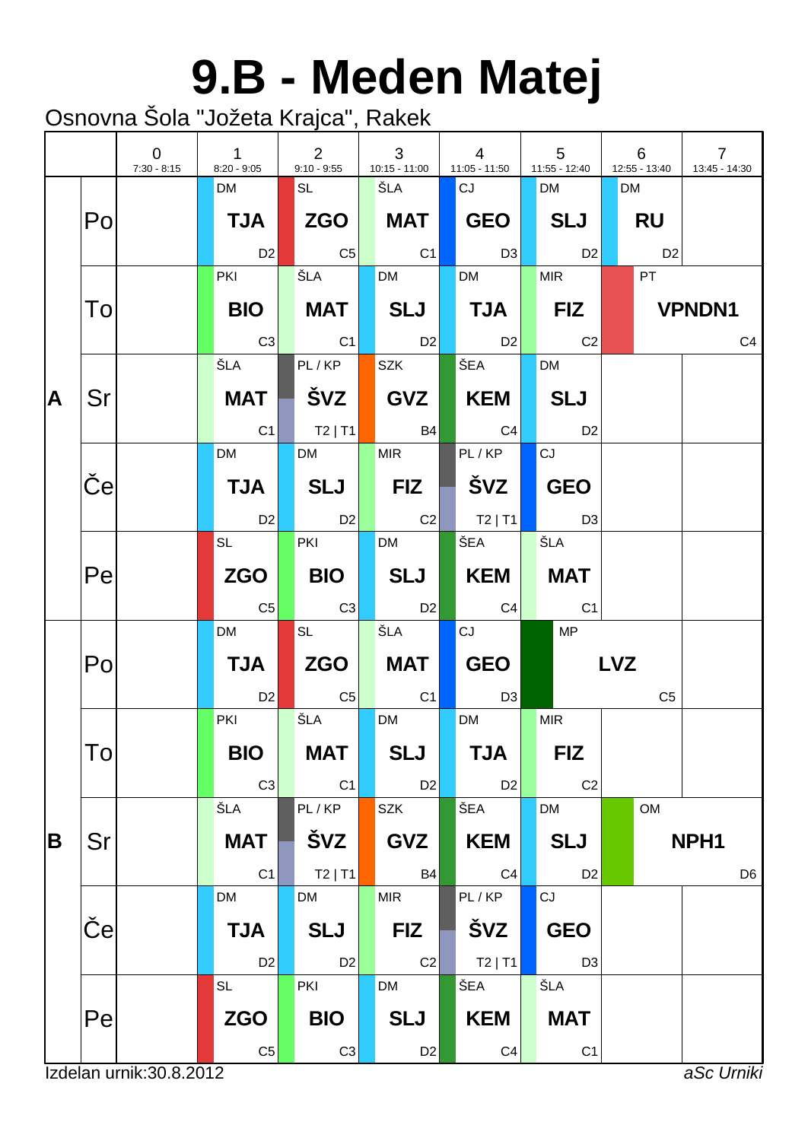# **9.B - Meden Matej**

|   |                           | $\overline{0}$<br>$7:30 - 8:15$ | $\mathbf{1}$<br>$8:20 - 9:05$ | $\overline{2}$<br>$9:10 - 9:55$ | 3<br>$10:15 - 11:00$ | $\overline{4}$<br>11:05 - 11:50   | $5\phantom{.0}$<br>11:55 - 12:40 | 6<br>12:55 - 13:40 | $\overline{7}$<br>13:45 - 14:30 |
|---|---------------------------|---------------------------------|-------------------------------|---------------------------------|----------------------|-----------------------------------|----------------------------------|--------------------|---------------------------------|
|   |                           |                                 | <b>DM</b>                     | <b>SL</b>                       | ŠLA                  | <b>CJ</b>                         | <b>DM</b>                        | <b>DM</b>          |                                 |
|   | Po                        |                                 | <b>TJA</b>                    |                                 | <b>MAT</b>           | <b>GEO</b>                        | <b>SLJ</b>                       | <b>RU</b>          |                                 |
|   |                           |                                 | D <sub>2</sub>                | C <sub>5</sub>                  | $\overline{C1}$      | $\Box$ D3                         | D2                               | D <sub>2</sub>     |                                 |
|   |                           |                                 | <b>PKI</b>                    | ŠLA                             | <b>DM</b>            | <b>DM</b>                         | <b>MIR</b>                       | <b>PT</b>          |                                 |
|   | To                        |                                 | <b>BIO</b>                    | MAT                             | SLJ                  | $\blacksquare$ TJA $\blacksquare$ | $\blacksquare$ FIZ               |                    | <b>VPNDN1</b>                   |
|   |                           |                                 | C3                            | C1                              | D2                   | $\overline{D2}$                   | C <sub>2</sub>                   |                    | C <sub>4</sub>                  |
|   |                           |                                 | ŠLA                           | PL/KP                           | <b>SZK</b>           | SEA I                             | <b>DM</b>                        |                    |                                 |
| A | Sr                        |                                 | <b>MAT</b>                    | │ ŠVZ                           | GVZ                  | KEM <b>N</b>                      | <b>SLJ</b>                       |                    |                                 |
|   |                           |                                 | C <sub>1</sub>                | $\vert$ T2   T1                 | <b>B4</b>            | C4                                | <b>D2</b>                        |                    |                                 |
|   |                           |                                 | <b>DM</b>                     | <b>DM</b>                       | <b>MIR</b>           | PL/KP                             | CJ                               |                    |                                 |
|   | $\boldsymbol{\mathsf{e}}$ |                                 | <b>TJA</b>                    | SLJ                             | <b>FIZ</b>           |                                   | <b>GEO</b>                       |                    |                                 |
|   |                           |                                 | D <sub>2</sub>                | D2                              | C2                   | $ $ T2   T1                       | D3                               |                    |                                 |
|   |                           |                                 | <b>SL</b>                     | <b>PKI</b>                      | <b>DM</b>            | ŠEA                               | ŠLA                              |                    |                                 |
|   | Pe                        |                                 | <b>ZGO</b>                    | <b>BIO</b>                      | SLJ                  | KEM                               | <b>MAT</b>                       |                    |                                 |
|   |                           |                                 | C <sub>5</sub>                | C3                              | D <sub>2</sub>       | C4                                | C1                               |                    |                                 |
|   |                           |                                 | <b>DM</b>                     | <b>SL</b>                       | ŠLA                  | CJ                                | <b>MP</b>                        |                    |                                 |
|   | Po                        |                                 | <b>TJA</b>                    | <b>ZGO</b>                      | MAT                  | GEO                               |                                  | <b>LVZ</b>         |                                 |
|   |                           |                                 | D <sub>2</sub>                | $\overline{C5}$                 | C <sub>1</sub>       | D <sub>3</sub>                    |                                  | C <sub>5</sub>     |                                 |
|   |                           |                                 | PKI                           | ŠLA                             | <b>DM</b>            | <b>DM</b>                         | <b>MIR</b>                       |                    |                                 |
|   | Tol                       |                                 | <b>BIO</b>                    | <b>MAT</b>                      | <b>SLJ</b>           | <b>TJA</b>                        | <b>FIZ</b>                       |                    |                                 |
|   |                           |                                 | C <sub>3</sub>                | C1                              | D <sub>2</sub>       | D <sub>2</sub>                    | C <sub>2</sub>                   |                    |                                 |
|   |                           |                                 | ŠLA                           | PL/KP                           | SZK                  | ŠEA                               | <b>DM</b>                        | OM                 |                                 |
| B | Sr                        |                                 | <b>MAT</b>                    | ŠVZ                             | <b>GVZ</b>           | <b>KEM</b>                        | <b>SLJ</b>                       |                    | NPH <sub>1</sub>                |
|   |                           |                                 | C1                            | $T2$   T1                       | <b>B4</b>            | C <sub>4</sub>                    | D <sub>2</sub>                   |                    | D <sub>6</sub>                  |
|   |                           |                                 | <b>DM</b>                     | <b>DM</b>                       | <b>MIR</b>           | PL/KP                             | CJ                               |                    |                                 |
|   | $\vert e \vert$           |                                 | <b>TJA</b>                    | <b>SLJ</b>                      | <b>FIZ</b>           | <b>ŠVZ</b>                        | <b>GEO</b>                       |                    |                                 |
|   |                           |                                 | D <sub>2</sub>                | D <sub>2</sub>                  | C2                   | $T2$   T1                         | D <sub>3</sub>                   |                    |                                 |
|   |                           |                                 | <b>SL</b>                     | PKI                             | DM                   | ŠEA                               | ŠLA                              |                    |                                 |
|   | Pe                        |                                 | <b>ZGO</b>                    | <b>BIO</b>                      | <b>SLJ</b>           | <b>KEM</b>                        | <b>MAT</b>                       |                    |                                 |
|   |                           |                                 | C <sub>5</sub>                | C <sub>3</sub>                  | D <sub>2</sub>       | C <sub>4</sub>                    | C <sub>1</sub>                   |                    |                                 |
|   |                           | Izdelan urnik: 30.8.2012        |                               |                                 |                      |                                   |                                  |                    | aSc Urniki                      |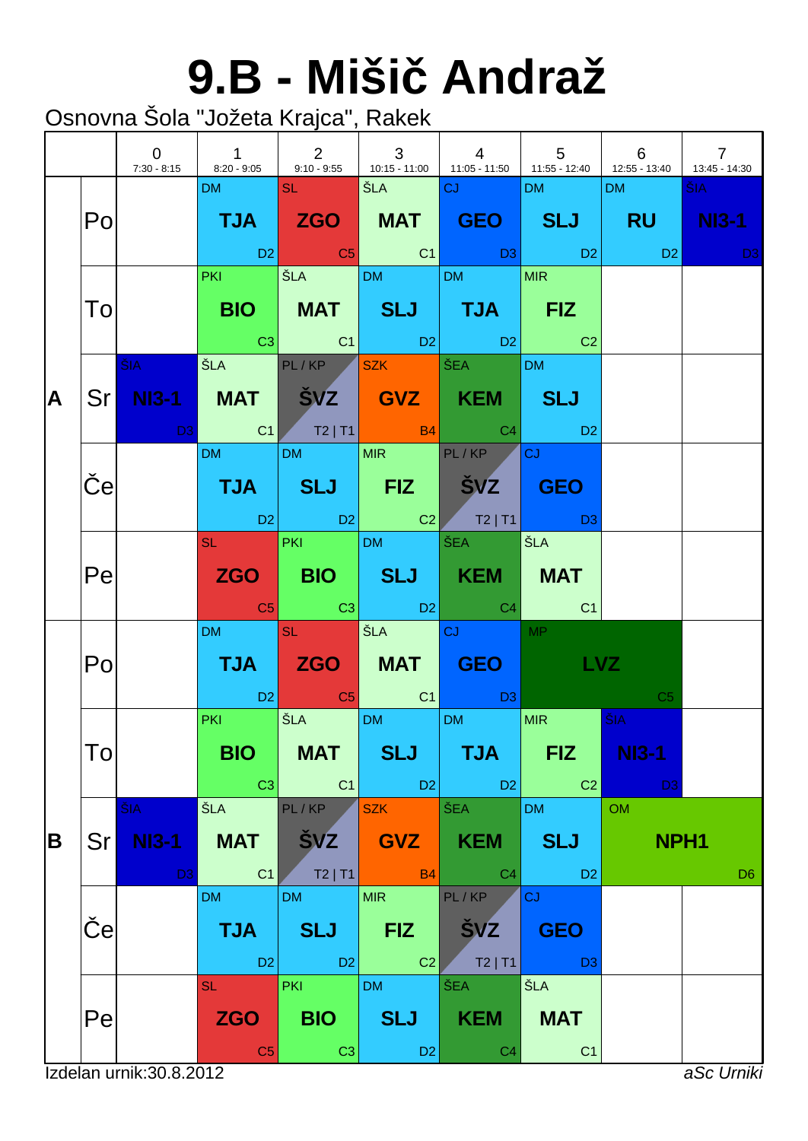# **9.B - Miši Andraž**

|   |            | $\overline{0}$<br>$7:30 - 8:15$       |                                                                                                                                                                     |                                            |                                               | $\begin{array}{ c c c c c } \hline \quad & \quad & 4 \end{array}$<br>8:20 - 9:05 9:10 - 9:55 410:15 - 11:00 11:05 - 11:50 11:55 - 12:40 41:55 - 13:40                                                                                                                                                                                                                                                                                                                                                                                    | $\begin{array}{cccc} \begin{array}{cccc} \end{array} & 5 & \end{array}$ 6 |                                                           | $\overline{7}$<br>13:45 - 14:30                                                                                               |
|---|------------|---------------------------------------|---------------------------------------------------------------------------------------------------------------------------------------------------------------------|--------------------------------------------|-----------------------------------------------|------------------------------------------------------------------------------------------------------------------------------------------------------------------------------------------------------------------------------------------------------------------------------------------------------------------------------------------------------------------------------------------------------------------------------------------------------------------------------------------------------------------------------------------|---------------------------------------------------------------------------|-----------------------------------------------------------|-------------------------------------------------------------------------------------------------------------------------------|
|   | Po         |                                       | DM and the                                                                                                                                                          | <b>SL SL</b>                               | SEA CJ                                        | TJA ZGO MAT GEO SLJ RU NI3-1<br>in the set of the set of the set of the set of the set of the set of the set of the set of the set of the set<br>In the set of the set of the set of the set of the set of the set of the set of the set of the set of the set                                                                                                                                                                                                                                                                           | DM                                                                        | DM <sub>2</sub>                                           | ŠIA ·<br><b>David David David David David David David David David David David David David David David David David David D</b> |
|   | To         |                                       | <b>PKI Contract</b>                                                                                                                                                 |                                            |                                               | $\overline{\text{SLA}}$ $\overline{\text{DM}}$ $\overline{\text{DM}}$ $\overline{\text{MR}}$<br>BIO   MAT   SLJ   TJA   FIZ<br>$\begin{array}{ c c c c c c }\hline \rule{0mm}{1.2mm} & \rule{0mm}{2mm} & \rule{0mm}{2mm} & \rule{0mm}{2mm} & \rule{0mm}{2mm} & \rule{0mm}{2mm} & \rule{0mm}{2mm} & \rule{0mm}{2mm} & \rule{0mm}{2mm} & \rule{0mm}{2mm} & \rule{0mm}{2mm} & \rule{0mm}{2mm} & \rule{0mm}{2mm} & \rule{0mm}{2mm} & \rule{0mm}{2mm} & \rule{0mm}{2mm} & \rule{0mm}{2mm} & \rule{0mm}{2mm} & \rule{0mm}{2mm} & \rule{0mm}{2$ |                                                                           |                                                           |                                                                                                                               |
| A |            | $\tilde{\mathsf{S}}$ IA $\qquad$      | SLA PL/KP <mark>SZK SEA 1999 SLA 1999 SEA 1999 SLA 1999 SLA</mark><br>Sr NI3-1 MAT ŠVZ GVZ KEM SLJ                                                                  |                                            |                                               |                                                                                                                                                                                                                                                                                                                                                                                                                                                                                                                                          | DM                                                                        |                                                           |                                                                                                                               |
|   | $\epsilon$ |                                       | DM and the state                                                                                                                                                    |                                            | DM MIR PL/KP                                  | TJA   SLJ   FIZ   ŠVZ <mark>  GEO</mark><br>$CD2$ $D2$ $C2$ $T2 T1$ $D3$                                                                                                                                                                                                                                                                                                                                                                                                                                                                 | $ _{\rm CJ}$                                                              |                                                           |                                                                                                                               |
|   | Pe         |                                       |                                                                                                                                                                     |                                            | SL PKI DM ŠEA                                 | ZGO BIO SLJ KEM MAT<br><b>Contact Contact Contact Contact Contact Contact Contact Contact Contact Contact Contact Contact Contact Conta</b>                                                                                                                                                                                                                                                                                                                                                                                              | ŠLA                                                                       |                                                           |                                                                                                                               |
|   | Po         |                                       | DM and the state                                                                                                                                                    | <b>SLEEPING</b>                            | <b>SEA CJ</b>                                 | <b>TJA ZGO MAT GEO</b><br><b>Example 1</b> D2 C5 C1 D3                                                                                                                                                                                                                                                                                                                                                                                                                                                                                   | <b>MP</b><br>LVZ.                                                         | C <sub>5</sub>                                            |                                                                                                                               |
|   | To         |                                       | <b>Contract Contract Contract Contract Contract Contract Contract Contract Contract Contract Contract Contract Co</b><br><b>PKI</b><br><b>BIO</b><br>C <sub>3</sub> | <b>MAT</b><br>C1                           | SLA DM DM<br><b>SLJ</b><br>$ $ D <sub>2</sub> | <b>TJA</b><br>D <sub>2</sub>                                                                                                                                                                                                                                                                                                                                                                                                                                                                                                             | <b>MIR</b><br><b>FIZ</b><br>C <sub>2</sub>                                | $\overline{\text{SIA}}$<br><b>NI3-1</b><br>D <sub>3</sub> |                                                                                                                               |
| B | Sr         | ŠIA<br><b>NI3-1</b><br>D <sub>3</sub> | ŠLA<br><b>MAT</b><br>C <sub>1</sub>                                                                                                                                 | PL/KP<br><b>ŠVZ</b><br>$T2$   T1           | <b>SZK</b><br><b>GVZ</b><br><b>B4</b>         | ŠEA<br><b>KEM</b><br>C <sub>4</sub>                                                                                                                                                                                                                                                                                                                                                                                                                                                                                                      | <b>DM</b><br><b>SLJ</b><br>D <sub>2</sub>                                 | <b>OM</b><br>NPH <sub>1</sub>                             | D <sub>6</sub>                                                                                                                |
|   | e          |                                       | <b>DM</b><br><b>TJA</b><br>D <sub>2</sub>                                                                                                                           | <b>DM</b><br><b>SLJ</b><br>D2              | <b>MIR</b><br><b>FIZ</b><br>C <sub>2</sub>    | PL/KP<br><b>SVZ</b><br>$T2$   T1                                                                                                                                                                                                                                                                                                                                                                                                                                                                                                         | CJ<br><b>GEO</b><br>D <sub>3</sub>                                        |                                                           |                                                                                                                               |
|   | Pe         |                                       | <b>SL</b><br><b>ZGO</b><br>C <sub>5</sub>                                                                                                                           | <b>PKI</b><br><b>BIO</b><br>C <sub>3</sub> | <b>DM</b><br><b>SLJ</b><br>D <sub>2</sub>     | ŠEA<br><b>KEM</b><br>C <sub>4</sub>                                                                                                                                                                                                                                                                                                                                                                                                                                                                                                      | ŠLA<br><b>MAT</b><br>C <sub>1</sub>                                       |                                                           |                                                                                                                               |
|   |            | Izdelan urnik: 30.8.2012              |                                                                                                                                                                     |                                            |                                               |                                                                                                                                                                                                                                                                                                                                                                                                                                                                                                                                          |                                                                           |                                                           | aSc Urniki                                                                                                                    |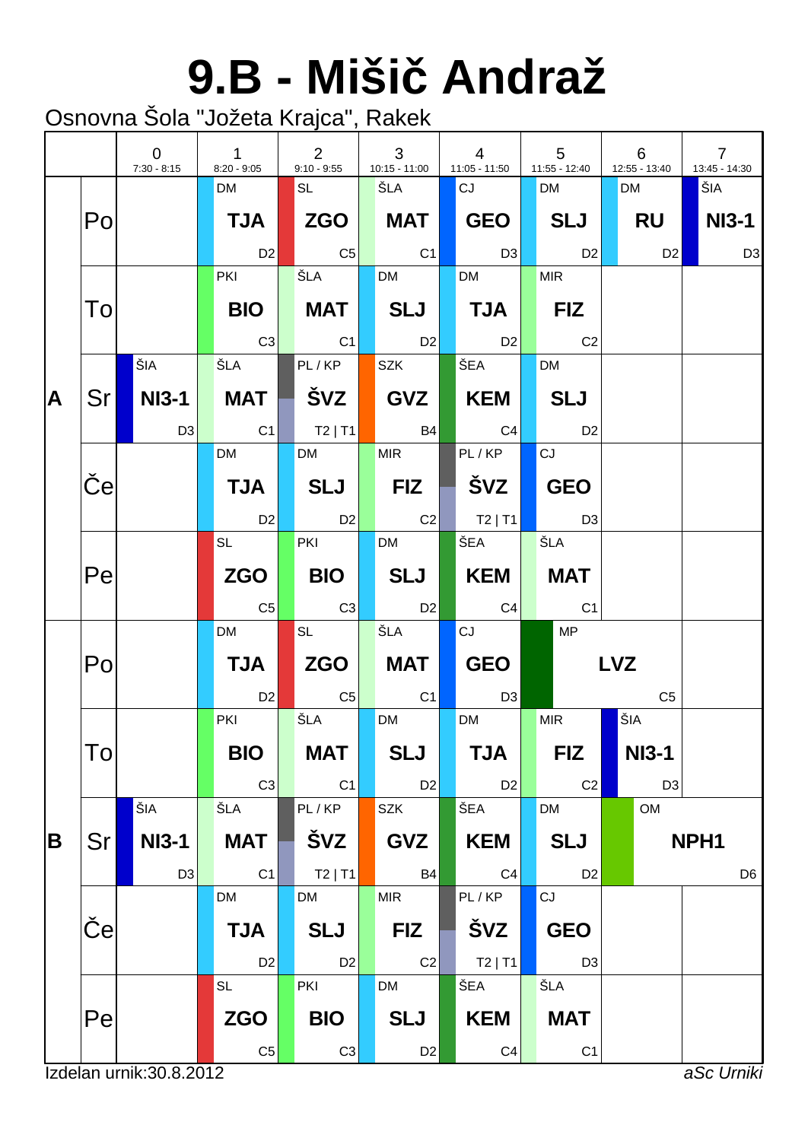# **9.B - Miši Andraž**

|   |              | $\Omega$<br>$7:30 - 8:15$ | $\mathbf{1}$<br>$8:20 - 9:05$ | 2<br>$9:10 - 9:55$ | 3<br>$10:15 - 11:00$ | $\overline{4}$<br>$11:05 - 11:50$ |                | 5<br>11:55 - 12:40 | 6<br>12:55 - 13:40 | $\overline{7}$<br>13:45 - 14:30 |
|---|--------------|---------------------------|-------------------------------|--------------------|----------------------|-----------------------------------|----------------|--------------------|--------------------|---------------------------------|
|   |              |                           | <b>DM</b>                     | SL                 | ŠLA                  | CJ                                |                | <b>DM</b>          | <b>DM</b>          | ŠIA                             |
|   | Po           |                           | <b>TJA</b>                    |                    | <b>MAT</b>           | GEO                               |                | SLJ                | RU                 | NI3-1                           |
|   |              |                           | D <sub>2</sub>                | $\overline{C5}$    | $\overline{C1}$      |                                   | D3             | D <sub>2</sub>     | D2                 | D <sub>3</sub>                  |
|   |              |                           | <b>PKI</b>                    | ŠLA                | <b>DM</b>            | <b>DM</b>                         |                | <b>MIR</b>         |                    |                                 |
|   | To           |                           | <b>BIO</b>                    | <b>MAT</b>         | $ \;$ SLJ $ $        | $\vert$ TJA $\vert$               |                | <b>FIZ</b>         |                    |                                 |
|   |              |                           | C3                            | C1                 | D2                   | D2                                |                | C <sub>2</sub>     |                    |                                 |
|   |              | ŠIA                       | ŠLA                           | PL/KP              | <b>SZK</b>           | ŠEA                               |                | <b>DM</b>          |                    |                                 |
| A | Sr I         | NI3-1                     | <b>MAT</b>                    | ŠVZ                | GVZ                  | KEM                               |                | <b>SLJ</b>         |                    |                                 |
|   |              | D <sub>3</sub>            | C <sub>1</sub>                | $ $ T2   T1        | <b>B4</b>            | C4                                |                | D <sub>2</sub>     |                    |                                 |
|   |              |                           | <b>DM</b>                     | <b>DM</b>          | <b>MIR</b>           | PL/KP                             |                | CJ                 |                    |                                 |
|   | $\mathbf{e}$ |                           | <b>TJA</b>                    | <b>SLJ</b>         | <b>FIZ</b>           | ∣ švz                             |                | <b>GEO</b>         |                    |                                 |
|   |              |                           | <b>D2</b>                     | D2                 | $\overline{C2}$      | $ $ T2   T1                       |                | D3                 |                    |                                 |
|   |              |                           | <b>SL</b>                     | PKI                | <b>DM</b>            | ŠEA                               |                | ŠLA                |                    |                                 |
|   | Pe           |                           | <b>ZGO</b>                    | <b>BIO</b>         | SLJ                  | KEM                               |                | <b>MAT</b>         |                    |                                 |
|   |              |                           | C <sub>5</sub>                | C3                 | D <sub>2</sub>       |                                   | C4             | C <sub>1</sub>     |                    |                                 |
|   |              |                           | <b>DM</b>                     | <b>SL</b>          | ŠLA                  | CJ                                |                | MP                 |                    |                                 |
|   | Po           |                           | <b>TJA</b>                    | $ZGO \mid$         | MAT                  | <b>GEO</b>                        |                |                    | <b>LVZ</b>         |                                 |
|   |              |                           | D <sub>2</sub>                | $\overline{C5}$    | C <sub>1</sub>       |                                   | D <sub>3</sub> |                    | C <sub>5</sub>     |                                 |
|   |              |                           | PKI                           | ŠLA                | <b>DM</b>            | <b>DM</b>                         |                | <b>MIR</b>         | ŠIA                |                                 |
|   | To           |                           | <b>BIO</b>                    | <b>MAT</b>         | <b>SLJ</b>           | <b>TJA</b>                        |                | <b>FIZ</b>         | <b>NI3-1</b>       |                                 |
|   |              |                           | C <sub>3</sub>                | C1                 | D <sub>2</sub>       |                                   | D <sub>2</sub> | C <sub>2</sub>     | D <sub>3</sub>     |                                 |
|   |              | ŠIA                       | ŠLA                           | PL/KP              | SZK                  | ŠEA                               |                | <b>DM</b>          | <b>OM</b>          |                                 |
| B | Sr           | <b>NI3-1</b>              | <b>MAT</b>                    | ŠVZ                | <b>GVZ</b>           | <b>KEM</b>                        |                | <b>SLJ</b>         |                    | NPH1                            |
|   |              | D <sub>3</sub>            | C <sub>1</sub>                | $T2$   T1          | <b>B4</b>            |                                   | C <sub>4</sub> | D <sub>2</sub>     |                    | D <sub>6</sub>                  |
|   |              |                           | DM                            | <b>DM</b>          | <b>MIR</b>           | PL/KP                             |                | CJ                 |                    |                                 |
|   | e            |                           | <b>TJA</b>                    | <b>SLJ</b>         | <b>FIZ</b>           | ŠVZ                               |                | <b>GEO</b>         |                    |                                 |
|   |              |                           | D <sub>2</sub>                | D <sub>2</sub>     | C2                   |                                   | $T2$   T1      | D <sub>3</sub>     |                    |                                 |
|   |              |                           | <b>SL</b>                     | PKI                | <b>DM</b>            | ŠEA                               |                | ŠLA                |                    |                                 |
|   | Pe           |                           | <b>ZGO</b>                    | <b>BIO</b>         | <b>SLJ</b>           | <b>KEM</b>                        |                | <b>MAT</b>         |                    |                                 |
|   |              |                           | C <sub>5</sub>                | C3                 | D <sub>2</sub>       |                                   | C <sub>4</sub> | C <sub>1</sub>     |                    |                                 |
|   |              | Izdelan urnik: 30.8.2012  |                               |                    |                      |                                   |                |                    |                    | aSc Urniki                      |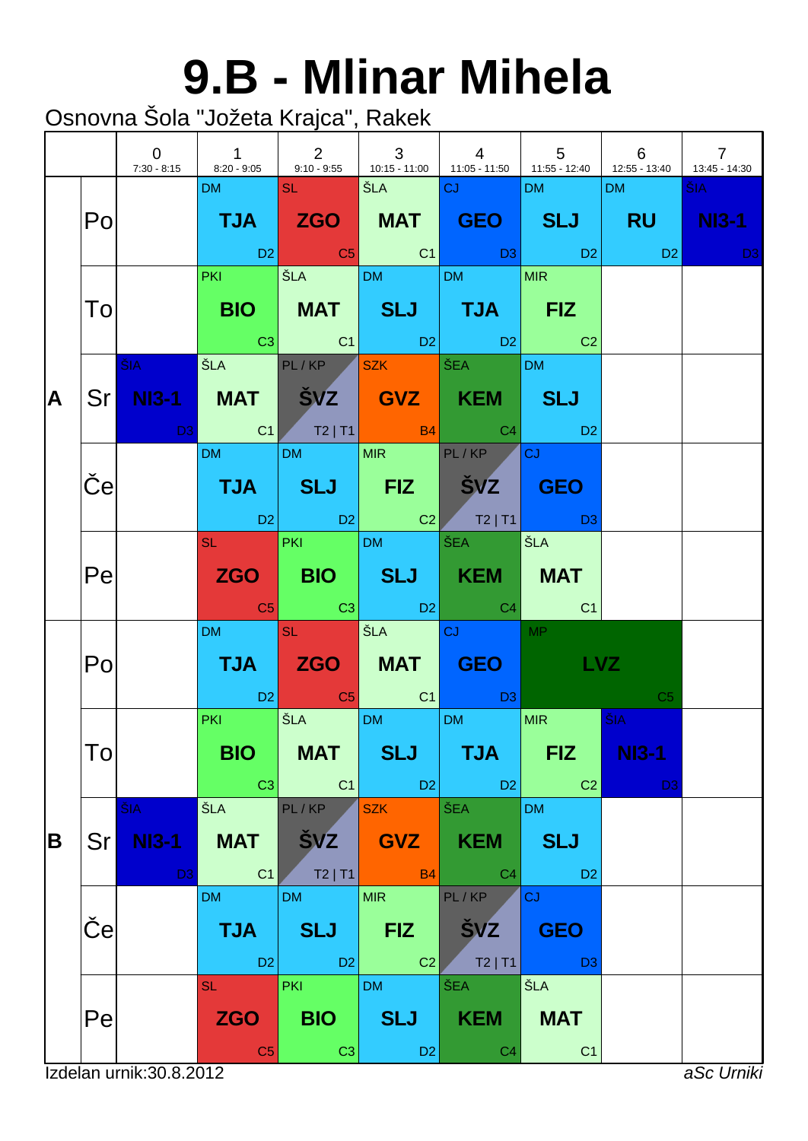#### **9.B - Mlinar Mihela**

|   |                 | $\overline{0}$                        | $1 \quad 1 \quad 2 \quad 3 \quad 4$                                                                                                                                 |                                            |                                            | 7:30 - 8:15 8:20 - 9:05 9:10 - 9:55 10:15 - 11:00 11:05 - 11:50 11:55 - 12:40 12:55 - 13:40                                                        | $\begin{array}{cccc} \vert & 5 \vert & 6 \end{array}$ |                                                           | $\begin{array}{ccc} \end{array}$<br>13:45 - 14:30 |
|---|-----------------|---------------------------------------|---------------------------------------------------------------------------------------------------------------------------------------------------------------------|--------------------------------------------|--------------------------------------------|----------------------------------------------------------------------------------------------------------------------------------------------------|-------------------------------------------------------|-----------------------------------------------------------|---------------------------------------------------|
|   | Po              |                                       | DM                                                                                                                                                                  | <b>SLEEPING</b>                            | │ŠLA │ │ <mark>CJ</mark>                   | TJA ZGO MAT GEO SLJ RU<br>in the D2 in the C5 in the C1 in the D3 in the D2 in the D3 in the D3 in the D3 in the D3 in the D3                      | DM and the                                            | DM <b>DM</b>                                              | ŠIA ·<br><b>NI3-1</b>                             |
|   | To              |                                       | <b>PKI CONTINUES</b>                                                                                                                                                | $\vert$ ŠLA $\vert$ DM $\vert$ DM $\vert$  |                                            | BIO   MAT   SLJ   TJA   FIZ<br>$\begin{array}{ c c c c c c }\hline \text{C3} & \text{C1} & \text{D2} & \text{D2} & \text{C2} \\\hline \end{array}$ | MIR                                                   |                                                           |                                                   |
| A |                 | <b>ŠIA</b>                            |                                                                                                                                                                     | ŠLA PL/KP SZK ŠEA                          |                                            | Sr NI3-1 MAT SVZ GVZ KEM SLJ<br><b>Example 1</b> C1 T2   T1   B4   C4   D2                                                                         | DM 3                                                  |                                                           |                                                   |
|   | $\vert e \vert$ |                                       | <b>DM</b>                                                                                                                                                           | DM MIR PL/KP                               |                                            | TJA SLJ FIZ ŠVZ GEO<br>D2 D2 C2 T2   T1 D3                                                                                                         | $ c_J $                                               |                                                           |                                                   |
|   | Pe              |                                       |                                                                                                                                                                     |                                            |                                            | SL PKI DM ŠEA ŠLA<br>ZGO   BIO   SLJ   KEM   MAT<br><b>Contracts</b> C3 C3 D2 C4 C1                                                                |                                                       |                                                           |                                                   |
|   | Po              |                                       | <b>DM DM</b>                                                                                                                                                        | $\overline{\mathsf{SL} \times \mathbb{Z}}$ |                                            | SLA CJ MP<br>TJA ZGO MAT GEO<br><b>Example 2</b> C <sub>2</sub> C <sub>2</sub> C <sub>2</sub> C <sub>1</sub> C <sub>2</sub> D <sub>3</sub>         | LVZ                                                   | C <sub>5</sub>                                            |                                                   |
|   | To              |                                       | <b>PKI</b><br><b>Contract Contract Contract Contract Contract Contract Contract Contract Contract Contract Contract Contract Co</b><br><b>BIO</b><br>C <sub>3</sub> | SLA DM<br><b>MAT</b><br>C <sub>1</sub>     | <b>SLJ</b><br>D <sub>2</sub>               | DM <sub>2</sub><br><b>TJA</b><br>D <sub>2</sub>                                                                                                    | MIR  <br><b>FIZ</b><br>C <sub>2</sub>                 | $\overline{\text{SIA}}$<br><b>NI3-1</b><br>D <sub>3</sub> |                                                   |
| B | Sr              | ŠIA<br><b>NI3-1</b><br>D <sub>3</sub> | ŠLA<br><b>MAT</b><br>C <sub>1</sub>                                                                                                                                 | PL/KP<br><b>ŠVZ</b><br>$T2$   T1           | <b>SZK</b><br><b>GVZ</b><br><b>B4</b>      | ŠEA<br><b>KEM</b><br>C <sub>4</sub>                                                                                                                | <b>DM</b><br><b>SLJ</b><br>D <sub>2</sub>             |                                                           |                                                   |
|   | e               |                                       | <b>DM</b><br><b>TJA</b><br>D <sub>2</sub>                                                                                                                           | <b>DM</b><br><b>SLJ</b><br>D <sub>2</sub>  | <b>MIR</b><br><b>FIZ</b><br>C <sub>2</sub> | PL/KP<br><b>SVZ</b><br>$T2$   T1                                                                                                                   | CJ<br><b>GEO</b><br>D <sub>3</sub>                    |                                                           |                                                   |
|   | Pe              |                                       | <b>SL</b><br><b>ZGO</b><br>C <sub>5</sub>                                                                                                                           | <b>PKI</b><br><b>BIO</b><br>C <sub>3</sub> | <b>DM</b><br><b>SLJ</b><br>D <sub>2</sub>  | ŠEA<br><b>KEM</b><br>C <sub>4</sub>                                                                                                                | ŠLA<br><b>MAT</b><br>C <sub>1</sub>                   |                                                           |                                                   |
|   |                 | Izdelan urnik: 30.8.2012              |                                                                                                                                                                     |                                            |                                            |                                                                                                                                                    |                                                       |                                                           | aSc Urniki                                        |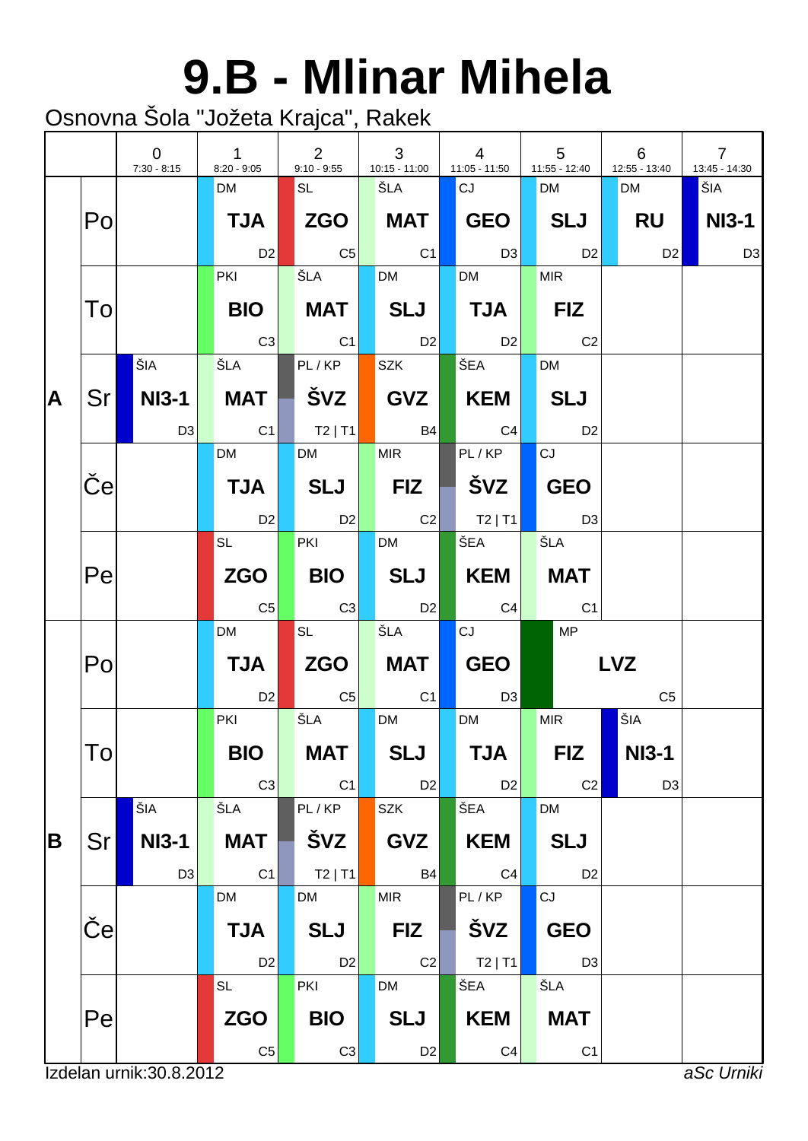### **9.B - Mlinar Mihela**

|   |              | $\overline{0}$<br>$7:30 - 8:15$ | $\mathbf{1}$<br>$8:20 - 9:05$ | $\overline{2}$<br>$9:10 - 9:55$ | 3<br>$10:15 - 11:00$              | $\overline{4}$<br>$11:05 - 11:50$ | 5<br>11:55 - 12:40 | 6<br>12:55 - 13:40 | $\overline{7}$<br>13:45 - 14:30 |
|---|--------------|---------------------------------|-------------------------------|---------------------------------|-----------------------------------|-----------------------------------|--------------------|--------------------|---------------------------------|
|   |              |                                 | <b>DM</b>                     | SL                              | ŠLA                               | CJ                                | <b>DM</b>          | <b>DM</b>          | ŠIA                             |
|   | Po           |                                 | <b>TJA</b>                    |                                 | <b>MAT</b>                        | GEO                               | SLJ                | RU                 | <b>NI3-1</b>                    |
|   |              |                                 | D <sub>2</sub>                | $  \text{C5}  $                 | $\overline{C1}$                   | $\overline{D3}$                   | D <sub>2</sub>     | D2                 | D <sub>3</sub>                  |
|   |              |                                 | <b>PKI</b>                    | ŠLA                             | <b>DM</b>                         | <b>DM</b>                         | <b>MIR</b>         |                    |                                 |
|   | To           |                                 | <b>BIO</b>                    | MAT                             | $ \;$ SLJ $ $                     | $\blacksquare$ TJA $\blacksquare$ | <b>FIZ</b>         |                    |                                 |
|   |              |                                 | C3                            | C1                              | D2                                | D2                                | $\overline{C}$     |                    |                                 |
|   |              | ŠIA                             | ŠLA                           | PL/KP                           | <b>SZK</b>                        | ŠEA                               | <b>DM</b>          |                    |                                 |
| A | Sr I         | NI3-1                           | <b>MAT</b>                    | ŠVZ                             | GVZ                               | $\blacksquare$ KEM $\blacksquare$ | <b>SLJ</b>         |                    |                                 |
|   |              | D <sub>3</sub>                  | C <sub>1</sub>                | $ $ T2   T1 $ $                 | <b>B4</b>                         | C4                                | D <sub>2</sub>     |                    |                                 |
|   |              |                                 | <b>DM</b>                     | <b>DM</b>                       | <b>MIR</b>                        | PL/KP                             | CJ                 |                    |                                 |
|   | $\mathbf{e}$ |                                 | <b>TJA</b>                    | <b>SLJ</b>                      | $\blacksquare$ FIZ $\blacksquare$ | Svz                               | <b>GEO</b>         |                    |                                 |
|   |              |                                 | D <sub>2</sub>                | D2                              | $\overline{C2}$                   | $ $ T2   T1                       | D3                 |                    |                                 |
|   |              |                                 | <b>SL</b>                     | PKI                             | <b>DM</b>                         | ŠEA                               | ŠLA                |                    |                                 |
|   | Pe           |                                 | <b>ZGO</b>                    | <b>BIO</b>                      | SLJ                               | KEM                               | <b>MAT</b>         |                    |                                 |
|   |              |                                 | C <sub>5</sub>                | C3                              | D2                                | C4                                | C <sub>1</sub>     |                    |                                 |
|   |              |                                 | <b>DM</b>                     | <b>SL</b>                       | ŠLA                               | CJ                                | MP                 |                    |                                 |
|   | Po           |                                 | <b>TJA</b>                    | $ZGO \mid$                      | MAT                               | <b>GEO</b>                        |                    | <b>LVZ</b>         |                                 |
|   |              |                                 | D <sub>2</sub>                | $\overline{C5}$                 | C <sub>1</sub>                    | D <sub>3</sub>                    |                    | C <sub>5</sub>     |                                 |
|   |              |                                 | PKI                           | ŠLA                             | <b>DM</b>                         | <b>DM</b>                         | <b>MIR</b>         | ŠIA                |                                 |
|   | To           |                                 | <b>BIO</b>                    | <b>MAT</b>                      | <b>SLJ</b>                        | <b>TJA</b>                        | <b>FIZ</b>         | <b>NI3-1</b>       |                                 |
|   |              |                                 | C <sub>3</sub>                | C1                              | D <sub>2</sub>                    | D <sub>2</sub>                    | C <sub>2</sub>     | D <sub>3</sub>     |                                 |
|   |              | ŠIA                             | ŠLA                           | PL/KP                           | <b>SZK</b>                        | ŠEA                               | <b>DM</b>          |                    |                                 |
| B | Sr           | <b>NI3-1</b>                    | <b>MAT</b>                    | ŠVZ                             | <b>GVZ</b>                        | <b>KEM</b>                        | <b>SLJ</b>         |                    |                                 |
|   |              | D <sub>3</sub>                  | C <sub>1</sub>                | $T2$   T1                       | <b>B4</b>                         | C <sub>4</sub>                    | D <sub>2</sub>     |                    |                                 |
|   |              |                                 | DM                            | <b>DM</b>                       | <b>MIR</b>                        | PL/KP                             | CJ                 |                    |                                 |
|   | e            |                                 | <b>TJA</b>                    | <b>SLJ</b>                      | <b>FIZ</b>                        | ŠVZ                               | <b>GEO</b>         |                    |                                 |
|   |              |                                 | D <sub>2</sub>                | D <sub>2</sub>                  | C <sub>2</sub>                    | $T2$   T1                         | D <sub>3</sub>     |                    |                                 |
|   |              |                                 | <b>SL</b>                     | PKI                             | <b>DM</b>                         | ŠEA                               | ŠLA                |                    |                                 |
|   | Pe           |                                 | <b>ZGO</b>                    | <b>BIO</b>                      | <b>SLJ</b>                        | <b>KEM</b>                        | <b>MAT</b>         |                    |                                 |
|   |              |                                 | $\mathbb{C}5$                 | C3                              | D <sub>2</sub>                    | C <sub>4</sub>                    | C <sub>1</sub>     |                    |                                 |
|   |              | Izdelan urnik: 30.8.2012        |                               |                                 |                                   |                                   |                    |                    | aSc Urniki                      |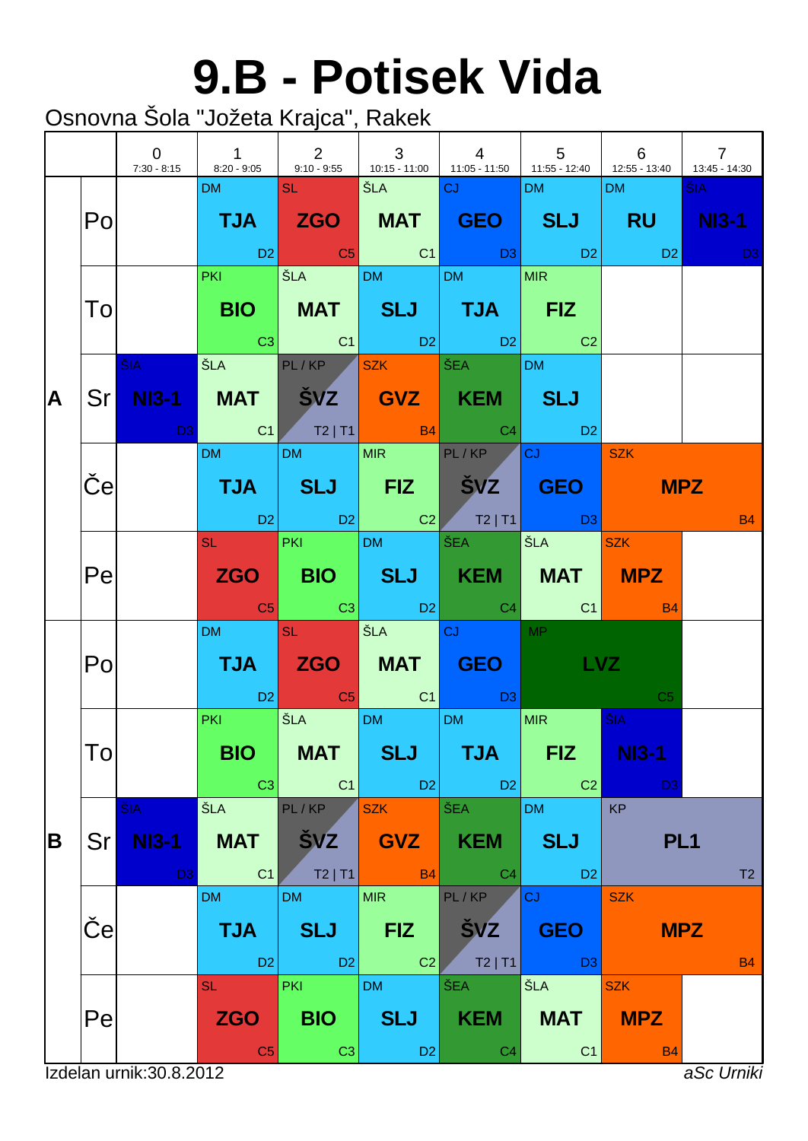#### **9.B - Potisek Vida**

|   |                       | $\overline{0}$<br>$7:30 - 8:15$       |                                                                                                                                                                     |                                            |                                            | $\begin{array}{ccc} \end{array}$<br>$8:20 - 9:05$ 9:10 - 9:55 10:15 - 11:00 11:05 - 11:50 11:55 - 12:40 12:55 - 13:40                                                                                                                                              | $\begin{array}{ccc} \end{array}$ 5        | 6                                            | $\overline{7}$<br>13:45 - 14:30                                                                                               |
|---|-----------------------|---------------------------------------|---------------------------------------------------------------------------------------------------------------------------------------------------------------------|--------------------------------------------|--------------------------------------------|--------------------------------------------------------------------------------------------------------------------------------------------------------------------------------------------------------------------------------------------------------------------|-------------------------------------------|----------------------------------------------|-------------------------------------------------------------------------------------------------------------------------------|
|   | Po                    |                                       | DM <b>DM</b>                                                                                                                                                        | <b>SL SL STAR</b>                          |                                            | TJA ZGO MAT GEO SLJ RU NI3-1<br>in the set of the set of the set of the set of the set of the set of the set of the set of the set of the set<br>In the set of the set of the set of the set of the set of the set of the set of the set of the set of the set<br> | DM and the                                | <b>DM</b>                                    | ŠIA ·<br><b>David David David David David David David David David David David David David David David David David David D</b> |
|   | To                    |                                       | <b>PKI</b>                                                                                                                                                          |                                            |                                            | $ \text{ŠLA}}$ $ {\text{DM}} $ $ M $ $ M $<br>BIO   MAT   SLJ   TJA   FIZ<br>$\begin{array}{ c c c c c c }\hline \text{C3} & \text{C1} & \text{D2} & \text{D2} & \text{C2} \\\hline \end{array}$                                                                   |                                           |                                              |                                                                                                                               |
| A |                       | <b>ŠIA</b>                            | Sr NI3-1 MAT SVZ GVZ KEM SLJ                                                                                                                                        | ŠLA PL/KP SZK ŠEA                          |                                            |                                                                                                                                                                                                                                                                    | DM <sub>2</sub>                           |                                              |                                                                                                                               |
|   | $\boldsymbol{\Theta}$ |                                       | DM and the state                                                                                                                                                    | DM MIR PL/KP                               |                                            | TJA   SLJ   FIZ   ŠVZ <mark>  GEO  </mark> 11<br>1 D2 D2 D2 D2 T2 T1 D3                                                                                                                                                                                            | $ cJ $   SZK                              |                                              | <b>MPZ</b><br><b>B4</b>                                                                                                       |
|   | Pe                    |                                       |                                                                                                                                                                     | SL PKI DM ŠEA                              |                                            | ZGO   BIO   SLJ   KEM   MAT   MPZ<br>in <mark>C5</mark> C3 C3 D2 C4 C1                                                                                                                                                                                             | SLA SZK                                   | <b>BA</b> BA                                 |                                                                                                                               |
|   | Po                    |                                       | DM <b>DM</b>                                                                                                                                                        | <b>SL</b> Service                          | SEA CJ                                     | <b>TJA ZGO MAT GEO</b><br>in the D2 in the C5 in the C1 in the D3 is the C1 in the D3 is the D3 is the D3 is the C1 in the D3 is the D3 i                                                                                                                          | <b>MP</b><br><b>LVZ</b>                   | C <sub>5</sub>                               |                                                                                                                               |
|   | To                    |                                       | <b>Contract Contract Contract Contract Contract Contract Contract Contract Contract Contract Contract Contract Co</b><br><b>PKI</b><br><b>BIO</b><br>C <sub>3</sub> | SLA DM<br><b>MAT</b><br>C <sub>1</sub>     | <b>SLJ</b><br>D <sub>2</sub>               | DM <sub>2</sub><br><b>TJA</b><br>D <sub>2</sub>                                                                                                                                                                                                                    | MIR  <br><b>FIZ</b><br>C <sub>2</sub>     | <b>SIA</b><br><b>NI3-1</b><br>D <sub>3</sub> |                                                                                                                               |
| B | Sr                    | ŠIA<br><b>NI3-1</b><br>D <sub>3</sub> | ŠLA<br><b>MAT</b><br>C <sub>1</sub>                                                                                                                                 | PL/KP<br><b>ŠVZ</b><br>$T2$   T1           | <b>SZK</b><br><b>GVZ</b><br><b>B4</b>      | ŠEA<br><b>KEM</b><br>C <sub>4</sub>                                                                                                                                                                                                                                | <b>DM</b><br><b>SLJ</b><br>D <sub>2</sub> | <b>KP</b><br>PL <sub>1</sub>                 | T2                                                                                                                            |
|   | е                     |                                       | <b>DM</b><br><b>TJA</b><br>D <sub>2</sub>                                                                                                                           | <b>DM</b><br><b>SLJ</b><br>D <sub>2</sub>  | <b>MIR</b><br><b>FIZ</b><br>C <sub>2</sub> | PL/KP<br><b>SVZ</b><br>$T2$   T1                                                                                                                                                                                                                                   | <b>CJ</b><br><b>GEO</b><br>D <sub>3</sub> | <b>SZK</b>                                   | <b>MPZ</b><br><b>B4</b>                                                                                                       |
|   | Pe                    | Izdelan urnik: 30.8.2012              | <b>SL</b><br><b>ZGO</b><br>C <sub>5</sub>                                                                                                                           | <b>PKI</b><br><b>BIO</b><br>C <sub>3</sub> | <b>DM</b><br><b>SLJ</b><br>D <sub>2</sub>  | ŠEA<br><b>KEM</b><br>C <sub>4</sub>                                                                                                                                                                                                                                | ŠLA<br><b>MAT</b><br>C1                   | <b>SZK</b><br><b>MPZ</b><br><b>B4</b>        | aSc Urniki                                                                                                                    |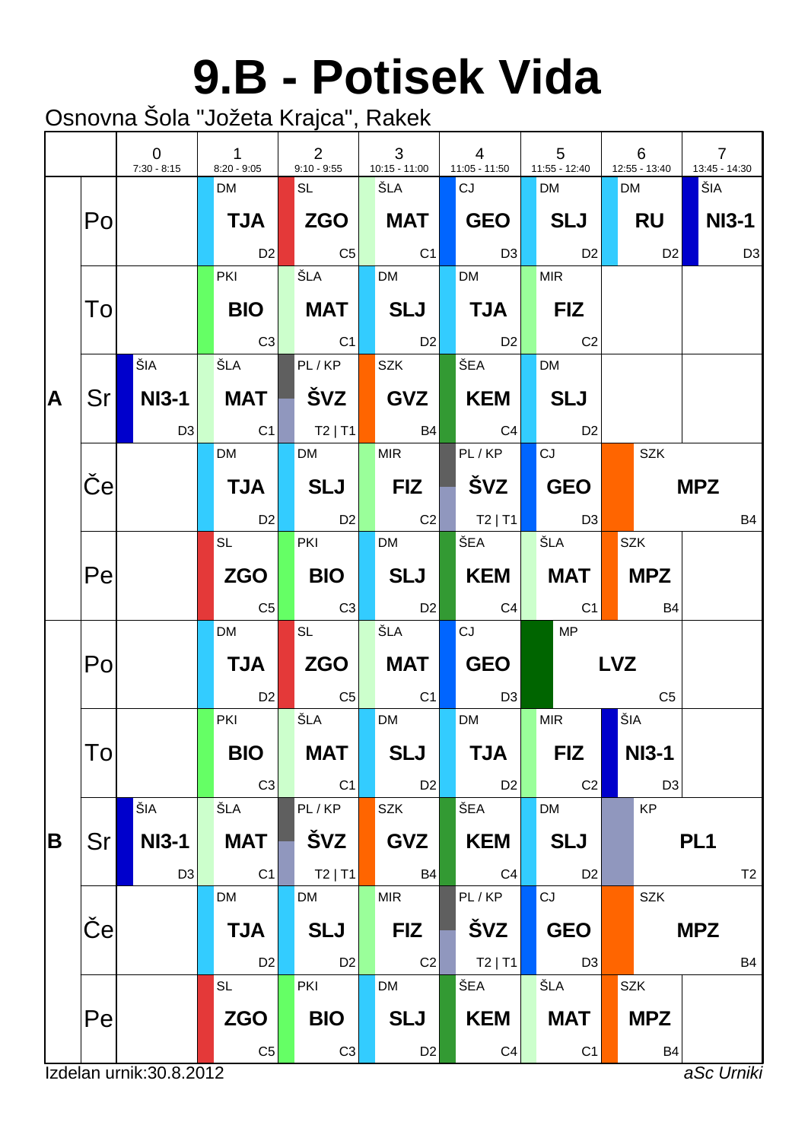### **9.B - Potisek Vida**

|   |              | $\Omega$<br>$7:30 - 8:15$ | $\mathbf{1}$<br>$8:20 - 9:05$ | 2<br>$9:10 - 9:55$ | 3<br>$10:15 - 11:00$ | $\overline{4}$<br>$11:05 - 11:50$ | 5<br>11:55 - 12:40 |            | 6<br>12:55 - 13:40 | $\overline{7}$<br>13:45 - 14:30 |                |
|---|--------------|---------------------------|-------------------------------|--------------------|----------------------|-----------------------------------|--------------------|------------|--------------------|---------------------------------|----------------|
|   |              |                           | <b>DM</b>                     | SL                 | ŠLA                  | CJ                                | <b>DM</b>          |            | <b>DM</b>          | ŠIA                             |                |
|   | Po           |                           | <b>TJA</b>                    | <b>ZGO</b>         | <b>MAT</b>           | GEO                               | <b>SLJ</b>         |            | RU                 |                                 | <b>NI3-1</b>   |
|   |              |                           | D <sub>2</sub>                | $\overline{C5}$    | C1                   | D3                                | D <sub>2</sub>     |            | D2                 |                                 | D <sub>3</sub> |
|   |              |                           | <b>PKI</b>                    | ŠLA                | <b>DM</b>            | <b>DM</b>                         | <b>MIR</b>         |            |                    |                                 |                |
|   | To           |                           | <b>BIO</b>                    | <b>MAT</b>         | SLJ                  | <b>TJA</b>                        | <b>FIZ</b>         |            |                    |                                 |                |
|   |              |                           | C3                            | C1                 | D2                   | D <sub>2</sub>                    | C <sub>2</sub>     |            |                    |                                 |                |
|   |              | ŠIA                       | ŠLA                           | PL/KP              | <b>SZK</b>           | <b>ŠEA</b>                        | <b>DM</b>          |            |                    |                                 |                |
| A | Sr I         | NI3-1                     | <b>MAT</b>                    | ŠVZ                | GVZ                  | KEM                               | <b>SLJ</b>         |            |                    |                                 |                |
|   |              | D <sub>3</sub>            | C <sub>1</sub>                | T2 T1              | <b>B4</b>            | C4                                | D <sub>2</sub>     |            |                    |                                 |                |
|   |              |                           | DM                            | <b>DM</b>          | <b>MIR</b>           | PL/KP                             | CJ                 |            | <b>SZK</b>         |                                 |                |
|   | $\mathbf{e}$ |                           | <b>TJA</b>                    | <b>SLJ</b>         | <b>FIZ</b>           |                                   | <b>GEO</b>         |            |                    | <b>MPZ</b>                      |                |
|   |              |                           | D <sub>2</sub>                | D <sub>2</sub>     | C2                   | $ $ T2   T1                       | D3                 |            |                    |                                 | <b>B4</b>      |
|   |              |                           | SL                            | <b>PKI</b>         | <b>DM</b>            | ŠEA                               | ŠLA                |            | <b>SZK</b>         |                                 |                |
|   | Pe           |                           | <b>ZGO</b>                    | <b>BIO</b>         | SLJ                  | KEM                               | <b>MAT</b>         |            | <b>MPZ</b>         |                                 |                |
|   |              |                           | C <sub>5</sub>                | C3                 | <b>D2</b>            | C4                                | C1                 |            | <b>B4</b>          |                                 |                |
|   |              |                           | <b>DM</b>                     | <b>SL</b>          | ŠLA                  | CJ                                | MP                 |            |                    |                                 |                |
|   | Po           |                           | <b>TJA</b>                    | ZGO                | <b>MAT</b>           | <b>GEO</b>                        |                    | <b>LVZ</b> |                    |                                 |                |
|   |              |                           | D <sub>2</sub>                | C <sub>5</sub>     | C1                   | D <sub>3</sub>                    |                    |            | C <sub>5</sub>     |                                 |                |
|   |              |                           | PKI                           | ŠLA                | <b>DM</b>            | <b>DM</b>                         | <b>MIR</b>         |            | ŠIA                |                                 |                |
|   | To           |                           | <b>BIO</b>                    | <b>MAT</b>         | <b>SLJ</b>           | <b>TJA</b>                        | <b>FIZ</b>         |            | <b>NI3-1</b>       |                                 |                |
|   |              |                           | C <sub>3</sub>                | C1                 | D <sub>2</sub>       | D <sub>2</sub>                    | C <sub>2</sub>     |            | D <sub>3</sub>     |                                 |                |
|   |              | ŠIA                       | ŠLA                           | PL/KP              | <b>SZK</b>           | ŠEA                               | <b>DM</b>          |            | KP                 |                                 |                |
| B | Sr           | <b>NI3-1</b>              | <b>MAT</b>                    | ŠVZ                | <b>GVZ</b>           | <b>KEM</b>                        | <b>SLJ</b>         |            |                    | PL <sub>1</sub>                 |                |
|   |              | D <sub>3</sub>            | C <sub>1</sub>                | $T2$   T1          | <b>B4</b>            | C <sub>4</sub>                    | D <sub>2</sub>     |            |                    |                                 | T <sub>2</sub> |
|   |              |                           | DM                            | <b>DM</b>          | <b>MIR</b>           | PL/KP                             | CJ                 |            | SZK                |                                 |                |
|   | $\mathbf e$  |                           | <b>TJA</b>                    | <b>SLJ</b>         | <b>FIZ</b>           | <b>ŠVZ</b>                        | <b>GEO</b>         |            |                    | <b>MPZ</b>                      |                |
|   |              |                           | D <sub>2</sub>                | D <sub>2</sub>     | C2                   | $T2$   T1                         | D <sub>3</sub>     |            |                    |                                 | <b>B4</b>      |
|   |              |                           | <b>SL</b>                     | PKI                | <b>DM</b>            | ŠEA                               | ŠLA                |            | <b>SZK</b>         |                                 |                |
|   | Pe           |                           | <b>ZGO</b>                    | <b>BIO</b>         | <b>SLJ</b>           | <b>KEM</b>                        | <b>MAT</b>         |            | <b>MPZ</b>         |                                 |                |
|   |              |                           | $\mathbb{C}5$                 | C3                 | D <sub>2</sub>       | C <sub>4</sub>                    | C <sub>1</sub>     |            | <b>B4</b>          |                                 |                |
|   |              | Izdelan urnik: 30.8.2012  |                               |                    |                      |                                   |                    |            |                    | aSc Urniki                      |                |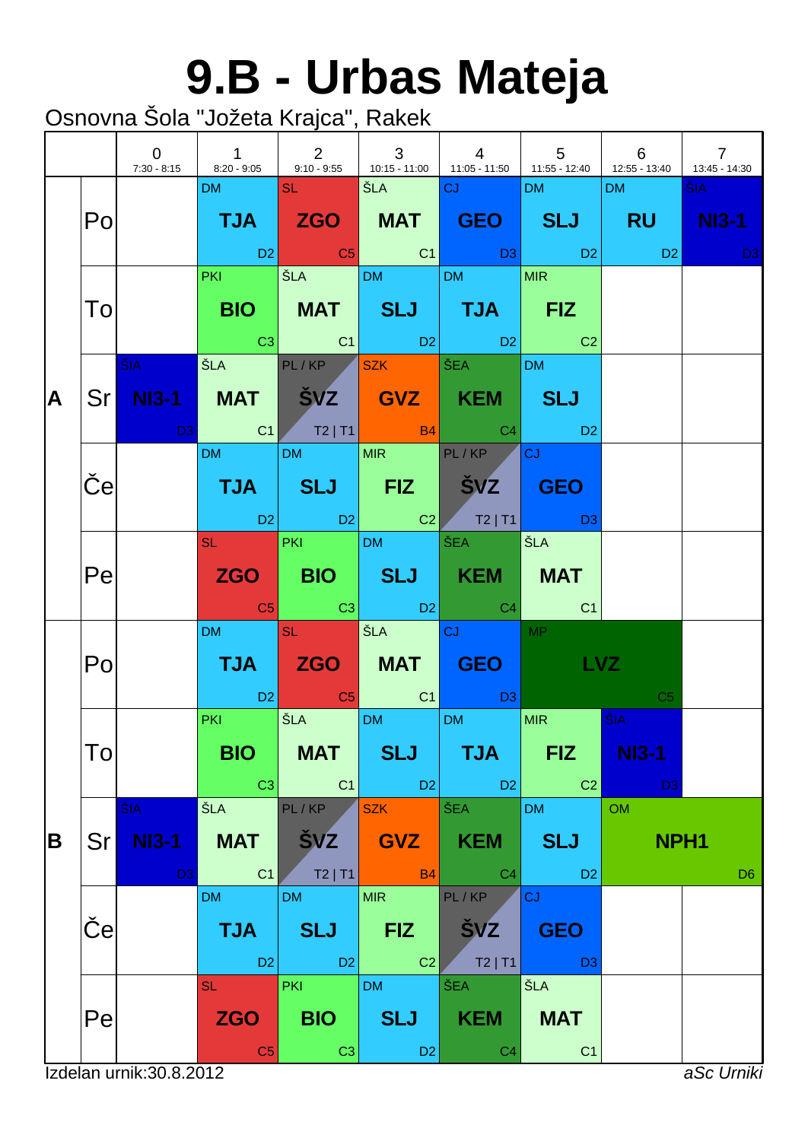## **9.B - Urbas Mateja**

|   |                 | $\overline{0}$                 | 7:30 - 8:15 8:20 - 9:05 9:10 - 9:55 10:15 - 11:00 11:05 - 11:50 11:55 - 12:40 12:55 - 13:40 13:45 - 14:30 | 1 2 3                                      |                                            | $\begin{array}{ccc} \end{array}$                                                                                                                                                                                                                               | $\begin{array}{ccc} & 5 & \end{array}$    | 6                                     | $\overline{7}$      |
|---|-----------------|--------------------------------|-----------------------------------------------------------------------------------------------------------|--------------------------------------------|--------------------------------------------|----------------------------------------------------------------------------------------------------------------------------------------------------------------------------------------------------------------------------------------------------------------|-------------------------------------------|---------------------------------------|---------------------|
|   | Po              |                                | DM NATIONAL                                                                                               | <b>SLEEPING</b>                            | <b>SEA CUNTER</b>                          | TJA ZGO MAT GEO SLJ RU NI3-1<br>in the set of the set of the set of the set of the set of the set of the set of the set of the set of the set<br>In the set of the set of the set of the set of the set of the set of the set of the set of the set of the set | $DM$ and $M$                              | DM <sub>2</sub>                       | ŠIA -<br><b>D</b> 3 |
|   | To              |                                | <b>PKI</b>                                                                                                | SLA DM DM                                  |                                            | BIO   MAT   SLJ   TJA   FIZ<br>$\begin{array}{ c c c c c c }\hline \rule{0mm}{1.2mm} & \text{C3} & \text{C1} & \text{D2} & \text{D2} & \text{C2} \\\hline \end{array}$                                                                                         | MIR                                       |                                       |                     |
| A |                 | $\tilde{\mathbf{S}}$ IA $\sim$ | Sr NI3-1 MAT SVZ GVZ KEM SLJ<br><b>D3</b> C1 T2 T1 B4 C4 D2                                               | ŠLA PL/KP SZK ŠEA                          |                                            |                                                                                                                                                                                                                                                                | DM <sub>2</sub>                           |                                       |                     |
|   | $\vert e \vert$ |                                | <b>DM</b>                                                                                                 | DM MIR PL/KP                               |                                            | TJA SLJ FIZ ŠVZ GEO<br>D2 D2 C2 T2   T1 D3                                                                                                                                                                                                                     | $ _{CJ}$                                  |                                       |                     |
|   | Pe              |                                |                                                                                                           | SL PKI DM ŠEA                              |                                            | ZGO BIO SLJ KEM MAT                                                                                                                                                                                                                                            | │ŠLA                                      |                                       |                     |
|   | Po              |                                | DM and the state                                                                                          | <b>SL SL</b>                               | STA CJ                                     | TJA ZGO MAT GEO<br>D2 <mark>C5</mark> C1 D3                                                                                                                                                                                                                    | MP <sup>N</sup><br>LVZ                    | C <sub>5</sub>                        |                     |
|   | To              |                                | <b>PKI CONTINUES</b><br><b>BIO</b><br>C <sub>3</sub>                                                      | SEA DM DM<br><b>MAT</b><br>C1              | <b>SLJ</b><br>$\Box$ D2                    | <b>TJA</b><br>D2                                                                                                                                                                                                                                               | MIR  <br><b>FIZ</b><br>C <sub>2</sub>     | ŠIA<br><b>NI3-1</b><br>D <sub>3</sub> |                     |
| B | Sr              | ŠIA<br><b>NI3-1</b><br>D3      | ŠLA<br><b>MAT</b><br>C <sub>1</sub>                                                                       | PL/KP<br><b>ŠVZ</b><br>$T2$   T1           | <b>SZK</b><br><b>GVZ</b><br>B4             | ŠEA<br><b>KEM</b><br>C <sub>4</sub>                                                                                                                                                                                                                            | <b>DM</b><br><b>SLJ</b><br>D <sub>2</sub> | <b>OM</b><br>NPH <sub>1</sub>         | D <sub>6</sub>      |
|   | е               |                                | <b>DM</b><br><b>TJA</b><br>D <sub>2</sub>                                                                 | <b>DM</b><br><b>SLJ</b><br>D2              | <b>MIR</b><br><b>FIZ</b><br>C <sub>2</sub> | PL/KP<br><b>SVZ</b><br>$T2$   T1                                                                                                                                                                                                                               | <b>CJ</b><br><b>GEO</b><br>D <sub>3</sub> |                                       |                     |
|   | Pe              |                                | <b>SL</b><br><b>ZGO</b><br>C <sub>5</sub>                                                                 | <b>PKI</b><br><b>BIO</b><br>C <sub>3</sub> | <b>DM</b><br><b>SLJ</b><br>D <sub>2</sub>  | ŠEA<br><b>KEM</b><br>C <sub>4</sub>                                                                                                                                                                                                                            | ŠLA<br><b>MAT</b><br>C <sub>1</sub>       |                                       |                     |
|   |                 | Izdelan urnik: 30.8.2012       |                                                                                                           |                                            |                                            |                                                                                                                                                                                                                                                                |                                           |                                       | aSc Urniki          |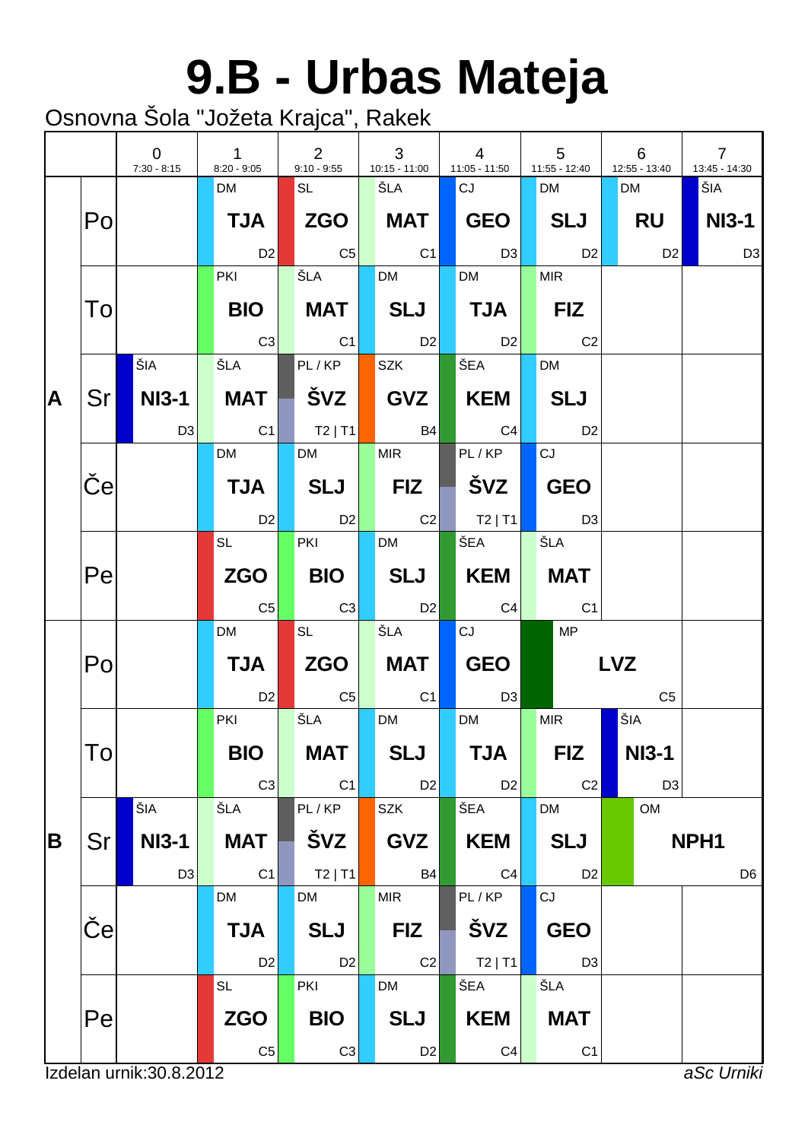# **9.B - Urbas Mateja**

|   |              | $\overline{0}$<br>$7:30 - 8:15$ | $\mathbf{1}$<br>$8:20 - 9:05$ | 2<br>$9:10 - 9:55$ | 3<br>$10:15 - 11:00$ | $\overline{4}$<br>$11:05 - 11:50$ |                | 5<br>11:55 - 12:40 | 6<br>12:55 - 13:40 | $\overline{7}$<br>13:45 - 14:30 |
|---|--------------|---------------------------------|-------------------------------|--------------------|----------------------|-----------------------------------|----------------|--------------------|--------------------|---------------------------------|
|   |              |                                 | <b>DM</b>                     | SL                 | ŠLA                  | CJ                                |                | <b>DM</b>          | <b>DM</b>          | ŠIA                             |
|   | Po           |                                 | <b>TJA</b>                    |                    | <b>MAT</b>           | GEO                               |                | SLJ                | RU                 | NI3-1                           |
|   |              |                                 | D <sub>2</sub>                | $\overline{C5}$    | $\overline{C1}$      |                                   | D3             | D <sub>2</sub>     | D2                 | D <sub>3</sub>                  |
|   |              |                                 | <b>PKI</b>                    | ŠLA                | <b>DM</b>            | <b>DM</b>                         |                | <b>MIR</b>         |                    |                                 |
|   | To           |                                 | <b>BIO</b>                    | <b>MAT</b>         | $ \;$ SLJ $ $        | $\vert$ TJA $\vert$               |                | <b>FIZ</b>         |                    |                                 |
|   |              |                                 | C3                            | C1                 | D2                   | D2                                |                | C <sub>2</sub>     |                    |                                 |
|   |              | ŠIA                             | ŠLA                           | PL/KP              | <b>SZK</b>           | ŠEA                               |                | <b>DM</b>          |                    |                                 |
| A | Sr I         | NI3-1                           | <b>MAT</b>                    | ŠVZ                | GVZ                  | KEM                               |                | <b>SLJ</b>         |                    |                                 |
|   |              | D <sub>3</sub>                  | C <sub>1</sub>                | $ $ T2   T1        | <b>B4</b>            | C4                                |                | D <sub>2</sub>     |                    |                                 |
|   |              |                                 | <b>DM</b>                     | <b>DM</b>          | <b>MIR</b>           | PL/KP                             |                | CJ                 |                    |                                 |
|   | $\mathbf{e}$ |                                 | <b>TJA</b>                    | <b>SLJ</b>         | <b>FIZ</b>           | ∣ švz                             |                | <b>GEO</b>         |                    |                                 |
|   |              |                                 | <b>D2</b>                     | D2                 | $\overline{C2}$      | $ $ T2   T1                       |                | D3                 |                    |                                 |
|   |              |                                 | <b>SL</b>                     | PKI                | <b>DM</b>            | ŠEA                               |                | ŠLA                |                    |                                 |
|   | Pe           |                                 | <b>ZGO</b>                    | <b>BIO</b>         | SLJ                  | KEM                               |                | <b>MAT</b>         |                    |                                 |
|   |              |                                 | C <sub>5</sub>                | C3                 | D <sub>2</sub>       |                                   | C4             | C <sub>1</sub>     |                    |                                 |
|   |              |                                 | <b>DM</b>                     | <b>SL</b>          | ŠLA                  | CJ                                |                | MP                 |                    |                                 |
|   | Po           |                                 | <b>TJA</b>                    | $ZGO \mid$         | MAT                  | <b>GEO</b>                        |                |                    | <b>LVZ</b>         |                                 |
|   |              |                                 | D <sub>2</sub>                | $\overline{C5}$    | C <sub>1</sub>       |                                   | D <sub>3</sub> |                    | C <sub>5</sub>     |                                 |
|   |              |                                 | PKI                           | ŠLA                | <b>DM</b>            | <b>DM</b>                         |                | <b>MIR</b>         | ŠIA                |                                 |
|   | To           |                                 | <b>BIO</b>                    | <b>MAT</b>         | <b>SLJ</b>           | <b>TJA</b>                        |                | <b>FIZ</b>         | <b>NI3-1</b>       |                                 |
|   |              |                                 | C <sub>3</sub>                | C1                 | D <sub>2</sub>       |                                   | D <sub>2</sub> | C <sub>2</sub>     | D <sub>3</sub>     |                                 |
|   |              | ŠIA                             | ŠLA                           | PL/KP              | SZK                  | ŠEA                               |                | <b>DM</b>          | <b>OM</b>          |                                 |
| B | Sr           | <b>NI3-1</b>                    | <b>MAT</b>                    | ŠVZ                | <b>GVZ</b>           | <b>KEM</b>                        |                | <b>SLJ</b>         |                    | NPH1                            |
|   |              | D <sub>3</sub>                  | C <sub>1</sub>                | $T2$   T1          | <b>B4</b>            |                                   | C <sub>4</sub> | D <sub>2</sub>     |                    | D <sub>6</sub>                  |
|   |              |                                 | DM                            | <b>DM</b>          | <b>MIR</b>           | PL/KP                             |                | CJ                 |                    |                                 |
|   | e            |                                 | <b>TJA</b>                    | <b>SLJ</b>         | <b>FIZ</b>           | ŠVZ                               |                | <b>GEO</b>         |                    |                                 |
|   |              |                                 | D <sub>2</sub>                | D <sub>2</sub>     | C2                   |                                   | $T2$   T1      | D <sub>3</sub>     |                    |                                 |
|   |              |                                 | <b>SL</b>                     | PKI                | <b>DM</b>            | ŠEA                               |                | ŠLA                |                    |                                 |
|   | Pe           |                                 | <b>ZGO</b>                    | <b>BIO</b>         | <b>SLJ</b>           | <b>KEM</b>                        |                | <b>MAT</b>         |                    |                                 |
|   |              |                                 | C <sub>5</sub>                | C3                 | D <sub>2</sub>       |                                   | C <sub>4</sub> | C <sub>1</sub>     |                    |                                 |
|   |              | Izdelan urnik: 30.8.2012        |                               |                    |                      |                                   |                |                    |                    | aSc Urniki                      |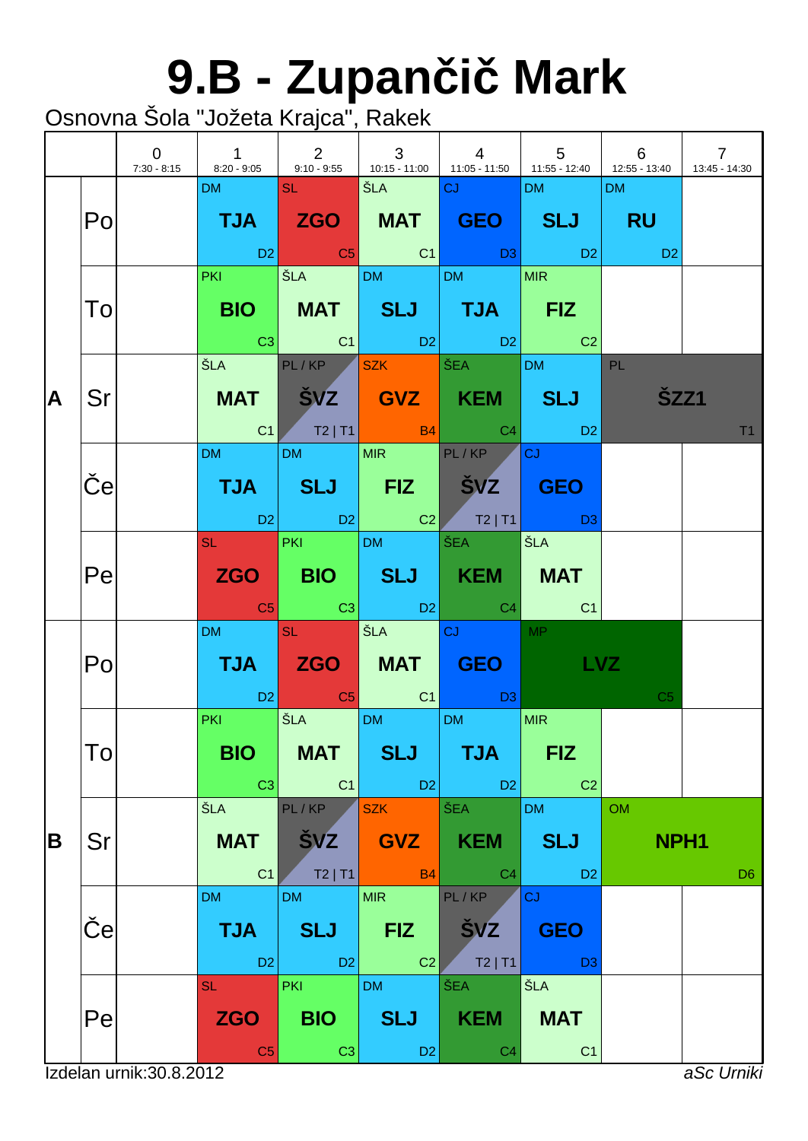# **9.B - Zupan i Mark**

|    |     | $\mathbf 0$<br>7:30 - 8:15 | $\overline{1}$<br>$8:20 - 9:05$                                                                                              | 2                      | $\mathbf{3}$                  | $\overline{4}$<br>9:10 - 9:55 $\begin{array}{ c c c c c c c c c } \hline \end{array}$ 10:15 - 11:00 $\begin{array}{ c c c c c c c c } \hline \end{array}$ 11:55 - 12:40 $\begin{array}{ c c c c c c } \hline \end{array}$ 12:55 - 13:40 | $5\overline{5}$          | 6                         | $\overline{7}$<br>13:45 - 14:30 |
|----|-----|----------------------------|------------------------------------------------------------------------------------------------------------------------------|------------------------|-------------------------------|-----------------------------------------------------------------------------------------------------------------------------------------------------------------------------------------------------------------------------------------|--------------------------|---------------------------|---------------------------------|
|    |     |                            | DM and the state                                                                                                             |                        | SL ŠLA <mark>CJ (1990)</mark> |                                                                                                                                                                                                                                         | DM <b>DM</b>             | DM                        |                                 |
|    | Po  |                            |                                                                                                                              |                        |                               | TJA ZGO MAT GEO SLJ RU                                                                                                                                                                                                                  |                          |                           |                                 |
|    |     |                            |                                                                                                                              |                        |                               | in the D2 of the C1 of D3 of D2 of D2 of D2 of the D2 of the D2 of the D2 of the D2 of the D2 of the D2 of the<br>PKI ŠLA DM DM MIR                                                                                                     |                          | $\sim$ 0.000 $\,$ D2 $\,$ |                                 |
|    |     |                            |                                                                                                                              |                        |                               |                                                                                                                                                                                                                                         |                          |                           |                                 |
|    | To  |                            |                                                                                                                              |                        |                               | BIO   MAT   SLJ   TJA   FIZ<br>$\begin{array}{ c c c c c c }\hline \text{C3} & \text{C1} & \text{D2} & \text{D2} & \text{C2} \\\hline \end{array}$                                                                                      |                          |                           |                                 |
|    |     |                            | ŠLA                                                                                                                          |                        | PL/KP SZK ŠEA                 |                                                                                                                                                                                                                                         | <b>DM</b>                | PL                        |                                 |
| ΙA | Sr  |                            |                                                                                                                              |                        |                               | MAT ŠVZ GVZ KEM SLJ                                                                                                                                                                                                                     |                          | <b>ŠZZ1</b>               |                                 |
|    |     |                            |                                                                                                                              |                        |                               | C1 T2   T1 $\begin{array}{ c c c c c c }\n\hline\n\text{C4} & \text{D2}\n\end{array}$                                                                                                                                                   |                          |                           | T1                              |
|    |     |                            | <b>DM DM</b>                                                                                                                 |                        | DM MIR PL/KP                  |                                                                                                                                                                                                                                         | <b>CJ</b>                |                           |                                 |
|    | e   |                            |                                                                                                                              |                        |                               | TJA SLJ FIZ ŠVZ GEO                                                                                                                                                                                                                     |                          |                           |                                 |
|    |     |                            |                                                                                                                              |                        |                               | 02 D2 C2 T2 T1 D3                                                                                                                                                                                                                       |                          |                           |                                 |
|    |     |                            |                                                                                                                              |                        | SL PKI DM ŠEA                 |                                                                                                                                                                                                                                         | ŠLA                      |                           |                                 |
|    | Pe  |                            |                                                                                                                              |                        | a <mark>C5</mark> C3 D2       | ZGO BIO SLJ KEM MAT                                                                                                                                                                                                                     |                          |                           |                                 |
|    |     |                            | DM SL                                                                                                                        |                        | <b>SEA CJ CJ</b>              |                                                                                                                                                                                                                                         | C4 C1<br>MP <sup>2</sup> |                           |                                 |
|    | Po  |                            |                                                                                                                              |                        |                               | TJA ZGO MAT GEO <b>Latin</b>                                                                                                                                                                                                            | <b>LVZ</b>               |                           |                                 |
|    |     |                            |                                                                                                                              |                        |                               | <b>D2</b> C5 C1 D3                                                                                                                                                                                                                      |                          | C <sub>5</sub>            |                                 |
|    |     |                            | and the state of the state of the state of the state of the state of the state of the state of the state of th<br><b>PKI</b> |                        | SLA DM DM                     |                                                                                                                                                                                                                                         | <b>MIR</b>               |                           |                                 |
|    | l O |                            |                                                                                                                              | BIO   MAT              | <b>SLJ</b>                    | $\overline{\phantom{a}}$ TJA $\overline{\phantom{a}}$                                                                                                                                                                                   | <b>FIZ</b>               |                           |                                 |
|    |     |                            | C3                                                                                                                           | C <sub>1</sub>         | D2                            | D <sub>2</sub>                                                                                                                                                                                                                          | C <sub>2</sub>           |                           |                                 |
|    |     |                            | ŠLA                                                                                                                          | PL/KP                  | <b>SZK</b>                    | ŠEA                                                                                                                                                                                                                                     | <b>DM</b>                | <b>OM</b>                 |                                 |
| B  | Sr  |                            | <b>MAT</b>                                                                                                                   | <b>SVZ</b>             | <b>GVZ</b>                    | <b>KEM</b>                                                                                                                                                                                                                              | <b>SLJ</b>               | NPH <sub>1</sub>          |                                 |
|    |     |                            | C <sub>1</sub><br><b>DM</b>                                                                                                  | $T2$   T1<br><b>DM</b> | <b>B4</b><br><b>MIR</b>       | C <sub>4</sub><br>PL/KP                                                                                                                                                                                                                 | D <sub>2</sub><br>CJ     |                           | D <sub>6</sub>                  |
|    | e   |                            | <b>TJA</b>                                                                                                                   | <b>SLJ</b>             | <b>FIZ</b>                    | <b>SVZ</b>                                                                                                                                                                                                                              | <b>GEO</b>               |                           |                                 |
|    |     |                            | D <sub>2</sub>                                                                                                               | D <sub>2</sub>         | C <sub>2</sub>                | $T2$   T1                                                                                                                                                                                                                               | D <sub>3</sub>           |                           |                                 |
|    |     |                            | <b>SL</b>                                                                                                                    | <b>PKI</b>             | <b>DM</b>                     | <b>ŠEA</b>                                                                                                                                                                                                                              | ŠLA                      |                           |                                 |
|    | Pe  |                            | <b>ZGO</b>                                                                                                                   | <b>BIO</b>             | <b>SLJ</b>                    | <b>KEM</b>                                                                                                                                                                                                                              | <b>MAT</b>               |                           |                                 |
|    |     | Izdelan urnik: 30.8.2012   | C <sub>5</sub>                                                                                                               | C <sub>3</sub>         | D <sub>2</sub>                | C <sub>4</sub>                                                                                                                                                                                                                          | C <sub>1</sub>           |                           | aSc Urniki                      |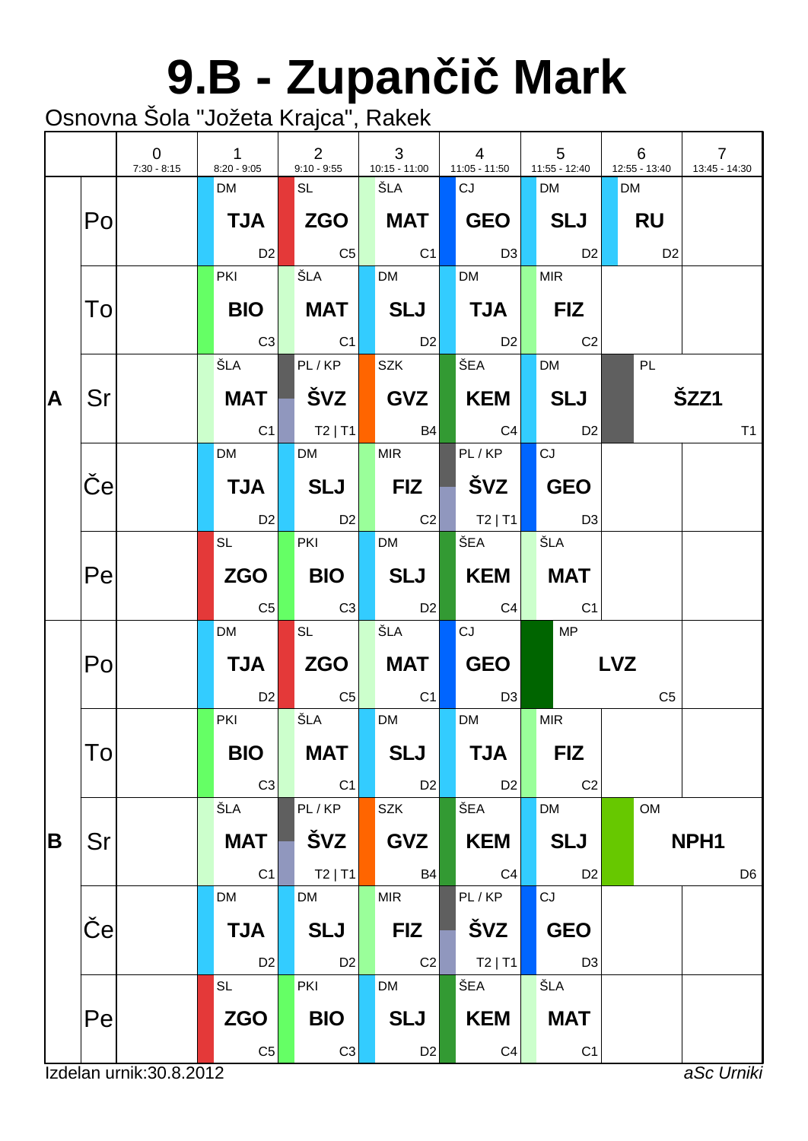# **9.B - Zupan i Mark**

|    |     | $\overline{0}$<br>$7:30 - 8:15$ | $\mathbf{1}$<br>$8:20 - 9:05$ | $2^{\circ}$<br>$9:10 - 9:55$ | $\mathbf{3}$<br>$10:15 - 11:00$ | $\overline{4}$<br>11:05 - 11:50   | $5\phantom{.0}$<br>11:55 - 12:40 |            | 6<br>12:55 - 13:40 | $\overline{7}$<br>13:45 - 14:30 |                |
|----|-----|---------------------------------|-------------------------------|------------------------------|---------------------------------|-----------------------------------|----------------------------------|------------|--------------------|---------------------------------|----------------|
|    |     |                                 | <b>DM</b>                     | SL                           | ŠLA                             | CJ                                | <b>DM</b>                        |            | <b>DM</b>          |                                 |                |
|    | Po  |                                 | <b>TJA</b>                    | ZGO MAT                      |                                 | $\mid$ GEO $\mid$                 | SLJ                              |            | RU                 |                                 |                |
|    |     |                                 | <b>D2</b>                     | $\overline{\text{C5}}$       | C <sub>1</sub>                  | $\Box$ D3                         | D2                               |            | D <sub>2</sub>     |                                 |                |
|    |     |                                 | <b>PKI</b>                    | ŠLA                          | <b>DM</b>                       | <b>DM</b>                         | MIR                              |            |                    |                                 |                |
|    | To  |                                 | <b>BIO</b>                    | <b>MAT</b>                   | SLJ                             | $\blacksquare$ TJA $\blacksquare$ | <b>FIZ</b>                       |            |                    |                                 |                |
|    |     |                                 | C3                            | C1                           | D2                              | D2                                | C <sub>2</sub>                   |            |                    |                                 |                |
|    |     |                                 | ŠLA I                         | PL/KP                        | <b>SZK</b>                      | ŠEA                               | <b>DM</b>                        |            | PL                 |                                 |                |
| İΑ | Sr  |                                 | MAT                           |                              | SVZ                             | KEM                               | SLJ                              |            |                    | ŠZZ1                            |                |
|    |     |                                 | C1                            | $ $ T2   T1                  | <b>B4</b>                       | C4                                | D <sub>2</sub>                   |            |                    |                                 | T <sub>1</sub> |
|    |     |                                 | <b>DM</b>                     | <b>DM</b>                    | <b>MIR</b>                      | PL/KP                             | CJ                               |            |                    |                                 |                |
|    | e   |                                 | <b>TJA</b>                    | SLJ                          | $\blacksquare$ FIZ $\parallel$  |                                   | <b>GEO</b>                       |            |                    |                                 |                |
|    |     |                                 | D2                            | D2                           | $\sim$ C2                       | $\blacksquare$ T2   T1            | D3                               |            |                    |                                 |                |
|    |     |                                 | $SL \qquad \qquad \Box$       | PKI                          | <b>DM</b>                       | $\overline{\text{SEA}}$           | ŠLA                              |            |                    |                                 |                |
|    | Pe  |                                 | ZGO                           | <b>BIO</b>                   | SLJ                             | <b>KEM</b>                        | <b>MAT</b>                       |            |                    |                                 |                |
|    |     |                                 | C5                            | C3                           | <b>D2</b>                       | C4                                | C <sub>1</sub>                   |            |                    |                                 |                |
|    |     |                                 | <b>DM</b>                     | SL                           | ŠLA                             | CJ                                | <b>MP</b>                        |            |                    |                                 |                |
|    | Po  |                                 | <b>TJA</b>                    | <b>ZGO</b>                   | MAT                             | <b>GEO</b>                        |                                  | <b>LVZ</b> |                    |                                 |                |
|    |     |                                 | D <sub>2</sub>                | $  \mathsf{C5}  $            | C <sub>1</sub>                  | <b>D3</b>                         |                                  |            | C <sub>5</sub>     |                                 |                |
|    |     |                                 | <b>PKI</b>                    | ŠLA                          | <b>DM</b>                       | <b>DM</b>                         | <b>MIR</b>                       |            |                    |                                 |                |
|    | Tol |                                 | <b>BIO</b>                    | <b>MAT</b>                   | <b>SLJ</b>                      | <b>TJA</b>                        | <b>FIZ</b>                       |            |                    |                                 |                |
|    |     |                                 | C <sub>3</sub>                | C1                           | D2                              | D <sub>2</sub>                    | C <sub>2</sub>                   |            |                    |                                 |                |
|    |     |                                 | ŠLA                           | PL/KP                        | <b>SZK</b>                      | ŠEA                               | <b>DM</b>                        |            | OM                 |                                 |                |
| B  | Sr  |                                 | <b>MAT</b>                    | ŠVZ                          | <b>GVZ</b>                      | <b>KEM</b>                        | <b>SLJ</b>                       |            |                    | NPH <sub>1</sub>                |                |
|    |     |                                 | C <sub>1</sub>                | $T2$   T1                    | <b>B4</b>                       | C <sub>4</sub>                    | D <sub>2</sub>                   |            |                    |                                 | D <sub>6</sub> |
|    |     |                                 | <b>DM</b>                     | <b>DM</b>                    | <b>MIR</b>                      | PL/KP                             | CJ                               |            |                    |                                 |                |
|    | e   |                                 | <b>TJA</b>                    | <b>SLJ</b>                   | <b>FIZ</b>                      | ŠVZ                               | <b>GEO</b>                       |            |                    |                                 |                |
|    |     |                                 | D <sub>2</sub>                | D <sub>2</sub>               | C2                              | $T2$   T1                         | D <sub>3</sub>                   |            |                    |                                 |                |
|    |     |                                 | <b>SL</b>                     | PKI                          | DM                              | ŠEA                               | ŠLA                              |            |                    |                                 |                |
|    | Pel |                                 | <b>ZGO</b>                    | <b>BIO</b>                   | <b>SLJ</b>                      | <b>KEM</b>                        | <b>MAT</b>                       |            |                    |                                 |                |
|    |     |                                 | C <sub>5</sub>                | C3                           | D <sub>2</sub>                  | C4                                | C <sub>1</sub>                   |            |                    |                                 |                |
|    |     | Izdelan urnik: 30.8.2012        |                               |                              |                                 |                                   |                                  |            |                    | aSc Urniki                      |                |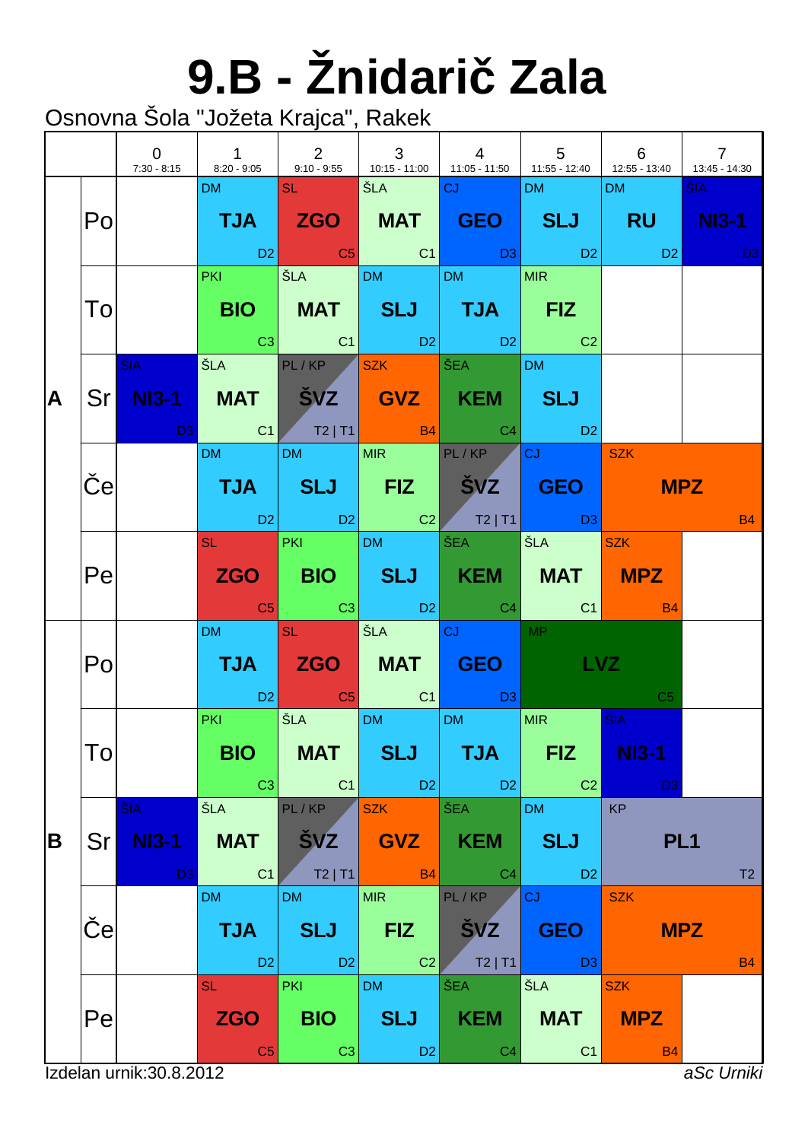# **9.B - Žnidari Zala**

|   |            | $\overline{0}$<br>$7:30 - 8:15$       | $\begin{array}{ c c c c c c c c }\n\hline\n\text{\quad \quad 1 & \quad \quad 2 & \quad \quad 3 \\ \hline\n\end{array}$                                              |                                            |                                            | $\begin{array}{ c c c c c } \hline \ \hline \ \hline \ \hline \ \hline \end{array}$<br>8:20 - 9:05 9:10 - 9:55 410:15 - 11:00 11:05 - 11:50 11:55 - 12:40 41:55 - 13:40 | $\begin{array}{cccc} \end{array}$ 5 6     |                                       | $\overline{7}$<br>13:45 - 14:30                                                                                               |
|---|------------|---------------------------------------|---------------------------------------------------------------------------------------------------------------------------------------------------------------------|--------------------------------------------|--------------------------------------------|-------------------------------------------------------------------------------------------------------------------------------------------------------------------------|-------------------------------------------|---------------------------------------|-------------------------------------------------------------------------------------------------------------------------------|
| A | Po         |                                       | DM and the                                                                                                                                                          | <b>SL SL</b>                               | SEA CJ                                     | TJA ZGO MAT GEO SLJ RU NI3-1<br>in the set of the set of the set of the set of the set of the set of the set of the set of the set of the set o                         | DM <b>DM</b>                              | DM                                    | ŠIA -<br><b>David David David David David David David David David David David David David David David David David David D</b> |
|   | To         |                                       | <b>PKI CONTINUES</b>                                                                                                                                                | $\overline{\text{SLA}}$ DM DM              |                                            | BIO   MAT   SLJ   TJA   FIZ<br>$\begin{array}{ c c c c c c }\hline \text{C3} & \text{C1} & \text{D2} & \text{D2} & \text{C2} \\\hline \end{array}$                      | MIR                                       |                                       |                                                                                                                               |
|   |            | <b>ŠIA</b>                            | SLA PL/KP SZK SÉA<br>Sr NI3-1 MAT ŠVZ GVZ KEM SLJ                                                                                                                   |                                            |                                            |                                                                                                                                                                         | DM                                        |                                       |                                                                                                                               |
|   | $\epsilon$ |                                       | DM and the state                                                                                                                                                    | DM MIR PL/KP                               |                                            | <b>TJA SLJ FIZ ŠVZ GEO</b><br>1 D2 D2 D2 D2 T2 T1 D3                                                                                                                    | $ cJ $ $ szK $                            |                                       | <b>MPZ</b><br><b>B4</b>                                                                                                       |
|   | Pe         |                                       |                                                                                                                                                                     |                                            |                                            | SL PKI DM ŠEA<br>ZGO   BIO   SLJ   KEM   MAT   MPZ                                                                                                                      | ŠLA SZK                                   |                                       |                                                                                                                               |
|   | Po         |                                       | DM and the state                                                                                                                                                    | <b>SL SL</b>                               | <b>SEA CJ</b>                              | <b>TJA ZGO MAT GEO</b><br><b>Example 1</b> C <sub>5</sub> C <sub>1</sub> C <sub>1</sub> C <sub>1</sub> C <sub>1</sub> C <sub>1</sub>                                    | <b>MP</b><br><b>LVZ</b>                   | C <sub>5</sub>                        |                                                                                                                               |
| B | To         |                                       | <b>Contract Contract Contract Contract Contract Contract Contract Contract Contract Contract Contract Contract Co</b><br><b>PKI</b><br><b>BIO</b><br>C <sub>3</sub> | SLA DM DM<br><b>MAT</b><br>C1              | <b>SLJ</b><br>$ $ D2                       | <b>TJA</b><br>D <sub>2</sub>                                                                                                                                            | MIR .<br><b>FIZ</b><br>C <sub>2</sub>     | ŠIA<br><b>NI3-1</b><br>D <sub>3</sub> |                                                                                                                               |
|   | Sr         | ŠIA<br><b>NI3-1</b><br>D <sub>3</sub> | ŠLA<br><b>MAT</b><br>C <sub>1</sub>                                                                                                                                 | PL/KP<br>ŠVZ<br>$T2$   T1                  | <b>SZK</b><br><b>GVZ</b><br><b>B4</b>      | ŠEA<br><b>KEM</b><br>C <sub>4</sub>                                                                                                                                     | <b>DM</b><br><b>SLJ</b><br>D <sub>2</sub> | <b>KP</b><br>PL <sub>1</sub>          | T2                                                                                                                            |
|   | e          |                                       | <b>DM</b><br><b>TJA</b><br>D <sub>2</sub>                                                                                                                           | <b>DM</b><br><b>SLJ</b><br>D2              | <b>MIR</b><br><b>FIZ</b><br>C <sub>2</sub> | PL/KP<br><b>SVZ</b><br>$T2$   T1                                                                                                                                        | CJ<br><b>GEO</b><br>D <sub>3</sub>        | <b>SZK</b>                            | <b>MPZ</b><br><b>B4</b>                                                                                                       |
|   | Pe         | Izdelan urnik: 30.8.2012              | <b>SL</b><br><b>ZGO</b><br>C <sub>5</sub>                                                                                                                           | <b>PKI</b><br><b>BIO</b><br>C <sub>3</sub> | <b>DM</b><br><b>SLJ</b><br>D <sub>2</sub>  | ŠEA<br><b>KEM</b><br>C <sub>4</sub>                                                                                                                                     | ŠLA<br><b>MAT</b><br>C <sub>1</sub>       | <b>SZK</b><br><b>MPZ</b><br><b>B4</b> | aSc Urniki                                                                                                                    |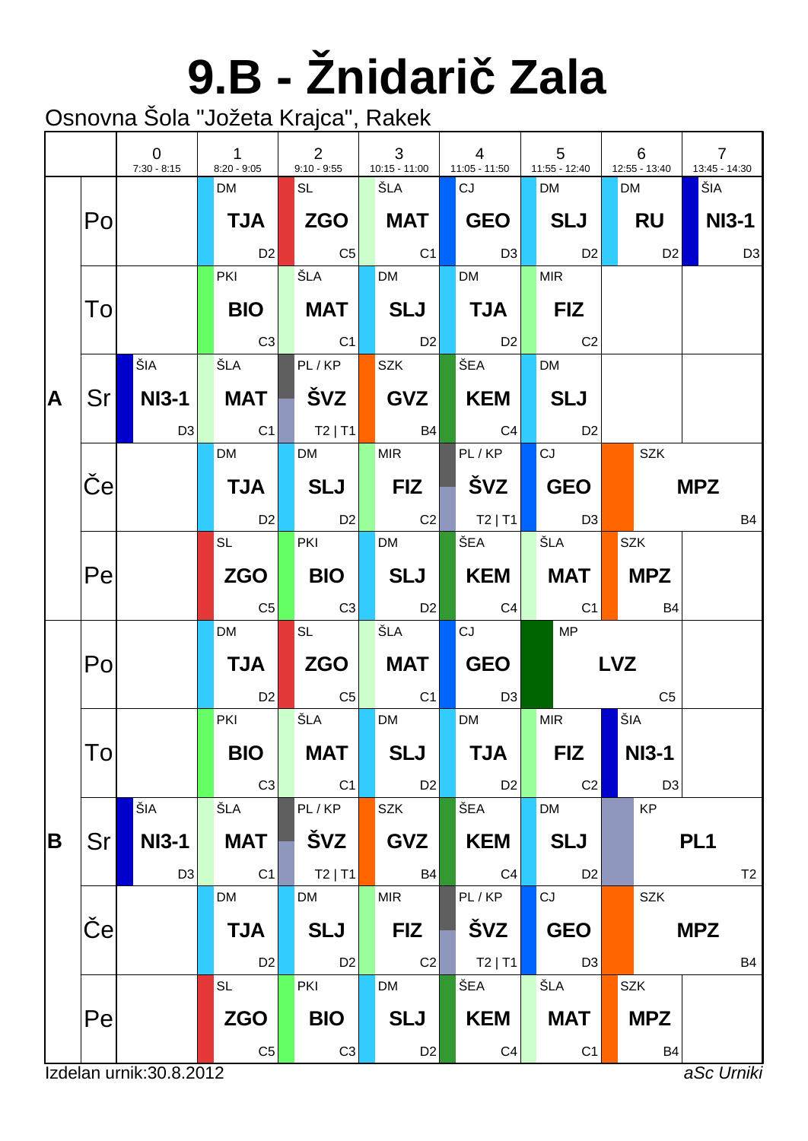# **9.B - Žnidari Zala**

|   |                          | $\overline{0}$<br>$7:30 - 8:15$ | $\mathbf{1}$<br>$8:20 - 9:05$ | 2<br>$9:10 - 9:55$ | 3<br>10:15 - 11:00 |  | $\overline{4}$<br>$11:05 - 11:50$ | 5<br>11:55 - 12:40 |            | 6<br>12:55 - 13:40 | $\overline{7}$<br>13:45 - 14:30 |
|---|--------------------------|---------------------------------|-------------------------------|--------------------|--------------------|--|-----------------------------------|--------------------|------------|--------------------|---------------------------------|
|   |                          |                                 | <b>DM</b>                     | SL                 | ŠLA                |  | CJ                                | <b>DM</b>          | <b>DM</b>  |                    | ŠIA                             |
|   | Po                       |                                 | <b>TJA</b>                    |                    | <b>MAT</b>         |  | GEO                               | <b>SLJ</b>         |            | RU                 | <b>NI3-1</b>                    |
|   |                          |                                 | D <sub>2</sub>                | $\overline{C5}$    | C1                 |  | D3                                | D <sub>2</sub>     |            | D2                 | D <sub>3</sub>                  |
|   |                          |                                 | <b>PKI</b>                    | ŠLA                | <b>DM</b>          |  | <b>DM</b>                         | <b>MIR</b>         |            |                    |                                 |
|   | To                       |                                 | <b>BIO</b>                    | <b>MAT</b>         | SLJ                |  | $TJA \vert$                       | <b>FIZ</b>         |            |                    |                                 |
|   |                          |                                 | C3                            | C1                 | D2                 |  | D2                                | C <sub>2</sub>     |            |                    |                                 |
|   |                          | ŠIA                             | ŠLA                           | PL/KP              | <b>SZK</b>         |  | ŠEA                               | <b>DM</b>          |            |                    |                                 |
| A | <b>Srl</b>               | NI3-1                           | <b>MAT</b>                    | ŠVZ                | GVZ                |  | KEM                               | <b>SLJ</b>         |            |                    |                                 |
|   |                          | D3                              | C <sub>1</sub>                | $ $ T2   T1        | <b>B4</b>          |  | C <sub>4</sub>                    | D <sub>2</sub>     |            |                    |                                 |
|   |                          |                                 | DM                            | <b>DM</b>          | <b>MIR</b>         |  | PL/KP                             | CJ                 |            | <b>SZK</b>         |                                 |
|   | $\mathbf{e}$             |                                 | <b>TJA</b>                    | <b>SLJ</b>         | <b>FIZ</b>         |  | ŠVZ                               | <b>GEO</b>         |            |                    | <b>MPZ</b>                      |
|   |                          |                                 | D2                            | D <sub>2</sub>     | C2                 |  | $\vert$ T2   T1                   | D3                 |            |                    | <b>B4</b>                       |
|   |                          |                                 | <b>SL</b>                     | PKI                | <b>DM</b>          |  | ŠEA                               | ŠLA                |            | <b>SZK</b>         |                                 |
|   | Pe                       |                                 | <b>ZGO</b>                    | <b>BIO</b>         | SLJ                |  | KEM                               | MAT                |            | <b>MPZ</b>         |                                 |
|   |                          |                                 | C <sub>5</sub>                | C3                 | D <sub>2</sub>     |  | C4                                | C1                 |            | <b>B4</b>          |                                 |
|   |                          |                                 | <b>DM</b>                     | SL                 | ŠLA                |  | CJ                                | MP                 |            |                    |                                 |
|   | Po                       |                                 | <b>TJA</b>                    | ZGO                | <b>MAT</b>         |  | <b>GEO</b>                        |                    | <b>LVZ</b> |                    |                                 |
|   |                          |                                 | D <sub>2</sub>                | C <sub>5</sub>     | C <sub>1</sub>     |  | D <sub>3</sub>                    |                    |            | C <sub>5</sub>     |                                 |
|   |                          |                                 | PKI                           | ŠLA                | <b>DM</b>          |  | <b>DM</b>                         | <b>MIR</b>         | ŠIA        |                    |                                 |
|   | To                       |                                 | <b>BIO</b>                    | <b>MAT</b>         | <b>SLJ</b>         |  | <b>TJA</b>                        | <b>FIZ</b>         |            | <b>NI3-1</b>       |                                 |
|   |                          |                                 | C <sub>3</sub>                | C1                 | D <sub>2</sub>     |  | D <sub>2</sub>                    | C <sub>2</sub>     |            | D <sub>3</sub>     |                                 |
|   |                          | ŠIA                             | ŠLA                           | PL/KP              | SZK                |  | ŠEA                               | <b>DM</b>          |            | KP                 |                                 |
| B | Sr                       | <b>NI3-1</b>                    | <b>MAT</b>                    | ŠVZ                | <b>GVZ</b>         |  | <b>KEM</b>                        | <b>SLJ</b>         |            |                    | PL <sub>1</sub>                 |
|   |                          | D <sub>3</sub>                  | C <sub>1</sub>                | $T2$   T1          | <b>B4</b>          |  | C <sub>4</sub>                    | D <sub>2</sub>     |            |                    | T <sub>2</sub>                  |
|   |                          |                                 | DM                            | <b>DM</b>          | <b>MIR</b>         |  | PL/KP                             | CJ                 |            | <b>SZK</b>         |                                 |
|   | $\mathbf e$              |                                 | <b>TJA</b>                    | <b>SLJ</b>         | <b>FIZ</b>         |  | <b>ŠVZ</b>                        | <b>GEO</b>         |            |                    | <b>MPZ</b>                      |
|   |                          |                                 | D <sub>2</sub>                | D <sub>2</sub>     | C2                 |  | $T2$   T1                         | D <sub>3</sub>     |            |                    | <b>B4</b>                       |
|   |                          |                                 | <b>SL</b>                     | PKI                | <b>DM</b>          |  | ŠEA                               | ŠLA                |            | <b>SZK</b>         |                                 |
|   | Pe                       |                                 | <b>ZGO</b>                    | <b>BIO</b>         | <b>SLJ</b>         |  | <b>KEM</b>                        | <b>MAT</b>         |            | <b>MPZ</b>         |                                 |
|   |                          |                                 | $\mathbb{C}5$                 | C <sub>3</sub>     | D <sub>2</sub>     |  | C <sub>4</sub>                    | C <sub>1</sub>     |            | <b>B4</b>          |                                 |
|   | Izdelan urnik: 30.8.2012 |                                 |                               |                    |                    |  |                                   |                    |            |                    | aSc Urniki                      |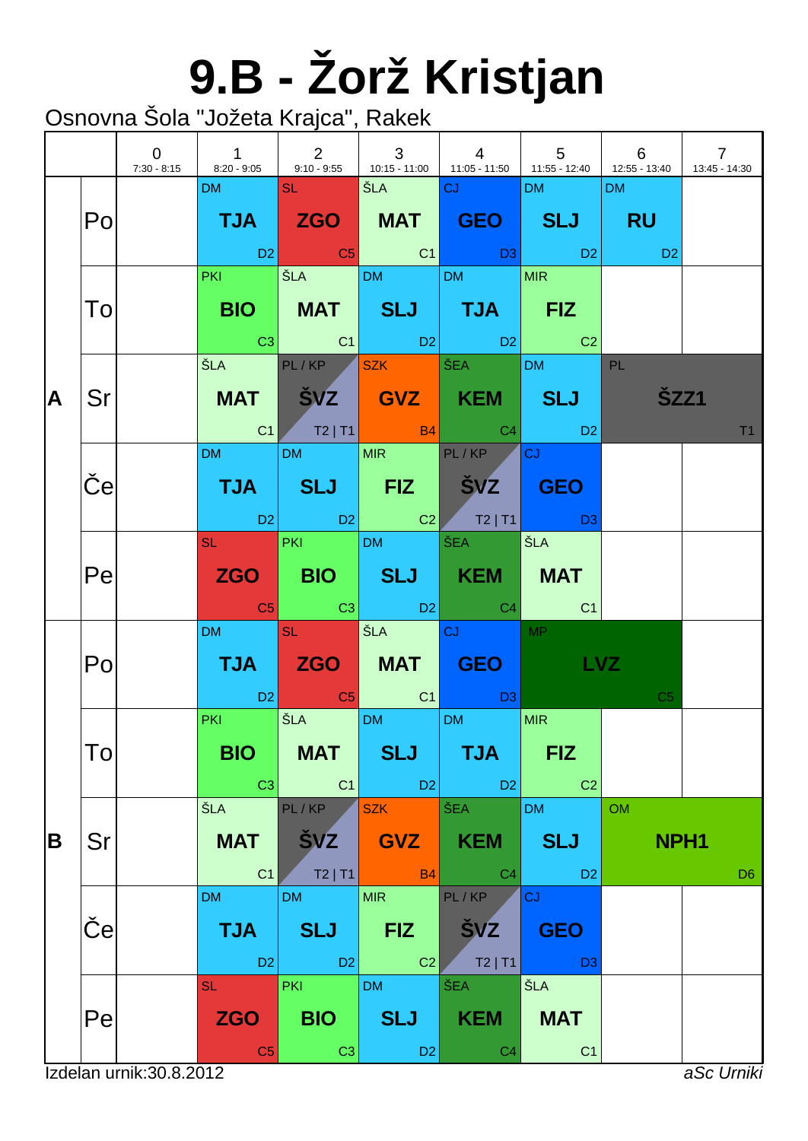# **9.B - Žorž Kristjan**

Osnovna Šola "Jožeta Krajca", Rakek

|   |                 | $\overline{0}$ | 7:30 - 8:15   8:20 - 9:05   9:10 - 9:55   10:15 - 11:00   11:05 - 11:50   11:55 - 12:40   12:55 - 13:40 |                                            | $\begin{array}{ccc} & 3 \end{array}$                   | $\begin{array}{c ccccccccc} & & 4 & & & 5 & & 6 & \end{array}$                                                                                           |                                           |                               | $\overline{7}$<br>13:45 - 14:30 |
|---|-----------------|----------------|---------------------------------------------------------------------------------------------------------|--------------------------------------------|--------------------------------------------------------|----------------------------------------------------------------------------------------------------------------------------------------------------------|-------------------------------------------|-------------------------------|---------------------------------|
| A | Po              |                | DM and the state                                                                                        | <b>SL</b> Service                          | SEA CJ                                                 | TJA ZGO MAT GEO SLJ RU<br>D2 C5 C1 D3 D2 D2                                                                                                              | <b>DM</b>                                 | DM                            |                                 |
|   | To              |                | <b>PKI CONTINUES</b>                                                                                    |                                            | $\vert$ ŠLA $\vert$ DM $\vert$ DM $\vert$              | BIO   MAT   SLJ   TJA   FIZ<br>$\begin{array}{ c c c c c c }\hline \text{C3} & \text{C1} & \text{D2} & \text{D2} & \text{C2} \\\hline \end{array}$       | MIR                                       |                               |                                 |
|   | Sr              |                |                                                                                                         |                                            | ŠLA PL/KP SZK ŠEA                                      | MAT SVZ GVZ KEM SLJ<br>$\begin{array}{ c c c c c c }\hline \text{C1} & \text{T2}\mid \text{T1} & \text{B4} & \text{C4} & \text{D2} \\\hline \end{array}$ | DM PL                                     | ŠZZ1                          | T <sub>1</sub>                  |
|   | e               |                | DM and the state                                                                                        |                                            | DM MIR PL/KP                                           | TJA SLJ FIZ ŠVZ GEO<br>12 D2 D2 C2 T2   T1 D3                                                                                                            | <b>CJ</b>                                 |                               |                                 |
|   | Pe              |                |                                                                                                         |                                            | SL PKI DM ŠEA                                          | ZGO   BIO   SLJ   KEM   MAT<br><b>Example 1</b> C3 C3 D2 C4 C4                                                                                           | ŠLA                                       |                               |                                 |
| B | Po              |                | DM and the                                                                                              | <b>SL SL</b>                               | <b>SEA CJ</b> CJ                                       | TJA ZGO MAT GEO LVZ<br><b>Example 2</b> C <sub>5</sub> C <sub>1</sub> C <sub>1</sub> D <sub>3</sub>                                                      | <b>MP</b>                                 | C <sub>5</sub>                |                                 |
|   | $\overline{10}$ |                | <b>PKI</b> POINT<br><b>BIO</b><br> C3                                                                   | <b>MAT</b><br>$\overline{C1}$              | SLA DM DM<br><b>SLJ</b><br>$\overline{\phantom{0}}$ D2 | <b>TJA</b><br>D <sub>2</sub>                                                                                                                             | MIR<br><b>FIZ</b><br>C <sub>2</sub>       |                               |                                 |
|   | Sr              |                | ŠLA<br><b>MAT</b><br>C1                                                                                 | PL/KP<br>$S$ VZ $\vert$<br>T2 T1           | <b>SZK</b><br><b>GVZ</b> KEM<br>$\overline{B4}$        | SEA<br>C4                                                                                                                                                | <b>DM</b><br><b>SLJ</b><br>D <sub>2</sub> | <b>OM</b><br>NPH <sub>1</sub> | D <sub>6</sub>                  |
|   | е               |                | <b>DM</b><br><b>TJA</b><br>D <sub>2</sub>                                                               | <b>DM</b><br><b>SLJ</b><br>$\overline{D2}$ | <b>MIR</b><br><b>FIZ</b><br>C2                         | PL/KP<br><b>SVZ</b><br>$T2$   T1                                                                                                                         | <b>CJ</b><br><b>GEO</b><br>D <sub>3</sub> |                               |                                 |
|   | Pe              |                | <b>SL</b><br><b>ZGO</b><br>C <sub>5</sub>                                                               | <b>PKI</b><br><b>BIO</b><br>C <sub>3</sub> | <b>DM</b><br><b>SLJ</b><br>D <sub>2</sub>              | ŠEA<br><b>KEM</b><br>C <sub>4</sub>                                                                                                                      | ŠLA<br><b>MAT</b><br>C <sub>1</sub>       |                               |                                 |

Izdelan urnik:30.8.2012 *aSc Urniki*